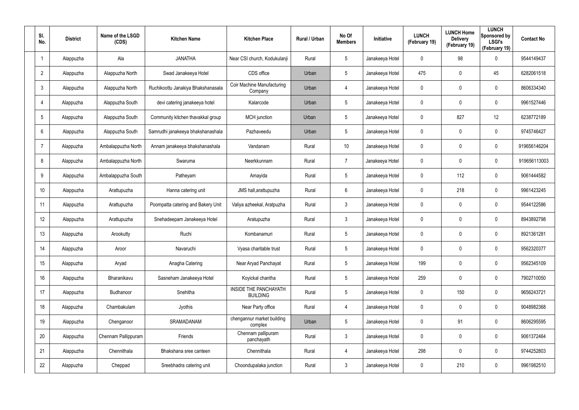| SI.<br>No.              | <b>District</b> | Name of the LSGD<br>(CDS) | <b>Kitchen Name</b>                | <b>Kitchen Place</b>                     | Rural / Urban | No Of<br><b>Members</b> | Initiative      | <b>LUNCH</b><br>(February 19) | <b>LUNCH Home</b><br><b>Delivery</b><br>(February 19) | <b>LUNCH</b><br>Sponsored by<br><b>LSGI's</b><br>(February 19) | <b>Contact No</b> |
|-------------------------|-----------------|---------------------------|------------------------------------|------------------------------------------|---------------|-------------------------|-----------------|-------------------------------|-------------------------------------------------------|----------------------------------------------------------------|-------------------|
| $\overline{\mathbf{1}}$ | Alappuzha       | Ala                       | <b>JANATHA</b>                     | Near CSI church, Kodukulanji             | Rural         | 5                       | Janakeeya Hotel | 0                             | 98                                                    | $\mathbf 0$                                                    | 9544149437        |
| $\overline{2}$          | Alappuzha       | Alappuzha North           | Swad Janakeeya Hotel               | CDS office                               | Urban         | 5                       | Janakeeya Hotel | 475                           | 0                                                     | 45                                                             | 6282061518        |
| $\mathfrak{Z}$          | Alappuzha       | Alappuzha North           | Ruchikoottu Janakiya Bhakshanasala | Coir Machine Manufacturing<br>Company    | Urban         | 4                       | Janakeeya Hotel | 0                             | 0                                                     | $\mathbf 0$                                                    | 8606334340        |
| $\overline{4}$          | Alappuzha       | Alappuzha South           | devi catering janakeeya hotel      | Kalarcode                                | Urban         | 5                       | Janakeeya Hotel | 0                             | 0                                                     | $\mathbf 0$                                                    | 9961527446        |
| $\sqrt{5}$              | Alappuzha       | Alappuzha South           | Community kitchen thavakkal group  | <b>MCH</b> junction                      | Urban         | 5                       | Janakeeya Hotel | 0                             | 827                                                   | 12                                                             | 6238772189        |
| 6                       | Alappuzha       | Alappuzha South           | Samrudhi janakeeya bhakshanashala  | Pazhaveedu                               | Urban         | 5                       | Janakeeya Hotel | 0                             | 0                                                     | $\mathbf 0$                                                    | 9745746427        |
| $\overline{7}$          | Alappuzha       | Ambalappuzha North        | Annam janakeeya bhakshanashala     | Vandanam                                 | Rural         | 10                      | Janakeeya Hotel | 0                             | 0                                                     | $\pmb{0}$                                                      | 919656146204      |
| 8                       | Alappuzha       | Ambalappuzha North        | Swaruma                            | Neerkkunnam                              | Rural         | $\overline{7}$          | Janakeeya Hotel | 0                             | 0                                                     | $\mathbf 0$                                                    | 919656113003      |
| 9                       | Alappuzha       | Ambalappuzha South        | Patheyam                           | Amayida                                  | Rural         | $5\phantom{.0}$         | Janakeeya Hotel | 0                             | 112                                                   | $\mathbf 0$                                                    | 9061444582        |
| 10 <sup>°</sup>         | Alappuzha       | Arattupuzha               | Hanna catering unit                | JMS hall, arattupuzha                    | Rural         | 6                       | Janakeeya Hotel | 0                             | 218                                                   | $\mathbf 0$                                                    | 9961423245        |
| 11                      | Alappuzha       | Arattupuzha               | Poompatta catering and Bakery Unit | Valiya azheekal, Aratpuzha               | Rural         | $\mathbf{3}$            | Janakeeya Hotel | 0                             | 0                                                     | $\mathbf 0$                                                    | 9544122586        |
| 12                      | Alappuzha       | Arattupuzha               | Snehadeepam Janakeeya Hotel        | Aratupuzha                               | Rural         | $\mathbf{3}$            | Janakeeya Hotel | 0                             | 0                                                     | $\mathbf 0$                                                    | 8943892798        |
| 13                      | Alappuzha       | Arookutty                 | Ruchi                              | Kombanamuri                              | Rural         | $5\phantom{.0}$         | Janakeeya Hotel | 0                             | 0                                                     | $\mathbf 0$                                                    | 8921361281        |
| 14                      | Alappuzha       | Aroor                     | Navaruchi                          | Vyasa charitable trust                   | Rural         | 5                       | Janakeeya Hotel | 0                             | 0                                                     | $\mathbf 0$                                                    | 9562320377        |
| 15                      | Alappuzha       | Aryad                     | Anagha Catering                    | Near Aryad Panchayat                     | Rural         | $5\phantom{.0}$         | Janakeeya Hotel | 199                           | 0                                                     | $\mathbf 0$                                                    | 9562345109        |
| 16                      | Alappuzha       | Bharanikavu               | Sasneham Janakeeya Hotel           | Koyickal chantha                         | Rural         | $5\phantom{.0}$         | Janakeeya Hotel | 259                           | 0                                                     | $\mathbf 0$                                                    | 7902710050        |
| 17                      | Alappuzha       | Budhanoor                 | Snehitha                           | INSIDE THE PANCHAYATH<br><b>BUILDING</b> | Rural         | $5\phantom{.0}$         | Janakeeya Hotel | $\mathbf 0$                   | 150                                                   | $\mathbf 0$                                                    | 9656243721        |
| 18                      | Alappuzha       | Chambakulam               | Jyothis                            | Near Party office                        | Rural         | 4                       | Janakeeya Hotel | $\mathbf 0$                   | 0                                                     | $\mathbf 0$                                                    | 9048982368        |
| 19                      | Alappuzha       | Chenganoor                | SRAMADANAM                         | chengannur market building<br>complex    | Urban         | $5\phantom{.0}$         | Janakeeya Hotel | 0                             | 91                                                    | $\mathbf 0$                                                    | 8606295595        |
| 20                      | Alappuzha       | Chennam Pallippuram       | Friends                            | Chennam pallipuram<br>panchayath         | Rural         | $\mathbf{3}$            | Janakeeya Hotel | 0                             | 0                                                     | $\mathbf 0$                                                    | 9061372464        |
| 21                      | Alappuzha       | Chennithala               | Bhakshana sree canteen             | Chennithala                              | Rural         | 4                       | Janakeeya Hotel | 298                           | 0                                                     | $\mathbf 0$                                                    | 9744252803        |
| 22                      | Alappuzha       | Cheppad                   | Sreebhadra catering unit           | Choondupalaka junction                   | Rural         | $\mathfrak{Z}$          | Janakeeya Hotel | 0                             | 210                                                   | $\mathsf{0}$                                                   | 9961982510        |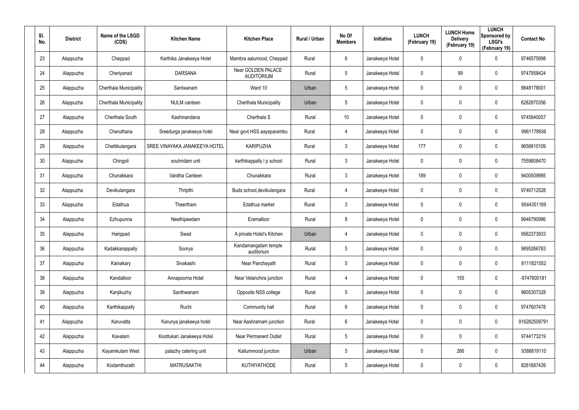| SI.<br>No. | <b>District</b> | Name of the LSGD<br>(CDS) | <b>Kitchen Name</b>           | <b>Kitchen Place</b>                    | Rural / Urban | No Of<br><b>Members</b> | <b>Initiative</b> | <b>LUNCH</b><br>(February 19) | <b>LUNCH Home</b><br><b>Delivery</b><br>(February 19) | <b>LUNCH</b><br>Sponsored by<br><b>LSGI's</b><br>(February 19) | <b>Contact No</b> |
|------------|-----------------|---------------------------|-------------------------------|-----------------------------------------|---------------|-------------------------|-------------------|-------------------------------|-------------------------------------------------------|----------------------------------------------------------------|-------------------|
| 23         | Alappuzha       | Cheppad                   | Karthika Janakeeya Hotel      | Mambra aalumood, Cheppad                | Rural         | 6                       | Janakeeya Hotel   | 0                             | 0                                                     | $\mathbf 0$                                                    | 9746575998        |
| 24         | Alappuzha       | Cheriyanad                | <b>DARSANA</b>                | Near GOLDEN PALACE<br><b>AUDITORIUM</b> | Rural         | $5\phantom{.0}$         | Janakeeya Hotel   | 0                             | 99                                                    | $\pmb{0}$                                                      | 9747958424        |
| 25         | Alappuzha       | Cherthala Municipality    | Santwanam                     | Ward 10                                 | Urban         | $5\phantom{.0}$         | Janakeeya Hotel   | 0                             | 0                                                     | $\pmb{0}$                                                      | 8848178001        |
| 26         | Alappuzha       | Cherthala Municipality    | <b>NULM</b> canteen           | Cherthala Municipality                  | Urban         | $5\phantom{.0}$         | Janakeeya Hotel   | 0                             | 0                                                     | $\pmb{0}$                                                      | 6282870356        |
| 27         | Alappuzha       | Cherthala South           | Kashinandana                  | Cherthala S                             | Rural         | 10 <sup>°</sup>         | Janakeeya Hotel   | 0                             | 0                                                     | $\pmb{0}$                                                      | 9745940057        |
| 28         | Alappuzha       | Cheruthana                | Sreedurga janakeeya hotel     | Near govt HSS aayaparambu               | Rural         | 4                       | Janakeeya Hotel   | 0                             | 0                                                     | $\mathbf 0$                                                    | 9961178936        |
| 29         | Alappuzha       | Chettikulangara           | SREE VINAYAKA JANAKEEYA HOTEL | <b>KARIPUZHA</b>                        | Rural         | $\mathbf{3}$            | Janakeeya Hotel   | 177                           | 0                                                     | $\mathbf 0$                                                    | 9656810109        |
| 30         | Alappuzha       | Chingoli                  | souhridam unit                | karthikappally I p school               | Rural         | $\mathbf{3}$            | Janakeeya Hotel   | 0                             | 0                                                     | $\mathbf 0$                                                    | 7559808470        |
| 31         | Alappuzha       | Chunakkara                | Vanitha Canteen               | Chunakkara                              | Rural         | $\mathbf{3}$            | Janakeeya Hotel   | 189                           | 0                                                     | $\pmb{0}$                                                      | 9400509985        |
| 32         | Alappuzha       | Devikulangara             | Thripthi                      | Buds school, devikulangara              | Rural         | 4                       | Janakeeya Hotel   | 0                             | 0                                                     | $\mathbf 0$                                                    | 9746712528        |
| 33         | Alappuzha       | Edathua                   | Theertham                     | Edathua market                          | Rural         | $\mathbf{3}$            | Janakeeya Hotel   | 0                             | 0                                                     | $\mathbf 0$                                                    | 9544351169        |
| 34         | Alappuzha       | Ezhupunna                 | Neethipeedam                  | Eramalloor                              | Rural         | 8                       | Janakeeya Hotel   | 0                             | 0                                                     | $\mathbf 0$                                                    | 9946790986        |
| 35         | Alappuzha       | Harippad                  | Swad                          | A private Hotel's Kitchen               | Urban         | 4                       | Janakeeya Hotel   | 0                             | 0                                                     | $\mathbf 0$                                                    | 9562373933        |
| 36         | Alappuzha       | Kadakkarappally           | Soorya                        | Kandamangalam temple<br>auditorium      | Rural         | 5                       | Janakeeya Hotel   | 0                             | 0                                                     | $\pmb{0}$                                                      | 9895266763        |
| 37         | Alappuzha       | Kainakary                 | Sivakashi                     | Near Panchayath                         | Rural         | $5\phantom{.0}$         | Janakeeya Hotel   | 0                             | 0                                                     | $\mathbf 0$                                                    | 8111821552        |
| 38         | Alappuzha       | Kandalloor                | Annapoorna Hotel              | Near Velanchira junction                | Rural         | 4                       | Janakeeya Hotel   | $\mathbf 0$                   | 155                                                   | $\mathbf 0$                                                    | -9747600181       |
| 39         | Alappuzha       | Kanjikuzhy                | Santhwanam                    | Opposite NSS college                    | Rural         | $5\phantom{.0}$         | Janakeeya Hotel   | 0                             | 0                                                     | $\mathbf 0$                                                    | 9605307328        |
| 40         | Alappuzha       | Karthikappally            | Ruchi                         | Community hall                          | Rural         | $6\phantom{.}6$         | Janakeeya Hotel   | 0                             | 0                                                     | $\pmb{0}$                                                      | 9747607478        |
| 41         | Alappuzha       | Karuvatta                 | Karunya janakeeya hotel       | Near Aashramam junction                 | Rural         | 6                       | Janakeeya Hotel   | 0                             | 0                                                     | $\mathbf 0$                                                    | 916282508791      |
| 42         | Alappuzha       | Kavalam                   | Koottukari Janakeeya Hotel    | <b>Near Permanent Outlet</b>            | Rural         | $5\phantom{.0}$         | Janakeeya Hotel   | 0                             | 0                                                     | $\pmb{0}$                                                      | 9744173219        |
| 43         | Alappuzha       | Kayamkulam West           | palazhy catering unit         | Kallummood junction                     | Urban         | $5\phantom{.0}$         | Janakeeya Hotel   | 0                             | 266                                                   | $\mathbf 0$                                                    | 9388819110        |
| 44         | Alappuzha       | Kodamthurath              | <b>MATRUSAKTHI</b>            | KUTHIYATHODE                            | Rural         | $5\phantom{.0}$         | Janakeeya Hotel   | 0                             | 0                                                     | $\pmb{0}$                                                      | 8281687439        |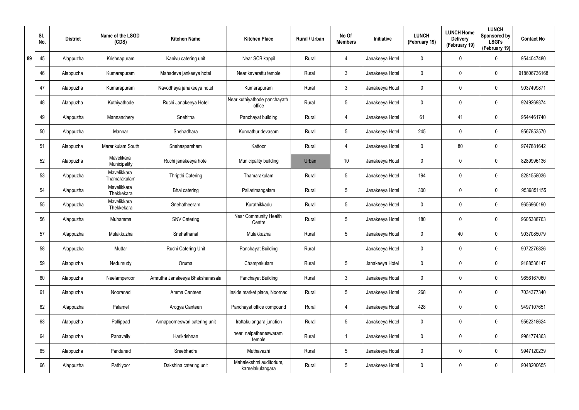|    | SI.<br>No. | <b>District</b> | Name of the LSGD<br>(CDS)   | <b>Kitchen Name</b>             | <b>Kitchen Place</b>                        | Rural / Urban | No Of<br><b>Members</b> | <b>Initiative</b> | <b>LUNCH</b><br>(February 19) | <b>LUNCH Home</b><br><b>Delivery</b><br>(February 19) | <b>LUNCH</b><br>Sponsored by<br><b>LSGI's</b><br>(February 19) | <b>Contact No</b> |
|----|------------|-----------------|-----------------------------|---------------------------------|---------------------------------------------|---------------|-------------------------|-------------------|-------------------------------|-------------------------------------------------------|----------------------------------------------------------------|-------------------|
| 89 | 45         | Alappuzha       | Krishnapuram                | Kanivu catering unit            | Near SCB, kappil                            | Rural         | 4                       | Janakeeya Hotel   | 0                             | 0                                                     | $\mathbf 0$                                                    | 9544047480        |
|    | 46         | Alappuzha       | Kumarapuram                 | Mahadeva jankeeya hotel         | Near kavarattu temple                       | Rural         | 3                       | Janakeeya Hotel   | 0                             | 0                                                     | $\mathbf 0$                                                    | 918606736168      |
|    | 47         | Alappuzha       | Kumarapuram                 | Navodhaya janakeeya hotel       | Kumarapuram                                 | Rural         | 3                       | Janakeeya Hotel   | 0                             | 0                                                     | $\mathbf 0$                                                    | 9037499871        |
|    | 48         | Alappuzha       | Kuthiyathode                | Ruchi Janakeeya Hotel           | Near kuthiyathode panchayath<br>office      | Rural         | 5                       | Janakeeya Hotel   | 0                             | 0                                                     | $\mathbf 0$                                                    | 9249269374        |
|    | 49         | Alappuzha       | Mannanchery                 | Snehitha                        | Panchayat building                          | Rural         | 4                       | Janakeeya Hotel   | 61                            | 41                                                    | $\mathbf 0$                                                    | 9544461740        |
|    | 50         | Alappuzha       | Mannar                      | Snehadhara                      | Kunnathur devasom                           | Rural         | 5                       | Janakeeya Hotel   | 245                           | 0                                                     | $\mathbf 0$                                                    | 9567853570        |
|    | 51         | Alappuzha       | Mararikulam South           | Snehasparsham                   | Kattoor                                     | Rural         | 4                       | Janakeeya Hotel   | 0                             | 80                                                    | $\mathbf 0$                                                    | 9747881642        |
|    | 52         | Alappuzha       | Mavelikara<br>Municipality  | Ruchi janakeeya hotel           | Municipality building                       | Urban         | 10 <sup>°</sup>         | Janakeeya Hotel   | 0                             | 0                                                     | $\mathbf 0$                                                    | 8289996136        |
|    | 53         | Alappuzha       | Mavelikkara<br>Thamarakulam | <b>Thripthi Catering</b>        | Thamarakulam                                | Rural         | 5                       | Janakeeya Hotel   | 194                           | 0                                                     | $\mathbf 0$                                                    | 8281558036        |
|    | 54         | Alappuzha       | Mavelikkara<br>Thekkekara   | Bhai catering                   | Pallarimangalam                             | Rural         | $5\overline{)}$         | Janakeeya Hotel   | 300                           | 0                                                     | $\mathbf 0$                                                    | 9539851155        |
|    | 55         | Alappuzha       | Mavelikkara<br>Thekkekara   | Snehatheeram                    | Kurathikkadu                                | Rural         | 5                       | Janakeeya Hotel   | 0                             | 0                                                     | $\mathbf 0$                                                    | 9656960190        |
|    | 56         | Alappuzha       | Muhamma                     | <b>SNV Catering</b>             | Near Community Health<br>Centre             | Rural         | 5                       | Janakeeya Hotel   | 180                           | 0                                                     | $\mathbf 0$                                                    | 9605388763        |
|    | 57         | Alappuzha       | Mulakkuzha                  | Snehathanal                     | Mulakkuzha                                  | Rural         | 5                       | Janakeeya Hotel   | 0                             | 40                                                    | $\mathbf 0$                                                    | 9037085079        |
|    | 58         | Alappuzha       | Muttar                      | Ruchi Catering Unit             | Panchayat Building                          | Rural         |                         | Janakeeya Hotel   | 0                             | $\mathbf 0$                                           | $\pmb{0}$                                                      | 9072276826        |
|    | 59         | Alappuzha       | Nedumudy                    | Oruma                           | Champakulam                                 | Rural         | $5\overline{)}$         | Janakeeya Hotel   | 0                             | $\mathbf 0$                                           | $\mathbf 0$                                                    | 9188536147        |
|    | 60         | Alappuzha       | Neelamperoor                | Amrutha Janakeeya Bhakshanasala | Panchayat Building                          | Rural         | $\mathbf{3}$            | Janakeeya Hotel   | 0                             | $\mathbf 0$                                           | $\mathbf 0$                                                    | 9656167060        |
|    | 61         | Alappuzha       | Nooranad                    | Amma Canteen                    | Inside market place, Noornad                | Rural         | 5                       | Janakeeya Hotel   | 268                           | 0                                                     | $\mathbf 0$                                                    | 7034377340        |
|    | 62         | Alappuzha       | Palamel                     | Arogya Canteen                  | Panchayat office compound                   | Rural         | $\overline{4}$          | Janakeeya Hotel   | 428                           | $\mathbf 0$                                           | $\mathbf 0$                                                    | 9497107651        |
|    | 63         | Alappuzha       | Pallippad                   | Annapoorneswari catering unit   | Irattakulangara junction                    | Rural         | $5\overline{)}$         | Janakeeya Hotel   | 0                             | 0                                                     | $\mathbf 0$                                                    | 9562318624        |
|    | 64         | Alappuzha       | Panavally                   | Harikrishnan                    | near nalpatheneswaram<br>temple             | Rural         |                         | Janakeeya Hotel   | 0                             | $\mathbf 0$                                           | $\mathbf 0$                                                    | 9961774363        |
|    | 65         | Alappuzha       | Pandanad                    | Sreebhadra                      | Muthavazhi                                  | Rural         | 5                       | Janakeeya Hotel   | 0                             | 0                                                     | $\mathbf 0$                                                    | 9947120239        |
|    | 66         | Alappuzha       | Pathiyoor                   | Dakshina catering unit          | Mahalekshmi auditorium,<br>kareelakulangara | Rural         | $\sqrt{5}$              | Janakeeya Hotel   | 0                             | 0                                                     | $\pmb{0}$                                                      | 9048200655        |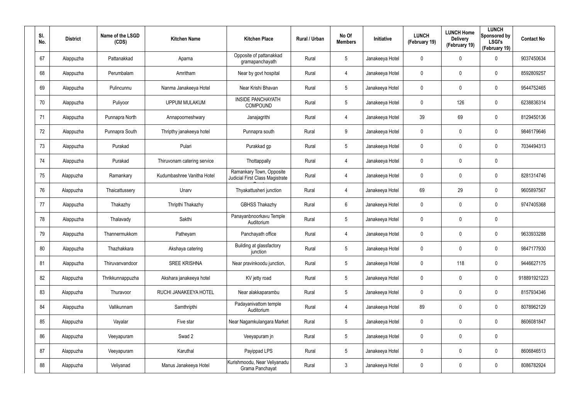| SI.<br>No. | <b>District</b> | Name of the LSGD<br>(CDS) | <b>Kitchen Name</b>         | <b>Kitchen Place</b>                                        | Rural / Urban | No Of<br><b>Members</b> | Initiative      | <b>LUNCH</b><br>(February 19) | <b>LUNCH Home</b><br><b>Delivery</b><br>(February 19) | <b>LUNCH</b><br>Sponsored by<br><b>LSGI's</b><br>(February 19) | <b>Contact No</b> |
|------------|-----------------|---------------------------|-----------------------------|-------------------------------------------------------------|---------------|-------------------------|-----------------|-------------------------------|-------------------------------------------------------|----------------------------------------------------------------|-------------------|
| 67         | Alappuzha       | Pattanakkad               | Aparna                      | Opposite of pattanakkad<br>gramapanchayath                  | Rural         | 5                       | Janakeeya Hotel | 0                             | 0                                                     | $\mathbf 0$                                                    | 9037450634        |
| 68         | Alappuzha       | Perumbalam                | Amritham                    | Near by govt hospital                                       | Rural         | 4                       | Janakeeya Hotel | 0                             | 0                                                     | $\pmb{0}$                                                      | 8592809257        |
| 69         | Alappuzha       | Pulincunnu                | Nanma Janakeeya Hotel       | Near Krishi Bhavan                                          | Rural         | 5                       | Janakeeya Hotel | 0                             | $\mathbf 0$                                           | $\pmb{0}$                                                      | 9544752465        |
| 70         | Alappuzha       | Puliyoor                  | <b>UPPUM MULAKUM</b>        | <b>INSIDE PANCHAYATH</b><br>COMPOUND                        | Rural         | 5                       | Janakeeya Hotel | 0                             | 126                                                   | $\pmb{0}$                                                      | 6238836314        |
| 71         | Alappuzha       | Punnapra North            | Annapoorneshwary            | Janajagrithi                                                | Rural         | 4                       | Janakeeya Hotel | 39                            | 69                                                    | $\pmb{0}$                                                      | 8129450136        |
| 72         | Alappuzha       | Punnapra South            | Thripthy janakeeya hotel    | Punnapra south                                              | Rural         | 9                       | Janakeeya Hotel | 0                             | 0                                                     | $\mathbf 0$                                                    | 9846179646        |
| 73         | Alappuzha       | Purakad                   | Pulari                      | Purakkad gp                                                 | Rural         | $5\phantom{.0}$         | Janakeeya Hotel | 0                             | 0                                                     | $\mathbf 0$                                                    | 7034494313        |
| 74         | Alappuzha       | Purakad                   | Thiruvonam catering service | Thottappally                                                | Rural         | 4                       | Janakeeya Hotel | 0                             | 0                                                     | $\mathbf 0$                                                    |                   |
| 75         | Alappuzha       | Ramankary                 | Kudumbashree Vanitha Hotel  | Ramankary Town, Opposite<br>Judicial First Class Magistrate | Rural         | 4                       | Janakeeya Hotel | 0                             | 0                                                     | $\pmb{0}$                                                      | 8281314746        |
| 76         | Alappuzha       | Thaicattussery            | Unarv                       | Thyakattusheri junction                                     | Rural         | 4                       | Janakeeya Hotel | 69                            | 29                                                    | $\mathbf 0$                                                    | 9605897567        |
| 77         | Alappuzha       | Thakazhy                  | Thripthi Thakazhy           | <b>GBHSS Thakazhy</b>                                       | Rural         | 6                       | Janakeeya Hotel | 0                             | 0                                                     | $\mathbf 0$                                                    | 9747405368        |
| 78         | Alappuzha       | Thalavady                 | Sakthi                      | Panayanbnoorkavu Temple<br>Auditorium                       | Rural         | $5\phantom{.0}$         | Janakeeya Hotel | 0                             | 0                                                     | $\mathbf 0$                                                    |                   |
| 79         | Alappuzha       | Thannermukkom             | Patheyam                    | Panchayath office                                           | Rural         | 4                       | Janakeeya Hotel | 0                             | 0                                                     | $\boldsymbol{0}$                                               | 9633933288        |
| 80         | Alappuzha       | Thazhakkara               | Akshaya catering            | Building at glassfactory<br>junction                        | Rural         | 5                       | Janakeeya Hotel | 0                             | $\mathbf 0$                                           | $\pmb{0}$                                                      | 9847177930        |
| 81         | Alappuzha       | Thiruvanvandoor           | <b>SREE KRISHNA</b>         | Near pravinkoodu junction,                                  | Rural         | $5\phantom{.0}$         | Janakeeya Hotel | $\mathbf 0$                   | 118                                                   | $\mathbf 0$                                                    | 9446627175        |
| 82         | Alappuzha       | Thrikkunnappuzha          | Akshara janakeeya hotel     | KV jetty road                                               | Rural         | $5\phantom{.0}$         | Janakeeya Hotel | $\mathbf 0$                   | $\mathbf 0$                                           | $\mathbf 0$                                                    | 918891921223      |
| 83         | Alappuzha       | Thuravoor                 | RUCHI JANAKEEYA HOTEL       | Near alakkaparambu                                          | Rural         | $5\phantom{.0}$         | Janakeeya Hotel | 0                             | $\mathbf 0$                                           | $\mathbf 0$                                                    | 8157934346        |
| 84         | Alappuzha       | Vallikunnam               | Samthripthi                 | Padayanivattom temple<br>Auditorium                         | Rural         | 4                       | Janakeeya Hotel | 89                            | $\mathbf 0$                                           | $\mathbf 0$                                                    | 8078962129        |
| 85         | Alappuzha       | Vayalar                   | Five star                   | Near Nagamkulangara Market                                  | Rural         | $5\phantom{.0}$         | Janakeeya Hotel | 0                             | 0                                                     | $\mathbf 0$                                                    | 8606081847        |
| 86         | Alappuzha       | Veeyapuram                | Swad 2                      | Veeyapuram jn                                               | Rural         | $5\phantom{.0}$         | Janakeeya Hotel | $\mathbf 0$                   | $\mathbf 0$                                           | $\pmb{0}$                                                      |                   |
| 87         | Alappuzha       | Veeyapuram                | Karuthal                    | Payippad LPS                                                | Rural         | 5                       | Janakeeya Hotel | 0                             | 0                                                     | $\mathbf 0$                                                    | 8606846513        |
| 88         | Alappuzha       | Veliyanad                 | Manus Janakeeya Hotel       | Kurishmoodu, Near Veliyanadu<br>Grama Panchayat             | Rural         | $\mathfrak{Z}$          | Janakeeya Hotel | 0                             | 0                                                     | $\pmb{0}$                                                      | 8086782924        |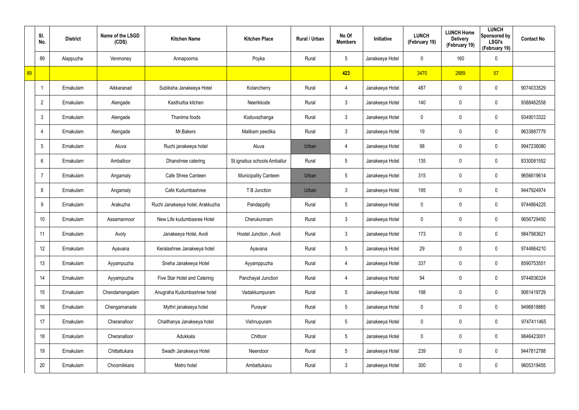|    | SI.<br>No.     | <b>District</b> | Name of the LSGD<br>(CDS) | <b>Kitchen Name</b>              | <b>Kitchen Place</b>         | Rural / Urban | No Of<br><b>Members</b> | Initiative      | <b>LUNCH</b><br>(February 19) | <b>LUNCH Home</b><br><b>Delivery</b><br>(February 19) | <b>LUNCH</b><br>Sponsored by<br><b>LSGI's</b><br>(February 19) | <b>Contact No</b> |
|----|----------------|-----------------|---------------------------|----------------------------------|------------------------------|---------------|-------------------------|-----------------|-------------------------------|-------------------------------------------------------|----------------------------------------------------------------|-------------------|
|    | 89             | Alappuzha       | Venmoney                  | Annapoorna                       | Poyka                        | Rural         | $5\phantom{.0}$         | Janakeeya Hotel | 0                             | 160                                                   | $\mathbf 0$                                                    |                   |
| 89 |                |                 |                           |                                  |                              |               | 423                     |                 | 3470                          | 2889                                                  | 57                                                             |                   |
|    | -1             | Ernakulam       | Aikkaranad                | Subiksha Janakeeya Hotel         | Kolancherry                  | Rural         | $\overline{4}$          | Janakeeya Hotel | 487                           | 0                                                     | $\mathbf 0$                                                    | 9074033529        |
|    | $\overline{2}$ | Ernakulam       | Alengade                  | Kasthurba kitchen                | Neerikkode                   | Rural         | $\mathbf{3}$            | Janakeeya Hotel | 140                           | 0                                                     | $\mathbf 0$                                                    | 9388462558        |
|    | 3              | Ernakulam       | Alengade                  | Thanima foods                    | Koduvazhanga                 | Rural         | 3 <sup>1</sup>          | Janakeeya Hotel | 0                             | 0                                                     | $\mathbf 0$                                                    | 9349013322        |
|    |                | Ernakulam       | Alengade                  | Mr.Bakers                        | Malikam peedika              | Rural         | $\mathbf{3}$            | Janakeeya Hotel | 19                            | 0                                                     | $\mathbf 0$                                                    | 9633887779        |
|    | 5              | Ernakulam       | Aluva                     | Ruchi janakeeya hotel            | Aluva                        | Urban         | $\overline{4}$          | Janakeeya Hotel | 98                            | 0                                                     | $\mathbf 0$                                                    | 9947236080        |
|    | 6              | Ernakulam       | Amballoor                 | Dhanshree catering               | St.ignatius schools Amballur | Rural         | $5\overline{)}$         | Janakeeya Hotel | 135                           | 0                                                     | $\mathbf 0$                                                    | 8330081552        |
|    |                | Ernakulam       | Angamaly                  | Cafe Shree Canteen               | <b>Municipality Canteen</b>  | Urban         | $5\overline{)}$         | Janakeeya Hotel | 315                           | 0                                                     | $\mathbf 0$                                                    | 9656619614        |
|    | 8              | Ernakulam       | Angamaly                  | Cafe Kudumbashree                | T B Junction                 | Urban         | 3                       | Janakeeya Hotel | 195                           | 0                                                     | $\mathbf 0$                                                    | 9447924974        |
|    | 9              | Ernakulam       | Arakuzha                  | Ruchi Janakeeya hotel, Arakkuzha | Pandappilly                  | Rural         | $5\phantom{.0}$         | Janakeeya Hotel | 0                             | 0                                                     | $\mathbf 0$                                                    | 9744864225        |
|    | 10             | Ernakulam       | Assamannoor               | New Life kudumbasree Hotel       | Cherukunnam                  | Rural         | $\mathbf{3}$            | Janakeeya Hotel | 0                             | 0                                                     | $\mathbf 0$                                                    | 9656729450        |
|    | 11             | Ernakulam       | Avoly                     | Janakeeya Hotel, Avoli           | Hostel Junction, Avoli       | Rural         | $\mathbf{3}$            | Janakeeya Hotel | 173                           | 0                                                     | $\mathbf 0$                                                    | 9847983621        |
|    | 12             | Ernakulam       | Ayavana                   | Keralashree Janakeeya hotel      | Ayavana                      | Rural         | $\sqrt{5}$              | Janakeeya Hotel | 29                            | $\mathbf 0$                                           | $\pmb{0}$                                                      | 9744864210        |
|    | 13             | Ernakulam       | Ayyampuzha                | Sneha Janakeeya Hotel            | Ayyamppuzha                  | Rural         | $\overline{4}$          | Janakeeya Hotel | 337                           | $\mathbf 0$                                           | $\mathbf 0$                                                    | 8590753551        |
|    | 14             | Ernakulam       | Ayyampuzha                | Five Star Hotel and Catering     | Panchayat Junction           | Rural         | $\overline{4}$          | Janakeeya Hotel | 94                            | $\mathbf 0$                                           | $\mathbf 0$                                                    | 9744836324        |
|    | 15             | Ernakulam       | Chendamangalam            | Anugraha Kudumbashree hotel      | Vadakkumpuram                | Rural         | $5\phantom{.0}$         | Janakeeya Hotel | 198                           | $\mathbf 0$                                           | $\mathbf 0$                                                    | 9061419729        |
|    | 16             | Ernakulam       | Chengamanade              | Mythri janakeeya hotel           | Purayar                      | Rural         | $5\phantom{.0}$         | Janakeeya Hotel | 0                             | $\mathbf 0$                                           | $\mathbf 0$                                                    | 9496818865        |
|    | 17             | Ernakulam       | Cheranalloor              | Chaithanya Janakeeya hotel       | Vishnupuram                  | Rural         | $5\phantom{.0}$         | Janakeeya Hotel | 0                             | 0                                                     | $\mathbf 0$                                                    | 9747411465        |
|    | 18             | Ernakulam       | Cheranalloor              | Adukkala                         | Chittoor                     | Rural         | $5\phantom{.0}$         | Janakeeya Hotel | 0                             | $\mathbf 0$                                           | $\mathbf 0$                                                    | 9846423001        |
|    | 19             | Ernakulam       | Chittattukara             | Swadh Janakeeya Hotel            | Neendoor                     | Rural         | $5\phantom{.0}$         | Janakeeya Hotel | 239                           | 0                                                     | $\mathbf 0$                                                    | 9447812788        |
|    | 20             | Ernakulam       | Choornikkara              | Metro hotel                      | Ambattukavu                  | Rural         | $\mathfrak{Z}$          | Janakeeya Hotel | 300                           | 0                                                     | $\bf{0}$                                                       | 9605319455        |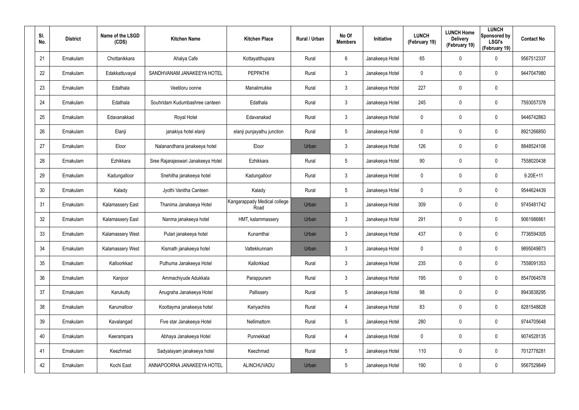| SI.<br>No. | <b>District</b> | Name of the LSGD<br>(CDS) | <b>Kitchen Name</b>                | <b>Kitchen Place</b>                 | Rural / Urban | No Of<br><b>Members</b> | <b>Initiative</b> | <b>LUNCH</b><br>(February 19) | <b>LUNCH Home</b><br><b>Delivery</b><br>(February 19) | <b>LUNCH</b><br>Sponsored by<br><b>LSGI's</b><br>(February 19) | <b>Contact No</b> |
|------------|-----------------|---------------------------|------------------------------------|--------------------------------------|---------------|-------------------------|-------------------|-------------------------------|-------------------------------------------------------|----------------------------------------------------------------|-------------------|
| 21         | Ernakulam       | Chottanikkara             | Ahalya Cafe                        | Kottayatthupara                      | Rural         | 6                       | Janakeeya Hotel   | 65                            | 0                                                     | $\mathbf 0$                                                    | 9567512337        |
| 22         | Ernakulam       | Edakkattuvayal            | SANDHVANAM JANAKEEYA HOTEL         | <b>PEPPATHI</b>                      | Rural         | $\mathbf{3}$            | Janakeeya Hotel   | 0                             | 0                                                     | $\mathbf 0$                                                    | 9447047980        |
| 23         | Ernakulam       | Edathala                  | Veetiloru oonne                    | Manalimukke                          | Rural         | $\mathbf{3}$            | Janakeeya Hotel   | 227                           | 0                                                     | $\pmb{0}$                                                      |                   |
| 24         | Ernakulam       | Edathala                  | Souhridam Kudumbashree canteen     | Edathala                             | Rural         | $\mathbf{3}$            | Janakeeya Hotel   | 245                           | 0                                                     | $\mathbf 0$                                                    | 7593057378        |
| 25         | Ernakulam       | Edavanakkad               | Royal Hotel                        | Edavanakad                           | Rural         | $\mathbf{3}$            | Janakeeya Hotel   | 0                             | 0                                                     | $\mathbf 0$                                                    | 9446742863        |
| 26         | Ernakulam       | Elanji                    | janakiya hotel elanji              | elanji punjayathu junction           | Rural         | $5\phantom{.0}$         | Janakeeya Hotel   | 0                             | 0                                                     | $\mathbf 0$                                                    | 8921266850        |
| 27         | Ernakulam       | Eloor                     | Nalanandhana janakeeya hotel       | Eloor                                | Urban         | $\mathbf{3}$            | Janakeeya Hotel   | 126                           | 0                                                     | $\mathbf 0$                                                    | 8848524108        |
| 28         | Ernakulam       | Ezhikkara                 | Sree Rajarajeswari Janakeeya Hotel | Ezhikkara                            | Rural         | $5\overline{)}$         | Janakeeya Hotel   | 90                            | 0                                                     | $\mathbf 0$                                                    | 7558020438        |
| 29         | Ernakulam       | Kadungalloor              | Snehitha janakeeya hotel           | Kadungalloor                         | Rural         | $\mathbf{3}$            | Janakeeya Hotel   | 0                             | 0                                                     | $\mathbf 0$                                                    | $9.20E+11$        |
| 30         | Ernakulam       | Kalady                    | Jyothi Vanitha Canteen             | Kalady                               | Rural         | $5\overline{)}$         | Janakeeya Hotel   | 0                             | 0                                                     | $\mathbf 0$                                                    | 9544624439        |
| 31         | Ernakulam       | <b>Kalamassery East</b>   | Thanima Janakeeya Hotel            | Kangarappady Medical college<br>Road | Urban         | $\mathbf{3}$            | Janakeeya Hotel   | 309                           | 0                                                     | $\mathbf 0$                                                    | 9745481742        |
| 32         | Ernakulam       | <b>Kalamassery East</b>   | Nanma janakeeya hotel              | HMT, kalammassery                    | Urban         | $\mathbf{3}$            | Janakeeya Hotel   | 291                           | 0                                                     | $\mathbf 0$                                                    | 9061986861        |
| 33         | Ernakulam       | Kalamassery West          | Pulari janakeeya hotel             | Kunamthai                            | Urban         | $\mathbf{3}$            | Janakeeya Hotel   | 437                           | $\mathbf 0$                                           | $\mathbf 0$                                                    | 7736594305        |
| 34         | Ernakulam       | Kalamassery West          | Kismath janakeeya hotel            | Vattekkunnam                         | Urban         | $\mathfrak{Z}$          | Janakeeya Hotel   | 0                             | 0                                                     | $\pmb{0}$                                                      | 9895049873        |
| 35         | Ernakulam       | Kalloorkkad               | Puthuma Janakeeya Hotel            | Kallorkkad                           | Rural         | $\mathbf{3}$            | Janakeeya Hotel   | 235                           | $\mathbf 0$                                           | $\mathbf 0$                                                    | 7558091353        |
| 36         | Ernakulam       | Kanjoor                   | Ammachiyude Adukkala               | Parappuram                           | Rural         | $\mathbf{3}$            | Janakeeya Hotel   | 195                           | 0                                                     | $\mathbf 0$                                                    | 8547064578        |
| 37         | Ernakulam       | Karukutty                 | Anugraha Janakeeya Hotel           | Pallissery                           | Rural         | $5\phantom{.0}$         | Janakeeya Hotel   | 98                            | 0                                                     | $\mathbf 0$                                                    | 8943838295        |
| 38         | Ernakulam       | Karumalloor               | Koottayma janakeeya hotel          | Kariyachira                          | Rural         | 4                       | Janakeeya Hotel   | 83                            | 0                                                     | $\mathbf 0$                                                    | 8281548828        |
| 39         | Ernakulam       | Kavalangad                | Five star Janakeeya Hotel          | Nellimattom                          | Rural         | $5\phantom{.0}$         | Janakeeya Hotel   | 280                           | 0                                                     | $\mathbf 0$                                                    | 9744705648        |
| 40         | Ernakulam       | Keerampara                | Abhaya Janakeeya Hotel             | Punnekkad                            | Rural         | 4                       | Janakeeya Hotel   | 0                             | 0                                                     | $\mathbf 0$                                                    | 9074528135        |
| 41         | Ernakulam       | Keezhmad                  | Sadyalayam janakeeya hotel         | Keezhmad                             | Rural         | $5\phantom{.0}$         | Janakeeya Hotel   | 110                           | 0                                                     | $\mathbf 0$                                                    | 7012778281        |
| 42         | Ernakulam       | Kochi East                | ANNAPOORNA JANAKEEYA HOTEL         | ALINCHUVADU                          | Urban         | $5\phantom{.0}$         | Janakeeya Hotel   | 190                           | 0                                                     | $\pmb{0}$                                                      | 9567529849        |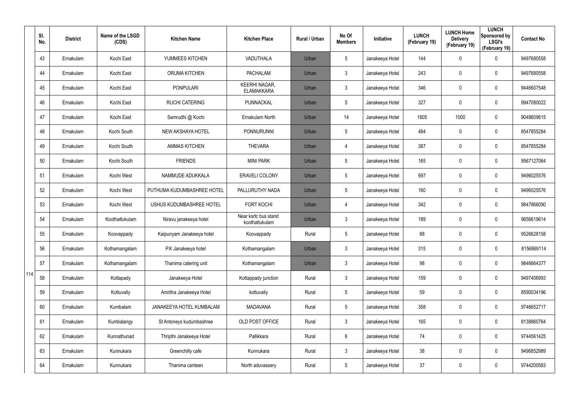|     | SI.<br>No. | <b>District</b> | Name of the LSGD<br>(CDS) | <b>Kitchen Name</b>        | <b>Kitchen Place</b>                      | Rural / Urban | No Of<br><b>Members</b> | Initiative      | <b>LUNCH</b><br>(February 19) | <b>LUNCH Home</b><br><b>Delivery</b><br>(February 19) | <b>LUNCH</b><br>Sponsored by<br><b>LSGI's</b><br>(February 19) | <b>Contact No</b> |
|-----|------------|-----------------|---------------------------|----------------------------|-------------------------------------------|---------------|-------------------------|-----------------|-------------------------------|-------------------------------------------------------|----------------------------------------------------------------|-------------------|
|     | 43         | Ernakulam       | Kochi East                | YUMMEES KITCHEN            | VADUTHALA                                 | Urban         | $5\phantom{.0}$         | Janakeeya Hotel | 144                           | 0                                                     | $\mathbf 0$                                                    | 9497680558        |
|     | 44         | Ernakulam       | Kochi East                | <b>ORUMA KITCHEN</b>       | <b>PACHALAM</b>                           | Urban         | $\mathbf{3}$            | Janakeeya Hotel | 243                           | 0                                                     | $\pmb{0}$                                                      | 9497680558        |
|     | 45         | Ernakulam       | Kochi East                | <b>PONPULARI</b>           | <b>KEERHI NAGAR,</b><br><b>ELAMAKKARA</b> | Urban         | $\mathfrak{Z}$          | Janakeeya Hotel | 346                           | $\mathbf 0$                                           | $\pmb{0}$                                                      | 9446607548        |
|     | 46         | Ernakulam       | Kochi East                | <b>RUCHI CATERING</b>      | PUNNACKAL                                 | Urban         | $5\phantom{.0}$         | Janakeeya Hotel | 327                           | 0                                                     | $\mathbf 0$                                                    | 9947080022        |
|     | 47         | Ernakulam       | Kochi East                | Samrudhi @ Kochi           | Ernakulam North                           | Urban         | 14                      | Janakeeya Hotel | 1605                          | 1000                                                  | $\mathbf 0$                                                    | 9048609615        |
|     | 48         | Ernakulam       | Kochi South               | NEW AKSHAYA HOTEL          | PONNURUNNI                                | Urban         | $5\phantom{.0}$         | Janakeeya Hotel | 484                           | 0                                                     | $\pmb{0}$                                                      | 8547855284        |
|     | 49         | Ernakulam       | Kochi South               | <b>AMMAS KITCHEN</b>       | <b>THEVARA</b>                            | Urban         | 4                       | Janakeeya Hotel | 387                           | 0                                                     | $\pmb{0}$                                                      | 8547855284        |
|     | 50         | Ernakulam       | Kochi South               | <b>FRIENDS</b>             | <b>MINI PARK</b>                          | Urban         | $5\phantom{.0}$         | Janakeeya Hotel | 165                           | 0                                                     | $\mathbf 0$                                                    | 9567127064        |
|     | 51         | Ernakulam       | Kochi West                | NAMMUDE ADUKKALA           | <b>ERAVELI COLONY</b>                     | Urban         | $5\phantom{.0}$         | Janakeeya Hotel | 697                           | 0                                                     | $\pmb{0}$                                                      | 9496025576        |
|     | 52         | Ernakulam       | Kochi West                | PUTHUMA KUDUMBASHREE HOTEL | PALLURUTHY NADA                           | Urban         | $5\phantom{.0}$         | Janakeeya Hotel | 160                           | 0                                                     | $\mathbf 0$                                                    | 9496025576        |
|     | 53         | Ernakulam       | Kochi West                | USHUS KUDUMBASHREE HOTEL   | <b>FORT KOCHI</b>                         | Urban         | 4                       | Janakeeya Hotel | 342                           | 0                                                     | $\mathbf 0$                                                    | 9847866090        |
|     | 54         | Ernakulam       | Koothattukulam            | Niravu janakeeya hotel     | Near ksrtc bus stand<br>koothattukulam    | Urban         | $\mathbf{3}$            | Janakeeya Hotel | 189                           | 0                                                     | $\mathbf 0$                                                    | 9656619614        |
|     | 55         | Ernakulam       | Koovappady                | Kaipunyam Janakeeya hotel  | Koovappady                                | Rural         | $5\phantom{.0}$         | Janakeeya Hotel | 88                            | 0                                                     | $\mathbf 0$                                                    | 9526628158        |
|     | 56         | Ernakulam       | Kothamangalam             | P.K Janakeeya hotel        | Kothamangalam                             | Urban         | $\mathbf{3}$            | Janakeeya Hotel | 315                           | $\mathbf 0$                                           | $\pmb{0}$                                                      | 8156869114        |
|     | 57         | Ernakulam       | Kothamangalam             | Thanima catering unit      | Kothamangalam                             | Urban         | $\mathfrak{Z}$          | Janakeeya Hotel | 98                            | $\mathbf 0$                                           | $\mathbf 0$                                                    | 9846664377        |
| 114 | 58         | Ernakulam       | Kottapady                 | Janakeeya Hotel            | Kottappady junction                       | Rural         | $\mathfrak{Z}$          | Janakeeya Hotel | 159                           | $\mathbf 0$                                           | $\mathbf 0$                                                    | 9497406993        |
|     | 59         | Ernakulam       | Kottuvally                | Amritha Janakeeya Hotel    | kottuvally                                | Rural         | $5\phantom{.0}$         | Janakeeya Hotel | 59                            | $\mathbf 0$                                           | $\mathbf 0$                                                    | 8590034196        |
|     | 60         | Ernakulam       | Kumbalam                  | JANAKEEYA HOTEL KUMBALAM   | <b>MADAVANA</b>                           | Rural         | $5\phantom{.0}$         | Janakeeya Hotel | 358                           | 0                                                     | $\mathbf 0$                                                    | 9746652717        |
|     | 61         | Ernakulam       | Kumbalangy                | St Antoneys kudumbashree   | OLD POST OFFICE                           | Rural         | $\mathfrak{Z}$          | Janakeeya Hotel | 165                           | 0                                                     | $\mathbf 0$                                                    | 8138860764        |
|     | 62         | Ernakulam       | Kunnathunad               | Thripthi Janakeeya Hotel   | Pallikkara                                | Rural         | $6\phantom{.}6$         | Janakeeya Hotel | 74                            | 0                                                     | $\mathbf 0$                                                    | 9744561425        |
|     | 63         | Ernakulam       | Kunnukara                 | Greenchilly cafe           | Kunnukara                                 | Rural         | $\mathfrak{Z}$          | Janakeeya Hotel | 38                            | 0                                                     | $\mathbf 0$                                                    | 9496852989        |
|     | 64         | Ernakulam       | Kunnukara                 | Thanima canteen            | North aduvassery                          | Rural         | $5\phantom{.0}$         | Janakeeya Hotel | 37                            | 0                                                     | $\mathsf{0}$                                                   | 9744200583        |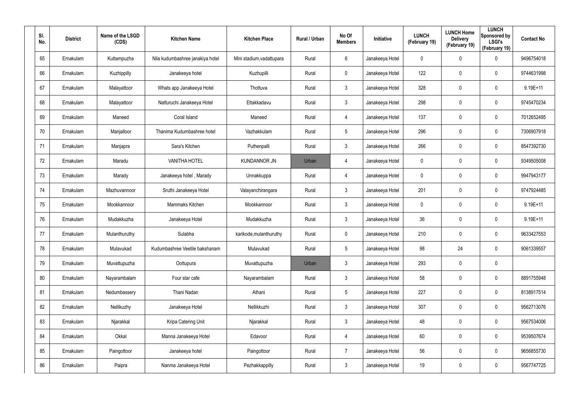| SI.<br>No. | <b>District</b> | Name of the LSGD<br>(CDS) | <b>Kitchen Name</b>              | <b>Kitchen Place</b>      | Rural / Urban | No Of<br><b>Members</b> | <b>Initiative</b> | <b>LUNCH</b><br>(February 19) | <b>LUNCH Home</b><br><b>Delivery</b><br>(February 19) | <b>LUNCH</b><br>Sponsored by<br><b>LSGI's</b><br>(February 19) | <b>Contact No</b> |
|------------|-----------------|---------------------------|----------------------------------|---------------------------|---------------|-------------------------|-------------------|-------------------------------|-------------------------------------------------------|----------------------------------------------------------------|-------------------|
| 65         | Ernakulam       | Kuttampuzha               | Nila kudumbashree janakiya hotel | Mini stadium, vadattupara | Rural         | 6                       | Janakeeya Hotel   | 0                             | 0                                                     | $\mathbf 0$                                                    | 9496754018        |
| 66         | Ernakulam       | Kuzhippilly               | Janakeeya hotel                  | Kuzhupilli                | Rural         | $\mathbf 0$             | Janakeeya Hotel   | 122                           | 0                                                     | $\mathbf 0$                                                    | 9744631998        |
| 67         | Ernakulam       | Malayattoor               | Whats app Janakeeya Hotel        | Thottuva                  | Rural         | $\mathbf{3}$            | Janakeeya Hotel   | 328                           | 0                                                     | $\mathbf 0$                                                    | $9.19E + 11$      |
| 68         | Ernakulam       | Malayattoor               | Natturuchi Janakeeya Hotel       | Ettakkadavu               | Rural         | $\mathbf{3}$            | Janakeeya Hotel   | 298                           | 0                                                     | $\mathbf 0$                                                    | 9745470234        |
| 69         | Ernakulam       | Maneed                    | Coral Island                     | Maneed                    | Rural         | $\overline{4}$          | Janakeeya Hotel   | 137                           | 0                                                     | $\pmb{0}$                                                      | 7012652495        |
| 70         | Ernakulam       | Manjalloor                | Thanima Kudumbashree hotel       | Vazhakkulam               | Rural         | $5\phantom{.0}$         | Janakeeya Hotel   | 296                           | 0                                                     | $\mathbf 0$                                                    | 7306907918        |
| 71         | Ernakulam       | Manjapra                  | Sara's Kitchen                   | Puthenpalli               | Rural         | $\mathbf{3}$            | Janakeeya Hotel   | 266                           | 0                                                     | $\mathbf 0$                                                    | 8547392730        |
| 72         | Ernakulam       | Maradu                    | <b>VANITHA HOTEL</b>             | <b>KUNDANNOR JN</b>       | Urban         | 4                       | Janakeeya Hotel   | 0                             | 0                                                     | $\mathbf 0$                                                    | 9349505008        |
| 73         | Ernakulam       | Marady                    | Janakeeya hotel, Marady          | Unnakkuppa                | Rural         | $\overline{4}$          | Janakeeya Hotel   | 0                             | 0                                                     | $\mathbf 0$                                                    | 9947943177        |
| 74         | Ernakulam       | Mazhuvannoor              | Sruthi Janakeeya Hotel           | Valayanchirangara         | Rural         | $\mathbf{3}$            | Janakeeya Hotel   | 201                           | 0                                                     | $\mathbf 0$                                                    | 9747924485        |
| 75         | Ernakulam       | Mookkannoor               | Mammaks Kitchen                  | Mookkannoor               | Rural         | $\mathbf{3}$            | Janakeeya Hotel   | 0                             | 0                                                     | $\mathbf 0$                                                    | $9.19E + 11$      |
| 76         | Ernakulam       | Mudakkuzha                | Janakeeya Hotel                  | Mudakkuzha                | Rural         | $\mathbf{3}$            | Janakeeya Hotel   | 36                            | 0                                                     | $\mathbf 0$                                                    | $9.19E + 11$      |
| 77         | Ernakulam       | Mulanthuruthy             | Sulabha                          | karikode, mulanthuruthy   | Rural         | $\mathbf 0$             | Janakeeya Hotel   | 210                           | $\mathbf 0$                                           | $\mathbf 0$                                                    | 9633427553        |
| 78         | Ernakulam       | Mulavukad                 | Kudumbashree Veetile bakshanam   | Mulavukad                 | Rural         | $5\phantom{.0}$         | Janakeeya Hotel   | 98                            | 24                                                    | $\pmb{0}$                                                      | 9061339557        |
| 79         | Ernakulam       | Muvattupuzha              | Oottupura                        | Muvattupuzha              | Urban         | $\mathbf{3}$            | Janakeeya Hotel   | 293                           | $\mathbf 0$                                           | $\pmb{0}$                                                      |                   |
| 80         | Ernakulam       | Nayarambalam              | Four star cafe                   | Nayarambalam              | Rural         | $\mathbf{3}$            | Janakeeya Hotel   | 58                            | $\mathbf 0$                                           | $\mathbf 0$                                                    | 8891755948        |
| 81         | Ernakulam       | Nedumbassery              | Thani Nadan                      | Athani                    | Rural         | $5\phantom{.0}$         | Janakeeya Hotel   | 227                           | $\mathbf 0$                                           | $\mathbf 0$                                                    | 8138917514        |
| 82         | Ernakulam       | Nellikuzhy                | Janakeeya Hotel                  | Nellikkuzhi               | Rural         | $\mathbf{3}$            | Janakeeya Hotel   | 307                           | 0                                                     | $\mathbf 0$                                                    | 9562713076        |
| 83         | Ernakulam       | Njarakkal                 | Kripa Catering Unit              | Njarakkal                 | Rural         | $\mathbf{3}$            | Janakeeya Hotel   | 48                            | 0                                                     | $\mathbf 0$                                                    | 9567534006        |
| 84         | Ernakulam       | Okkal                     | Manna Janakeeya Hotel            | Edavoor                   | Rural         | $\overline{4}$          | Janakeeya Hotel   | 60                            | 0                                                     | $\mathsf{0}$                                                   | 9539507674        |
| 85         | Ernakulam       | Paingottoor               | Janakeeya hotel                  | Paingottoor               | Rural         | $\overline{7}$          | Janakeeya Hotel   | 56                            | 0                                                     | $\mathbf 0$                                                    | 9656855730        |
| 86         | Ernakulam       | Paipra                    | Nanma Janakeeya Hotel            | Pezhakkappilly            | Rural         | $\mathfrak{Z}$          | Janakeeya Hotel   | 19                            | 0                                                     | $\mathbf 0$                                                    | 9567747725        |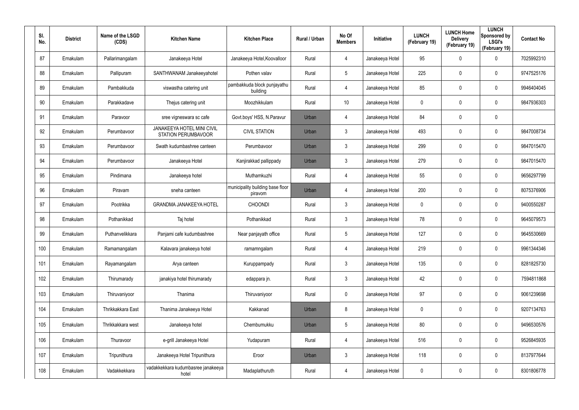| SI.<br>No. | <b>District</b> | Name of the LSGD<br>(CDS) | <b>Kitchen Name</b>                                             | <b>Kitchen Place</b>                        | <b>Rural / Urban</b> | No Of<br><b>Members</b> | Initiative      | <b>LUNCH</b><br>(February 19) | <b>LUNCH Home</b><br><b>Delivery</b><br>(February 19) | <b>LUNCH</b><br>Sponsored by<br><b>LSGI's</b><br>(February 19) | <b>Contact No</b> |
|------------|-----------------|---------------------------|-----------------------------------------------------------------|---------------------------------------------|----------------------|-------------------------|-----------------|-------------------------------|-------------------------------------------------------|----------------------------------------------------------------|-------------------|
| 87         | Ernakulam       | Pallarimangalam           | Janakeeya Hotel                                                 | Janakeeya Hotel, Koovalloor                 | Rural                | 4                       | Janakeeya Hotel | 95                            | $\mathbf 0$                                           | $\mathbf 0$                                                    | 7025992310        |
| 88         | Ernakulam       | Pallipuram                | SANTHWANAM Janakeeyahotel                                       | Pothen valav                                | Rural                | $5\overline{)}$         | Janakeeya Hotel | 225                           | 0                                                     | $\boldsymbol{0}$                                               | 9747525176        |
| 89         | Ernakulam       | Pambakkuda                | viswastha catering unit                                         | pambakkuda block punjayathu<br>building     | Rural                | 4                       | Janakeeya Hotel | 85                            | $\mathbf 0$                                           | $\mathbf 0$                                                    | 9946404045        |
| 90         | Ernakulam       | Parakkadave               | Thejus catering unit                                            | Moozhikkulam                                | Rural                | 10                      | Janakeeya Hotel | 0                             | 0                                                     | $\mathbf 0$                                                    | 9847936303        |
| 91         | Ernakulam       | Paravoor                  | sree vigneswara sc cafe                                         | Govt.boys' HSS, N.Paravur                   | Urban                | 4                       | Janakeeya Hotel | 84                            | $\mathbf 0$                                           | $\boldsymbol{0}$                                               |                   |
| 92         | Ernakulam       | Perumbavoor               | <b>JANAKEEYA HOTEL MINI CIVIL</b><br><b>STATION PERUMBAVOOR</b> | <b>CIVIL STATION</b>                        | Urban                | 3                       | Janakeeya Hotel | 493                           | $\mathbf 0$                                           | $\mathbf 0$                                                    | 9847008734        |
| 93         | Ernakulam       | Perumbavoor               | Swath kudumbashree canteen                                      | Perumbavoor                                 | Urban                | $\mathbf{3}$            | Janakeeya Hotel | 299                           | $\mathbf 0$                                           | $\mathbf 0$                                                    | 9847015470        |
| 94         | Ernakulam       | Perumbayoor               | Janakeeya Hotel                                                 | Kanjirakkad pallippady                      | Urban                | $\mathbf{3}$            | Janakeeya Hotel | 279                           | $\mathbf 0$                                           | $\mathbf 0$                                                    | 9847015470        |
| 95         | Ernakulam       | Pindimana                 | Janakeeya hotel                                                 | Muthamkuzhi                                 | Rural                | 4                       | Janakeeya Hotel | 55                            | $\mathbf 0$                                           | $\mathbf 0$                                                    | 9656297799        |
| 96         | Ernakulam       | Piravam                   | sneha canteen                                                   | municipality building base floor<br>piravom | Urban                | 4                       | Janakeeya Hotel | 200                           | $\mathbf 0$                                           | $\mathbf 0$                                                    | 8075376906        |
| 97         | Ernakulam       | Pootrikka                 | <b>GRANDMA JANAKEEYA HOTEL</b>                                  | <b>CHOONDI</b>                              | Rural                | $\mathbf{3}$            | Janakeeya Hotel | 0                             | $\mathbf 0$                                           | $\mathbf 0$                                                    | 9400550287        |
| 98         | Ernakulam       | Pothanikkad               | Taj hotel                                                       | Pothanikkad                                 | Rural                | $\mathbf{3}$            | Janakeeya Hotel | 78                            | $\mathbf 0$                                           | $\mathbf 0$                                                    | 9645079573        |
| 99         | Ernakulam       | Puthanvelikkara           | Panjami cafe kudumbashree                                       | Near panjayath office                       | Rural                | $5\overline{)}$         | Janakeeya Hotel | 127                           | $\mathbf 0$                                           | $\mathbf 0$                                                    | 9645530669        |
| 100        | Ernakulam       | Ramamangalam              | Kalavara janakeeya hotel                                        | ramamngalam                                 | Rural                | 4                       | Janakeeya Hotel | 219                           | $\mathbf 0$                                           | $\pmb{0}$                                                      | 9961344346        |
| 101        | Ernakulam       | Rayamangalam              | Arya canteen                                                    | Kuruppampady                                | Rural                | $\mathbf{3}$            | Janakeeya Hotel | 135                           | 0                                                     | $\pmb{0}$                                                      | 8281825730        |
| 102        | Ernakulam       | Thirumarady               | janakiya hotel thirumarady                                      | edappara jn.                                | Rural                | $\mathfrak{Z}$          | Janakeeya Hotel | 42                            | $\mathbf 0$                                           | $\pmb{0}$                                                      | 7594811868        |
| 103        | Ernakulam       | Thiruvaniyoor             | Thanima                                                         | Thiruvaniyoor                               | Rural                | $\mathbf 0$             | Janakeeya Hotel | 97                            | $\mathbf 0$                                           | $\mathbf 0$                                                    | 9061239698        |
| 104        | Ernakulam       | Thrikkakkara East         | Thanima Janakeeya Hotel                                         | Kakkanad                                    | Urban                | 8                       | Janakeeya Hotel | $\pmb{0}$                     | 0                                                     | $\pmb{0}$                                                      | 9207134763        |
| 105        | Ernakulam       | Thrikkakkara west         | Janakeeya hotel                                                 | Chembumukku                                 | Urban                | 5                       | Janakeeya Hotel | 80                            | $\mathbf 0$                                           | $\pmb{0}$                                                      | 9496530576        |
| 106        | Ernakulam       | Thuravoor                 | e-grill Janakeeya Hotel                                         | Yudapuram                                   | Rural                | 4                       | Janakeeya Hotel | 516                           | 0                                                     | $\pmb{0}$                                                      | 9526845935        |
| 107        | Ernakulam       | Tripunithura              | Janakeeya Hotel Tripunithura                                    | Eroor                                       | Urban                | $\mathbf{3}$            | Janakeeya Hotel | 118                           | $\mathbf 0$                                           | $\pmb{0}$                                                      | 8137977644        |
| 108        | Ernakulam       | Vadakkekkara              | vadakkekkara kudumbasree janakeeya<br>hotel                     | Madaplathuruth                              | Rural                | 4                       | Janakeeya Hotel | 0                             | $\mathbf 0$                                           | $\pmb{0}$                                                      | 8301806778        |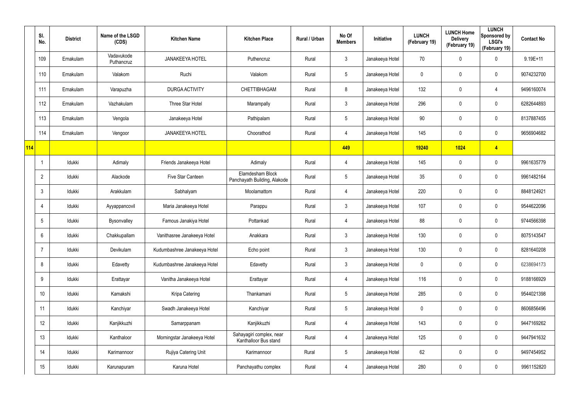|     | SI.<br>No.      | <b>District</b> | Name of the LSGD<br>(CDS) | <b>Kitchen Name</b>          | <b>Kitchen Place</b>                              | Rural / Urban | No Of<br><b>Members</b> | Initiative      | <b>LUNCH</b><br>(February 19) | <b>LUNCH Home</b><br><b>Delivery</b><br>(February 19) | <b>LUNCH</b><br>Sponsored by<br><b>LSGI's</b><br>(February 19) | <b>Contact No</b> |
|-----|-----------------|-----------------|---------------------------|------------------------------|---------------------------------------------------|---------------|-------------------------|-----------------|-------------------------------|-------------------------------------------------------|----------------------------------------------------------------|-------------------|
|     | 109             | Ernakulam       | Vadavukode<br>Puthancruz  | <b>JANAKEEYA HOTEL</b>       | Puthencruz                                        | Rural         | $\mathfrak{Z}$          | Janakeeya Hotel | 70                            | 0                                                     | $\mathbf 0$                                                    | $9.19E+11$        |
|     | 110             | Ernakulam       | Valakom                   | Ruchi                        | Valakom                                           | Rural         | $5\phantom{.0}$         | Janakeeya Hotel | 0                             | 0                                                     | $\pmb{0}$                                                      | 9074232700        |
|     | 111             | Ernakulam       | Varapuzha                 | <b>DURGA ACTIVITY</b>        | CHETTIBHAGAM                                      | Rural         | 8                       | Janakeeya Hotel | 132                           | 0                                                     | $\overline{4}$                                                 | 9496160074        |
|     | 112             | Ernakulam       | Vazhakulam                | Three Star Hotel             | Marampally                                        | Rural         | $\mathfrak{Z}$          | Janakeeya Hotel | 296                           | 0                                                     | $\mathbf 0$                                                    | 6282644893        |
|     | 113             | Ernakulam       | Vengola                   | Janakeeya Hotel              | Pathipalam                                        | Rural         | $5\phantom{.0}$         | Janakeeya Hotel | 90                            | 0                                                     | $\pmb{0}$                                                      | 8137887455        |
|     | 114             | Ernakulam       | Vengoor                   | <b>JANAKEEYA HOTEL</b>       | Choorathod                                        | Rural         | 4                       | Janakeeya Hotel | 145                           | 0                                                     | $\pmb{0}$                                                      | 9656904682        |
| 114 |                 |                 |                           |                              |                                                   |               | 449                     |                 | 19240                         | 1024                                                  | $\overline{4}$                                                 |                   |
|     |                 | Idukki          | Adimaly                   | Friends Janakeeya Hotel      | Adimaly                                           | Rural         | 4                       | Janakeeya Hotel | 145                           | 0                                                     | $\pmb{0}$                                                      | 9961635779        |
|     | $\overline{2}$  | Idukki          | Alackode                  | Five Star Canteen            | Elamdesham Block<br>Panchayath Building, Alakode  | Rural         | $5\phantom{.0}$         | Janakeeya Hotel | 35                            | 0                                                     | $\pmb{0}$                                                      | 9961482164        |
|     | 3               | Idukki          | Arakkulam                 | Sabhalyam                    | Moolamattom                                       | Rural         | 4                       | Janakeeya Hotel | 220                           | 0                                                     | $\pmb{0}$                                                      | 8848124921        |
|     |                 | Idukki          | Ayyappancovil             | Maria Janakeeya Hotel        | Parappu                                           | Rural         | $\mathfrak{Z}$          | Janakeeya Hotel | 107                           | 0                                                     | $\mathbf 0$                                                    | 9544622096        |
|     | $5\phantom{.0}$ | Idukki          | Bysonvalley               | Famous Janakiya Hotel        | Pottankad                                         | Rural         | 4                       | Janakeeya Hotel | 88                            | 0                                                     | $\mathbf 0$                                                    | 9744566398        |
|     | 6               | Idukki          | Chakkupallam              | Vanithasree Janakeeya Hotel  | Anakkara                                          | Rural         | $\mathfrak{Z}$          | Janakeeya Hotel | 130                           | $\mathbf 0$                                           | $\pmb{0}$                                                      | 8075143547        |
|     | -7              | Idukki          | Devikulam                 | Kudumbashree Janakeeya Hotel | Echo point                                        | Rural         | $\mathfrak{Z}$          | Janakeeya Hotel | 130                           | 0                                                     | $\pmb{0}$                                                      | 8281640208        |
|     | 8               | Idukki          | Edavetty                  | Kudumbashree Janakeeya Hotel | Edavetty                                          | Rural         | $\mathfrak{Z}$          | Janakeeya Hotel | 0                             | 0                                                     | $\pmb{0}$                                                      | 6238694173        |
|     | 9               | Idukki          | Erattayar                 | Vanitha Janakeeya Hotel      | Erattayar                                         | Rural         | 4                       | Janakeeya Hotel | 116                           | 0                                                     | $\mathsf{0}$                                                   | 9188166929        |
|     | 10 <sup>°</sup> | Idukki          | Kamakshi                  | Kripa Catering               | Thankamani                                        | Rural         | $5\phantom{.0}$         | Janakeeya Hotel | 285                           | 0                                                     | $\mathbf 0$                                                    | 9544021398        |
|     | 11              | Idukki          | Kanchiyar                 | Swadh Janakeeya Hotel        | Kanchiyar                                         | Rural         | $5\phantom{.0}$         | Janakeeya Hotel | $\mathbf 0$                   | 0                                                     | $\mathsf{0}$                                                   | 8606856496        |
|     | 12              | Idukki          | Kanjikkuzhi               | Samarppanam                  | Kanjikkuzhi                                       | Rural         | 4                       | Janakeeya Hotel | 143                           | 0                                                     | $\pmb{0}$                                                      | 9447169262        |
|     | 13              | Idukki          | Kanthaloor                | Morningstar Janakeeya Hotel  | Sahayagiri complex, near<br>Kanthalloor Bus stand | Rural         | 4                       | Janakeeya Hotel | 125                           | 0                                                     | $\mathbf 0$                                                    | 9447941632        |
|     | 14              | Idukki          | Karimannoor               | Rujiya Catering Unit         | Karimannoor                                       | Rural         | $5\phantom{.0}$         | Janakeeya Hotel | 62                            | 0                                                     | $\pmb{0}$                                                      | 9497454952        |
|     | 15              | Idukki          | Karunapuram               | Karuna Hotel                 | Panchayathu complex                               | Rural         | 4                       | Janakeeya Hotel | 280                           | 0                                                     | $\mathsf{0}$                                                   | 9961152820        |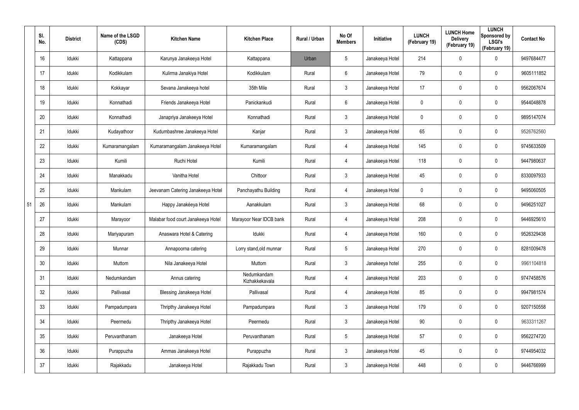|    | SI.<br>No.      | <b>District</b> | Name of the LSGD<br>(CDS) | <b>Kitchen Name</b>                | <b>Kitchen Place</b>          | <b>Rural / Urban</b> | No Of<br><b>Members</b> | Initiative      | <b>LUNCH</b><br>(February 19) | <b>LUNCH Home</b><br><b>Delivery</b><br>(February 19) | <b>LUNCH</b><br>Sponsored by<br><b>LSGI's</b><br>(February 19) | <b>Contact No</b> |
|----|-----------------|-----------------|---------------------------|------------------------------------|-------------------------------|----------------------|-------------------------|-----------------|-------------------------------|-------------------------------------------------------|----------------------------------------------------------------|-------------------|
|    | 16              | Idukki          | Kattappana                | Karunya Janakeeya Hotel            | Kattappana                    | Urban                | 5                       | Janakeeya Hotel | 214                           | $\mathbf 0$                                           | 0                                                              | 9497684477        |
|    | 17              | Idukki          | Kodikkulam                | Kulirma Janakiya Hotel             | Kodikkulam                    | Rural                | 6                       | Janakeeya Hotel | 79                            | $\mathsf{0}$                                          | 0                                                              | 9605111852        |
|    | 18              | Idukki          | Kokkayar                  | Sevana Janakeeya hotel             | 35th Mile                     | Rural                | $\mathfrak{Z}$          | Janakeeya Hotel | 17                            | $\mathsf{0}$                                          | 0                                                              | 9562067674        |
|    | 19              | Idukki          | Konnathadi                | Friends Janakeeya Hotel            | Panickankudi                  | Rural                | 6                       | Janakeeya Hotel | 0                             | $\mathbf 0$                                           | 0                                                              | 9544048878        |
|    | 20              | Idukki          | Konnathadi                | Janapriya Janakeeya Hotel          | Konnathadi                    | Rural                | $\mathfrak{Z}$          | Janakeeya Hotel | 0                             | $\mathbf 0$                                           | 0                                                              | 9895147074        |
|    | 21              | Idukki          | Kudayathoor               | Kudumbashree Janakeeya Hotel       | Kanjar                        | Rural                | 3                       | Janakeeya Hotel | 65                            | $\mathbf 0$                                           | 0                                                              | 9526762560        |
|    | 22              | Idukki          | Kumaramangalam            | Kumaramangalam Janakeeya Hotel     | Kumaramangalam                | Rural                | 4                       | Janakeeya Hotel | 145                           | 0                                                     | 0                                                              | 9745633509        |
|    | 23              | Idukki          | Kumili                    | Ruchi Hotel                        | Kumili                        | Rural                | 4                       | Janakeeya Hotel | 118                           | $\mathbf 0$                                           | 0                                                              | 9447980637        |
|    | 24              | Idukki          | Manakkadu                 | Vanitha Hotel                      | Chittoor                      | Rural                | $\mathfrak{Z}$          | Janakeeya Hotel | 45                            | $\mathbf 0$                                           | 0                                                              | 8330097933        |
|    | 25              | Idukki          | Mankulam                  | Jeevanam Catering Janakeeya Hotel  | Panchayathu Building          | Rural                | 4                       | Janakeeya Hotel | 0                             | $\mathbf 0$                                           | 0                                                              | 9495060505        |
| 51 | 26              | Idukki          | Mankulam                  | Happy Janakéeya Hotel              | Aanakkulam                    | Rural                | $\mathfrak{Z}$          | Janakeeya Hotel | 68                            | $\mathbf 0$                                           | 0                                                              | 9496251027        |
|    | 27              | Idukki          | Marayoor                  | Malabar food court Janakeeya Hotel | Marayoor Near IDCB bank       | Rural                | 4                       | Janakeeya Hotel | 208                           | $\mathbf 0$                                           | 0                                                              | 9446925610        |
|    | 28              | Idukki          | Mariyapuram               | Anaswara Hotel & Catering          | Idukki                        | Rural                | 4                       | Janakeeya Hotel | 160                           | $\mathbf 0$                                           | 0                                                              | 9526329438        |
|    | 29              | Idukki          | Munnar                    | Annapoorna catering                | Lorry stand, old munnar       | Rural                | 5                       | Janakeeya Hotel | 270                           | $\mathbf 0$                                           | 0                                                              | 8281009478        |
|    | 30              | Idukki          | Muttom                    | Nila Janakeeya Hotel               | Muttom                        | Rural                | $\mathfrak{Z}$          | Janakeeya hotel | 255                           | $\mathbf 0$                                           | 0                                                              | 9961104818        |
|    | 31              | Idukki          | Nedumkandam               | Annus catering                     | Nedumkandam<br>Kizhakkekavala | Rural                | 4                       | Janakeeya Hotel | 203                           | $\mathbf 0$                                           | 0                                                              | 9747458576        |
|    | 32              | Idukki          | Pallivasal                | <b>Blessing Janakeeya Hotel</b>    | Pallivasal                    | Rural                | 4                       | Janakeeya Hotel | 85                            | $\mathbf 0$                                           | 0                                                              | 9947981574        |
|    | 33              | Idukki          | Pampadumpara              | Thripthy Janakeeya Hotel           | Pampadumpara                  | Rural                | $\mathbf{3}$            | Janakeeya Hotel | 179                           | $\mathbf 0$                                           | 0                                                              | 9207150558        |
|    | 34              | Idukki          | Peermedu                  | Thripthy Janakeeya Hotel           | Peermedu                      | Rural                | $\mathbf{3}$            | Janakeeya Hotel | 90                            | $\mathbf 0$                                           | 0                                                              | 9633311267        |
|    | 35 <sub>5</sub> | ldukki          | Peruvanthanam             | Janakeeya Hotel                    | Peruvanthanam                 | Rural                | $5\phantom{.0}$         | Janakeeya Hotel | 57                            | $\mathbf 0$                                           | 0                                                              | 9562274720        |
|    | 36              | Idukki          | Purappuzha                | Ammas Janakeeya Hotel              | Purappuzha                    | Rural                | $\mathbf{3}$            | Janakeeya Hotel | 45                            | $\mathbf 0$                                           | 0                                                              | 9744954032        |
|    | 37              | ldukki          | Rajakkadu                 | Janakeeya Hotel                    | Rajakkadu Town                | Rural                | $\mathbf{3}$            | Janakeeya Hotel | 448                           | $\mathbf 0$                                           | 0                                                              | 9446766999        |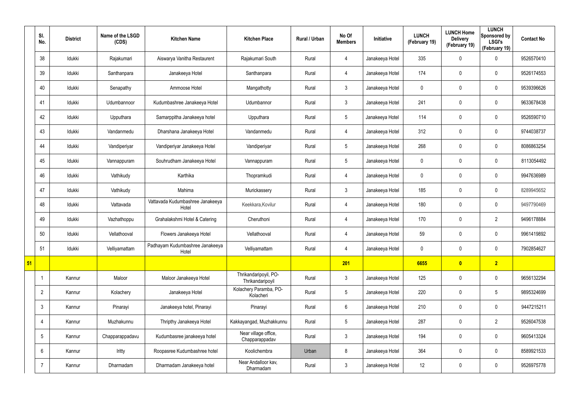|    | SI.<br>No.      | <b>District</b> | Name of the LSGD<br>(CDS) | <b>Kitchen Name</b>                       | <b>Kitchen Place</b>                      | Rural / Urban | No Of<br><b>Members</b> | Initiative      | <b>LUNCH</b><br>(February 19) | <b>LUNCH Home</b><br><b>Delivery</b><br>(February 19) | <b>LUNCH</b><br>Sponsored by<br><b>LSGI's</b><br>(February 19) | <b>Contact No</b> |
|----|-----------------|-----------------|---------------------------|-------------------------------------------|-------------------------------------------|---------------|-------------------------|-----------------|-------------------------------|-------------------------------------------------------|----------------------------------------------------------------|-------------------|
|    | 38              | Idukki          | Rajakumari                | Aiswarya Vanitha Restaurent               | Rajakumari South                          | Rural         | 4                       | Janakeeya Hotel | 335                           | 0                                                     | $\mathbf 0$                                                    | 9526570410        |
|    | 39              | Idukki          | Santhanpara               | Janakeeya Hotel                           | Santhanpara                               | Rural         | 4                       | Janakeeya Hotel | 174                           | 0                                                     | $\pmb{0}$                                                      | 9526174553        |
|    | 40              | Idukki          | Senapathy                 | Ammoose Hotel                             | Mangathotty                               | Rural         | $3\phantom{.0}$         | Janakeeya Hotel | $\mathbf 0$                   | 0                                                     | $\mathbf 0$                                                    | 9539396626        |
|    | 41              | Idukki          | Udumbannoor               | Kudumbashree Janakeeya Hotel              | Udumbannor                                | Rural         | $\mathbf{3}$            | Janakeeya Hotel | 241                           | 0                                                     | $\pmb{0}$                                                      | 9633678438        |
|    | 42              | Idukki          | Upputhara                 | Samarppitha Janakeeya hotel               | Upputhara                                 | Rural         | $5\phantom{.0}$         | Janakeeya Hotel | 114                           | $\mathbf 0$                                           | $\mathbf 0$                                                    | 9526590710        |
|    | 43              | Idukki          | Vandanmedu                | Dharshana Janakeeya Hotel                 | Vandanmedu                                | Rural         | 4                       | Janakeeya Hotel | 312                           | 0                                                     | $\pmb{0}$                                                      | 9744038737        |
|    | 44              | Idukki          | Vandiperiyar              | Vandiperiyar Janakeeya Hotel              | Vandiperiyar                              | Rural         | $5\overline{)}$         | Janakeeya Hotel | 268                           | 0                                                     | $\mathbf 0$                                                    | 8086863254        |
|    | 45              | Idukki          | Vannappuram               | Souhrudham Janakeeya Hotel                | Vannappuram                               | Rural         | $5\overline{)}$         | Janakeeya Hotel | 0                             | 0                                                     | $\mathbf 0$                                                    | 8113054492        |
|    | 46              | Idukki          | Vathikudy                 | Karthika                                  | Thopramkudi                               | Rural         | $\overline{4}$          | Janakeeya Hotel | $\mathbf 0$                   | 0                                                     | $\mathbf 0$                                                    | 9947636989        |
|    | 47              | Idukki          | Vathikudy                 | Mahima                                    | Murickassery                              | Rural         | $\mathbf{3}$            | Janakeeya Hotel | 185                           | 0                                                     | $\mathbf 0$                                                    | 8289945652        |
|    | 48              | Idukki          | Vattavada                 | Vattavada Kudumbashree Janakeeya<br>Hotel | Keekkara, Kovilur                         | Rural         | $\overline{4}$          | Janakeeya Hotel | 180                           | 0                                                     | $\pmb{0}$                                                      | 9497790469        |
|    | 49              | Idukki          | Vazhathoppu               | Grahalakshmi Hotel & Catering             | Cheruthoni                                | Rural         | 4                       | Janakeeya Hotel | 170                           | 0                                                     | $\overline{2}$                                                 | 9496178884        |
|    | 50              | Idukki          | Vellathooval              | Flowers Janakeeya Hotel                   | Vellathooval                              | Rural         | 4                       | Janakeeya Hotel | 59                            | 0                                                     | $\mathbf 0$                                                    | 9961419892        |
|    | 51              | Idukki          | Velliyamattam             | Padhayam Kudumbashree Janakeeya<br>Hotel  | Velliyamattam                             | Rural         | $\overline{4}$          | Janakeeya Hotel | 0                             | 0                                                     | $\pmb{0}$                                                      | 7902854627        |
| 51 |                 |                 |                           |                                           |                                           |               | 201                     |                 | 6655                          | $\bullet$                                             | 2                                                              |                   |
|    | -1              | Kannur          | Maloor                    | Maloor Janakeeya Hotel                    | Thrikandaripoyil, PO-<br>Thrikandaripoyil | Rural         | $3\phantom{.0}$         | Janakeeya Hotel | 125                           | 0                                                     | $\mathbf 0$                                                    | 9656132294        |
|    | $\overline{2}$  | Kannur          | Kolachery                 | Janakeeya Hotel                           | Kolachery Paramba, PO-<br>Kolacheri       | Rural         | $5\overline{)}$         | Janakeeya Hotel | 220                           | 0                                                     | $5\phantom{.0}$                                                | 9895324699        |
|    | $\mathbf{3}$    | Kannur          | Pinarayi                  | Janakeeya hotel, Pinarayi                 | Pinarayi                                  | Rural         | $6\overline{6}$         | Janakeeya Hotel | 210                           | 0                                                     | $\mathbf 0$                                                    | 9447215211        |
|    | $\overline{4}$  | Kannur          | Muzhakunnu                | Thripthy Janakeeya Hotel                  | Kakkayangad, Muzhakkunnu                  | Rural         | $5\overline{)}$         | Janakeeya Hotel | 287                           | $\mathbf 0$                                           | $\overline{2}$                                                 | 9526047538        |
|    | $5\overline{)}$ | Kannur          | Chapparappadavu           | Kudumbasree janakeeya hotel               | Near village office,<br>Chapparappadav    | Rural         | $3\phantom{.0}$         | Janakeeya Hotel | 194                           | 0                                                     | $\mathbf 0$                                                    | 9605413324        |
|    | 6               | Kannur          | Iritty                    | Roopasree Kudumbashree hotel              | Koolichembra                              | Urban         | 8                       | Janakeeya Hotel | 364                           | 0                                                     | $\mathbf 0$                                                    | 8589921533        |
|    | $\overline{7}$  | Kannur          | Dharmadam                 | Dharmadam Janakeeya hotel                 | Near Andalloor kav,<br>Dharmadam          | Rural         | $\mathbf{3}$            | Janakeeya Hotel | $12 \,$                       | 0                                                     | $\pmb{0}$                                                      | 9526975778        |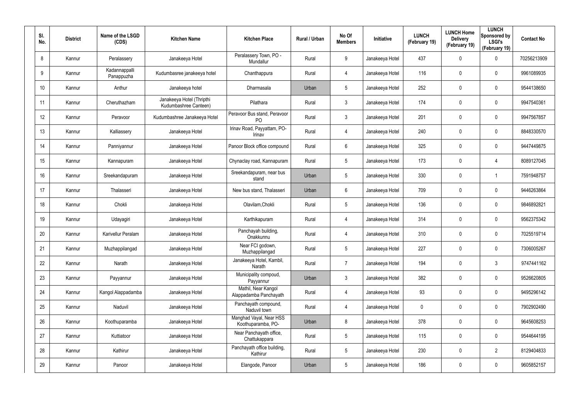| SI.<br>No.      | <b>District</b> | Name of the LSGD<br>(CDS)   | <b>Kitchen Name</b>                                | <b>Kitchen Place</b>                           | Rural / Urban | No Of<br><b>Members</b> | <b>Initiative</b> | <b>LUNCH</b><br>(February 19) | <b>LUNCH Home</b><br><b>Delivery</b><br>(February 19) | <b>LUNCH</b><br>Sponsored by<br><b>LSGI's</b><br>(February 19) | <b>Contact No</b> |
|-----------------|-----------------|-----------------------------|----------------------------------------------------|------------------------------------------------|---------------|-------------------------|-------------------|-------------------------------|-------------------------------------------------------|----------------------------------------------------------------|-------------------|
| 8               | Kannur          | Peralassery                 | Janakeeya Hotel                                    | Peralassery Town, PO -<br>Mundallur            | Rural         | 9                       | Janakeeya Hotel   | 437                           | 0                                                     | $\mathbf 0$                                                    | 70256213909       |
| 9               | Kannur          | Kadannappalli<br>Panappuzha | Kudumbasree janakeeya hotel                        | Chanthappura                                   | Rural         | 4                       | Janakeeya Hotel   | 116                           | 0                                                     | $\pmb{0}$                                                      | 9961089935        |
| 10 <sup>°</sup> | Kannur          | Anthur                      | Janakeeya hotel                                    | Dharmasala                                     | Urban         | $5\phantom{.0}$         | Janakeeya Hotel   | 252                           | 0                                                     | $\pmb{0}$                                                      | 9544138650        |
| 11              | Kannur          | Cheruthazham                | Janakeeya Hotel (Thripthi<br>Kudumbashree Canteen) | Pilathara                                      | Rural         | 3                       | Janakeeya Hotel   | 174                           | 0                                                     | $\pmb{0}$                                                      | 9947540361        |
| 12              | Kannur          | Peravoor                    | Kudumbashree Janakeeya Hotel                       | Peravoor Bus stand, Peravoor<br>P <sub>O</sub> | Rural         | $\mathbf{3}$            | Janakeeya Hotel   | 201                           | 0                                                     | $\pmb{0}$                                                      | 9947567857        |
| 13              | Kannur          | Kalliassery                 | Janakeeya Hotel                                    | Irinav Road, Payyattam, PO-<br>Irinav          | Rural         | 4                       | Janakeeya Hotel   | 240                           | 0                                                     | $\pmb{0}$                                                      | 8848330570        |
| 14              | Kannur          | Panniyannur                 | Janakeeya Hotel                                    | Panoor Block office compound                   | Rural         | 6                       | Janakeeya Hotel   | 325                           | 0                                                     | $\pmb{0}$                                                      | 9447449875        |
| 15              | Kannur          | Kannapuram                  | Janakeeya Hotel                                    | Chynaclay road, Kannapuram                     | Rural         | $5\overline{)}$         | Janakeeya Hotel   | 173                           | 0                                                     | 4                                                              | 8089127045        |
| 16              | Kannur          | Sreekandapuram              | Janakeeya Hotel                                    | Sreekandapuram, near bus<br>stand              | Urban         | $5\phantom{.0}$         | Janakeeya Hotel   | 330                           | 0                                                     | 1                                                              | 7591948757        |
| 17              | Kannur          | Thalasseri                  | Janakeeya Hotel                                    | New bus stand, Thalasseri                      | Urban         | 6                       | Janakeeya Hotel   | 709                           | 0                                                     | 0                                                              | 9446263864        |
| 18              | Kannur          | Chokli                      | Janakeeya Hotel                                    | Olavilam, Chokli                               | Rural         | $5\phantom{.0}$         | Janakeeya Hotel   | 136                           | 0                                                     | $\pmb{0}$                                                      | 9846892821        |
| 19              | Kannur          | Udayagiri                   | Janakeeya Hotel                                    | Karthikapuram                                  | Rural         | 4                       | Janakeeya Hotel   | 314                           | 0                                                     | 0                                                              | 9562375342        |
| 20              | Kannur          | <b>Karivellur Peralam</b>   | Janakeeya Hotel                                    | Panchayah building,<br>Onakkunnu               | Rural         | 4                       | Janakeeya Hotel   | 310                           | 0                                                     | 0                                                              | 7025519714        |
| 21              | Kannur          | Muzhappilangad              | Janakeeya Hotel                                    | Near FCI godown,<br>Muzhappilangad             | Rural         | $5\phantom{.0}$         | Janakeeya Hotel   | 227                           | 0                                                     | $\pmb{0}$                                                      | 7306005267        |
| 22              | Kannur          | Narath                      | Janakeeya Hotel                                    | Janakeeya Hotel, Kambil,<br>Narath             | Rural         | $\overline{7}$          | Janakeeya Hotel   | 194                           | 0                                                     | $\mathbf{3}$                                                   | 9747441162        |
| 23              | Kannur          | Payyannur                   | Janakeeya Hotel                                    | Municipality compoud,<br>Payyannur             | Urban         | $\mathbf{3}$            | Janakeeya Hotel   | 382                           | 0                                                     | $\mathbf 0$                                                    | 9526620805        |
| 24              | Kannur          | Kangol Alappadamba          | Janakeeya Hotel                                    | Mathil, Near Kangol<br>Alappadamba Panchayath  | Rural         | 4                       | Janakeeya Hotel   | 93                            | 0                                                     | $\mathbf 0$                                                    | 9495296142        |
| 25              | Kannur          | Naduvil                     | Janakeeya Hotel                                    | Panchayath compound,<br>Naduvil town           | Rural         | 4                       | Janakeeya Hotel   | $\mathbf 0$                   | 0                                                     | $\mathbf 0$                                                    | 7902902490        |
| 26              | Kannur          | Koothuparamba               | Janakeeya Hotel                                    | Manghad Vayal, Near HSS<br>Koothuparamba, PO-  | Urban         | 8                       | Janakeeya Hotel   | 378                           | 0                                                     | $\mathbf 0$                                                    | 9645608253        |
| 27              | Kannur          | Kuttiatoor                  | Janakeeya Hotel                                    | Near Panchayath office,<br>Chattukappara       | Rural         | $5\phantom{.0}$         | Janakeeya Hotel   | 115                           | 0                                                     | $\mathsf{0}$                                                   | 9544644195        |
| 28              | Kannur          | Kathirur                    | Janakeeya Hotel                                    | Panchayath office building,<br>Kathirur        | Rural         | $5\phantom{.0}$         | Janakeeya Hotel   | 230                           | 0                                                     | $\overline{2}$                                                 | 8129404833        |
| 29              | Kannur          | Panoor                      | Janakeeya Hotel                                    | Elangode, Panoor                               | Urban         | $5\phantom{.0}$         | Janakeeya Hotel   | 186                           | 0                                                     | $\pmb{0}$                                                      | 9605852157        |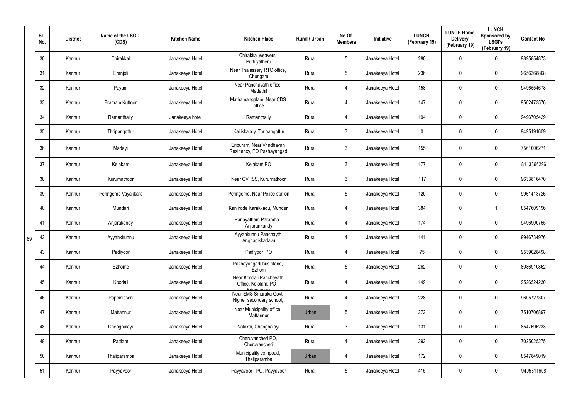|    | SI.<br>No. | <b>District</b> | Name of the LSGD<br>(CDS) | <b>Kitchen Name</b> | <b>Kitchen Place</b>                                             | Rural / Urban | No Of<br><b>Members</b> | Initiative      | <b>LUNCH</b><br>(February 19) | <b>LUNCH Home</b><br><b>Delivery</b><br>(February 19) | <b>LUNCH</b><br>Sponsored by<br><b>LSGI's</b><br>(February 19) | <b>Contact No</b> |
|----|------------|-----------------|---------------------------|---------------------|------------------------------------------------------------------|---------------|-------------------------|-----------------|-------------------------------|-------------------------------------------------------|----------------------------------------------------------------|-------------------|
|    | 30         | Kannur          | Chirakkal                 | Janakeeya Hotel     | Chirakkal weavers,<br>Puthiyatheru                               | Rural         | $5\phantom{.0}$         | Janakeeya Hotel | 280                           | 0                                                     | $\mathbf 0$                                                    | 9895854873        |
|    | 31         | Kannur          | Eranjoli                  | Janakeeya Hotel     | Near Thalassery RTO office,<br>Chungam                           | Rural         | $5\phantom{.0}$         | Janakeeya Hotel | 236                           | 0                                                     | $\mathbf 0$                                                    | 9656368808        |
|    | 32         | Kannur          | Payam                     | Janakeeya Hotel     | Near Panchayath office,<br>Madathil                              | Rural         | $\overline{4}$          | Janakeeya Hotel | 158                           | 0                                                     | $\mathbf 0$                                                    | 9496554678        |
|    | 33         | Kannur          | Eramam Kuttoor            | Janakeeya Hotel     | Mathamangalam, Near CDS<br>office                                | Rural         | $\overline{4}$          | Janakeeya Hotel | 147                           | 0                                                     | $\mathbf 0$                                                    | 9562473576        |
|    | 34         | Kannur          | Ramanthally               | Janakeeya hotel     | Ramanthally                                                      | Rural         | $\overline{4}$          | Janakeeya Hotel | 194                           | 0                                                     | $\mathbf 0$                                                    | 9496705429        |
|    | 35         | Kannur          | Thripangottur             | Janakeeya Hotel     | Kallikkandy, Thripangottur                                       | Rural         | $\mathbf{3}$            | Janakeeya Hotel | 0                             | 0                                                     | $\mathbf 0$                                                    | 9495191659        |
|    | 36         | Kannur          | Madayi                    | Janakeeya Hotel     | Eripuram, Near Vrindhavan<br>Residency, PO Pazhayangadi          | Rural         | $\mathfrak{Z}$          | Janakeeya Hotel | 155                           | 0                                                     | $\pmb{0}$                                                      | 7561006271        |
|    | 37         | Kannur          | Kelakam                   | Janakeeya Hotel     | Kelakam PO                                                       | Rural         | $\mathbf{3}$            | Janakeeya Hotel | 177                           | 0                                                     | $\pmb{0}$                                                      | 8113866296        |
|    | 38         | Kannur          | Kurumathoor               | Janakeeya Hotel     | Near GVHSS, Kurumathoor                                          | Rural         | $\mathbf{3}$            | Janakeeya Hotel | 117                           | 0                                                     | $\mathbf 0$                                                    | 9633816470        |
|    | 39         | Kannur          | Peringome Vayakkara       | Janakeeya Hotel     | Peringome, Near Police station                                   | Rural         | $5\phantom{.0}$         | Janakeeya Hotel | 120                           | 0                                                     | $\pmb{0}$                                                      | 9961413726        |
|    | 40         | Kannur          | Munderi                   | Janakeeya Hotel     | Kanjirode Karakkadu, Munderi                                     | Rural         | $\overline{4}$          | Janakeeya Hotel | 384                           | 0                                                     | 1                                                              | 8547609196        |
|    | 41         | Kannur          | Anjarakandy               | Janakeeya Hotel     | Panayatham Paramba,<br>Anjarankandy                              | Rural         | $\overline{4}$          | Janakeeya Hotel | 174                           | 0                                                     | $\pmb{0}$                                                      | 9496900755        |
| 89 | 42         | Kannur          | Ayyankkunnu               | Janakeeya Hotel     | Ayyankunnu Panchayth<br>Anghadikkadavu                           | Rural         | 4                       | Janakeeya Hotel | 141                           | 0                                                     | $\pmb{0}$                                                      | 9946734976        |
|    | 43         | Kannur          | Padiyoor                  | Janakeeya Hotel     | Padiyoor PO                                                      | Rural         | $\overline{4}$          | Janakeeya Hotel | 75                            | 0                                                     | $\pmb{0}$                                                      | 9539028498        |
|    | 44         | Kannur          | Ezhome                    | Janakeeya Hotel     | Pazhayangadi bus stand,<br>Ezhom                                 | Rural         | $5\phantom{.0}$         | Janakeeya Hotel | 262                           | 0                                                     | $\pmb{0}$                                                      | 8086910862        |
|    | 45         | Kannur          | Koodali                   | Janakeeya Hotel     | Near Koodali Panchayath<br>Office, Kololam, PO -                 | Rural         | 4                       | Janakeeya Hotel | 149                           | 0                                                     | $\pmb{0}$                                                      | 9526524230        |
|    | 46         | Kannur          | Pappinisseri              | Janakeeya Hotel     | Edavannont<br>Near EMS Smaraka Govt.<br>Higher secondary school, | Rural         | $\overline{4}$          | Janakeeya Hotel | 228                           | $\mathbf 0$                                           | $\pmb{0}$                                                      | 9605727307        |
|    | 47         | Kannur          | Mattannur                 | Janakeeya Hotel     | Near Municipality office,<br>Mattannur                           | Urban         | $5\phantom{.0}$         | Janakeeya Hotel | 272                           | $\mathbf 0$                                           | $\pmb{0}$                                                      | 7510706897        |
|    | 48         | Kannur          | Chenghalayi               | Janakeeya Hotel     | Valakai, Chenghalayi                                             | Rural         | $\mathfrak{Z}$          | Janakeeya Hotel | 131                           | $\mathbf 0$                                           | $\mathbf 0$                                                    | 8547696233        |
|    | 49         | Kannur          | Pattiam                   | Janakeeya Hotel     | Cheruvancheri PO,<br>Cheruvancheri                               | Rural         | $\overline{4}$          | Janakeeya Hotel | 292                           | $\mathbf 0$                                           | $\pmb{0}$                                                      | 7025025275        |
|    | 50         | Kannur          | Thaliparamba              | Janakeeya Hotel     | Municipality compoud,<br>Thaliparamba                            | Urban         | $\overline{4}$          | Janakeeya Hotel | 172                           | $\mathbf 0$                                           | $\mathbf 0$                                                    | 8547849019        |
|    | 51         | Kannur          | Payyavoor                 | Janakeeya Hotel     | Payyavoor - PO, Payyavoor                                        | Rural         | $5\phantom{.0}$         | Janakeeya Hotel | 415                           | 0                                                     | $\pmb{0}$                                                      | 9495311608        |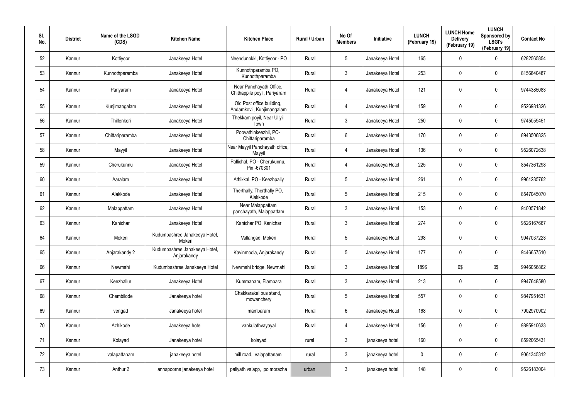| SI.<br>No. | <b>District</b> | Name of the LSGD<br>(CDS) | <b>Kitchen Name</b>                          | <b>Kitchen Place</b>                                    | Rural / Urban | No Of<br><b>Members</b> | Initiative      | <b>LUNCH</b><br>(February 19) | <b>LUNCH Home</b><br><b>Delivery</b><br>(February 19) | <b>LUNCH</b><br>Sponsored by<br><b>LSGI's</b><br>(February 19) | <b>Contact No</b> |
|------------|-----------------|---------------------------|----------------------------------------------|---------------------------------------------------------|---------------|-------------------------|-----------------|-------------------------------|-------------------------------------------------------|----------------------------------------------------------------|-------------------|
| 52         | Kannur          | Kottiyoor                 | Janakeeya Hotel                              | Neendunokki, Kottiyoor - PO                             | Rural         | $5\phantom{.0}$         | Janakeeya Hotel | 165                           | $\boldsymbol{0}$                                      | 0                                                              | 6282565854        |
| 53         | Kannur          | Kunnothparamba            | Janakeeya Hotel                              | Kunnothparamba PO,<br>Kunnothparamba                    | Rural         | $\mathbf{3}$            | Janakeeya Hotel | 253                           | $\boldsymbol{0}$                                      | $\boldsymbol{0}$                                               | 8156840487        |
| 54         | Kannur          | Pariyaram                 | Janakeeya Hotel                              | Near Panchayath Office,<br>Chithappile poyil, Pariyaram | Rural         | $\overline{4}$          | Janakeeya Hotel | 121                           | 0                                                     | $\mathbf 0$                                                    | 9744385083        |
| 55         | Kannur          | Kunjimangalam             | Janakeeya Hotel                              | Old Post office building,<br>Andamkovil, Kunjimangalam  | Rural         | $\overline{4}$          | Janakeeya Hotel | 159                           | $\mathsf{0}$                                          | $\pmb{0}$                                                      | 9526981326        |
| 56         | Kannur          | Thillenkeri               | Janakeeya Hotel                              | Thekkam poyil, Near Uliyil<br>Town                      | Rural         | $\mathbf{3}$            | Janakeeya Hotel | 250                           | $\boldsymbol{0}$                                      | $\mathbf 0$                                                    | 9745059451        |
| 57         | Kannur          | Chittariparamba           | Janakeeya Hotel                              | Poovathinkeezhil, PO-<br>Chittariparamba                | Rural         | $6\phantom{.}$          | Janakeeya Hotel | 170                           | 0                                                     | $\pmb{0}$                                                      | 8943506825        |
| 58         | Kannur          | Mayyil                    | Janakeeya Hotel                              | Near Mayyil Panchayath office,<br>Mayyil                | Rural         | $\overline{4}$          | Janakeeya Hotel | 136                           | 0                                                     | $\mathbf 0$                                                    | 9526072638        |
| 59         | Kannur          | Cherukunnu                | Janakeeya Hotel                              | Pallichal, PO - Cherukunnu,<br>Pin-670301               | Rural         | $\overline{4}$          | Janakeeya Hotel | 225                           | $\mathbf 0$                                           | $\pmb{0}$                                                      | 8547361298        |
| 60         | Kannur          | Aaralam                   | Janakeeya Hotel                              | Athikkal, PO - Keezhpally                               | Rural         | $5\phantom{.0}$         | Janakeeya Hotel | 261                           | $\boldsymbol{0}$                                      | $\mathbf 0$                                                    | 9961285762        |
| 61         | Kannur          | Alakkode                  | Janakeeya Hotel                              | Therthally, Therthally PO,<br>Alakkode                  | Rural         | $5\phantom{.0}$         | Janakeeya Hotel | 215                           | $\mathbf 0$                                           | $\pmb{0}$                                                      | 8547045070        |
| 62         | Kannur          | Malappattam               | Janakeeya Hotel                              | Near Malappattam<br>panchayath, Malappattam             | Rural         | $\mathfrak{Z}$          | Janakeeya Hotel | 153                           | $\boldsymbol{0}$                                      | $\mathbf 0$                                                    | 9400571842        |
| 63         | Kannur          | Kanichar                  | Janakeeya Hotel                              | Kanichar PO, Kanichar                                   | Rural         | $\mathfrak{Z}$          | Janakeeya Hotel | 274                           | $\boldsymbol{0}$                                      | $\pmb{0}$                                                      | 9526167667        |
| 64         | Kannur          | Mokeri                    | Kudumbashree Janakeeya Hotel,<br>Mokeri      | Vallangad, Mokeri                                       | Rural         | $5\phantom{.0}$         | Janakeeya Hotel | 298                           | 0                                                     | $\mathbf 0$                                                    | 9947037223        |
| 65         | Kannur          | Anjarakandy 2             | Kudumbashree Janakeeya Hotel,<br>Anjarakandy | Kavinmoola, Anjarakandy                                 | Rural         | $5\phantom{.0}$         | Janakeeya Hotel | 177                           | 0                                                     | $\pmb{0}$                                                      | 9446657510        |
| 66         | Kannur          | Newmahi                   | Kudumbashree Janakeeya Hotel                 | Newmahi bridge, Newmahi                                 | Rural         | $\mathfrak{Z}$          | Janakeeya Hotel | 189\$                         | 0\$                                                   | 0\$                                                            | 9946056862        |
| 67         | Kannur          | Keezhallur                | Janakeeya Hotel                              | Kummanam, Elambara                                      | Rural         | $\mathfrak{Z}$          | Janakeeya Hotel | 213                           | $\pmb{0}$                                             | $\mathbf 0$                                                    | 9947648580        |
| 68         | Kannur          | Chembilode                | Janakeeya hotel                              | Chakkarakal bus stand,<br>mowanchery                    | Rural         | $5\phantom{.0}$         | Janakeeya Hotel | 557                           | 0                                                     | $\pmb{0}$                                                      | 9847951631        |
| 69         | Kannur          | vengad                    | Janakeeya hotel                              | mambaram                                                | Rural         | $6\,$                   | Janakeeya Hotel | 168                           | 0                                                     | $\pmb{0}$                                                      | 7902970902        |
| 70         | Kannur          | Azhikode                  | Janakeeya hotel                              | vankulathvayayal                                        | Rural         | $\overline{4}$          | Janakeeya Hotel | 156                           | 0                                                     | $\mathbf 0$                                                    | 9895910633        |
| 71         | Kannur          | Kolayad                   | Janakeeya hotel                              | kolayad                                                 | rural         | $\mathfrak{Z}$          | janakeeya hotel | 160                           | 0                                                     | $\pmb{0}$                                                      | 8592065431        |
| 72         | Kannur          | valapattanam              | janakeeya hotel                              | mill road, valapattanam                                 | rural         | $\mathfrak{Z}$          | janakeeya hotel | 0                             | 0                                                     | $\mathbf 0$                                                    | 9061345312        |
| 73         | Kannur          | Anthur 2                  | annapoorna janakeeya hotel                   | paliyath valapp, po morazha                             | urban         | $\mathfrak{Z}$          | janakeeya hotel | 148                           | 0                                                     | $\pmb{0}$                                                      | 9526183004        |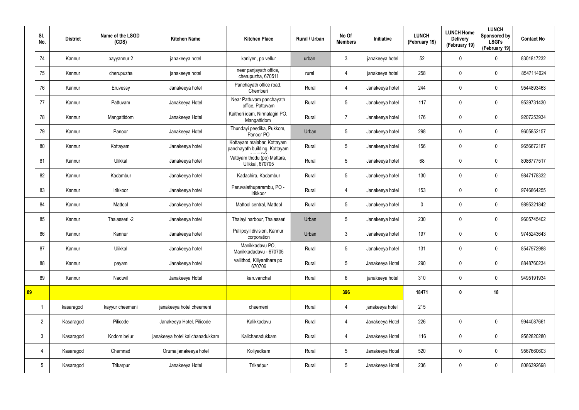|    | SI.<br>No.      | <b>District</b> | Name of the LSGD<br>(CDS) | <b>Kitchen Name</b>             | <b>Kitchen Place</b>                                        | Rural / Urban | No Of<br><b>Members</b> | Initiative      | <b>LUNCH</b><br>(February 19) | <b>LUNCH Home</b><br><b>Delivery</b><br>(February 19) | <b>LUNCH</b><br>Sponsored by<br><b>LSGI's</b><br>(February 19) | <b>Contact No</b> |
|----|-----------------|-----------------|---------------------------|---------------------------------|-------------------------------------------------------------|---------------|-------------------------|-----------------|-------------------------------|-------------------------------------------------------|----------------------------------------------------------------|-------------------|
|    | 74              | Kannur          | payyannur 2               | janakeeya hotel                 | kaniyeri, po vellur                                         | urban         | $\mathbf{3}$            | janakeeya hotel | 52                            | $\mathbf 0$                                           | 0                                                              | 8301817232        |
|    | 75              | Kannur          | cherupuzha                | janakeeya hotel                 | near panjayath office,<br>cherupuzha, 670511                | rural         | $\overline{4}$          | janakeeya hotel | 258                           | $\mathbf 0$                                           | $\boldsymbol{0}$                                               | 8547114024        |
|    | 76              | Kannur          | Eruvessy                  | Janakeeya hotel                 | Panchayath office road,<br>Chemberi                         | Rural         | 4                       | Janakeeya hotel | 244                           | $\mathbf 0$                                           | 0                                                              | 9544893463        |
|    | 77              | Kannur          | Pattuvam                  | Janakeeya Hotel                 | Near Pattuvam panchayath<br>office, Pattuvam                | Rural         | $5\overline{)}$         | Janakeeya hotel | 117                           | 0                                                     | $\boldsymbol{0}$                                               | 9539731430        |
|    | 78              | Kannur          | Mangattidom               | Janakeeya Hotel                 | Kaitheri idam, Nirmalagiri PO,<br>Mangattidom               | Rural         | $\overline{7}$          | Janakeeya hotel | 176                           | 0                                                     | $\mathbf 0$                                                    | 9207253934        |
|    | 79              | Kannur          | Panoor                    | Janakeeya Hotel                 | Thundayi peedika, Pukkom,<br>Panoor PO                      | Urban         | 5                       | Janakeeya hotel | 298                           | $\boldsymbol{0}$                                      | $\mathbf 0$                                                    | 9605852157        |
|    | 80              | Kannur          | Kottayam                  | Janakeeya hotel                 | Kottayam malabar, Kottayam<br>panchayath building, Kottayam | Rural         | $5\phantom{.0}$         | Janakeeya hotel | 156                           | $\mathbf 0$                                           | $\mathbf 0$                                                    | 9656672187        |
|    | 81              | Kannur          | Ulikkal                   | Janakeeya hotel                 | Vattiyam thodu (po) Mattara,<br>Ulikkal, 670705             | Rural         | $5\overline{)}$         | Janakeeya hotel | 68                            | 0                                                     | $\mathbf 0$                                                    | 8086777517        |
|    | 82              | Kannur          | Kadambur                  | Janakeeya hotel                 | Kadachira, Kadambur                                         | Rural         | $5\phantom{.0}$         | Janakeeya hotel | 130                           | 0                                                     | $\boldsymbol{0}$                                               | 9847178332        |
|    | 83              | Kannur          | Irikkoor                  | Janakeeya hotel                 | Peruvalathuparambu, PO -<br>Irikkoor                        | Rural         | $\overline{4}$          | Janakeeya hotel | 153                           | 0                                                     | $\boldsymbol{0}$                                               | 9746864255        |
|    | 84              | Kannur          | Mattool                   | Janakeeya hotel                 | Mattool central, Mattool                                    | Rural         | $5\overline{)}$         | Janakeeya hotel | $\mathbf 0$                   | $\mathbf 0$                                           | $\boldsymbol{0}$                                               | 9895321842        |
|    | 85              | Kannur          | Thalasseri -2             | Janakeeya hotel                 | Thalayi harbour, Thalasseri                                 | Urban         | $5\overline{)}$         | Janakeeya hotel | 230                           | 0                                                     | $\boldsymbol{0}$                                               | 9605745402        |
|    | 86              | Kannur          | Kannur                    | Janakeeya hotel                 | Pallipoyil division, Kannur<br>corporation                  | Urban         | $\mathbf{3}$            | Janakeeya hotel | 197                           | $\mathbf 0$                                           | $\boldsymbol{0}$                                               | 9745243643        |
|    | 87              | Kannur          | Ulikkal                   | Janakeeya hotel                 | Manikkadavu PO,<br>Manikkadadavu - 670705                   | Rural         | $5\phantom{.0}$         | Janakeeya hotel | 131                           | $\pmb{0}$                                             | $\pmb{0}$                                                      | 8547972988        |
|    | 88              | Kannur          | payam                     | Janakeeya hotel                 | vallithod, Kiliyanthara po<br>670706                        | Rural         | $5\phantom{.0}$         | Janakeeya Hotel | 290                           | 0                                                     | $\mathbf 0$                                                    | 8848760234        |
|    | 89              | Kannur          | Naduvil                   | Janakeeya Hotel                 | karuvanchal                                                 | Rural         | $6\overline{6}$         | janakeeya hotel | 310                           | $\pmb{0}$                                             | $\mathbf 0$                                                    | 9495191934        |
| 89 |                 |                 |                           |                                 |                                                             |               | 396                     |                 | 18471                         | $\boldsymbol{0}$                                      | 18                                                             |                   |
|    |                 | kasaragod       | kayyur cheemeni           | janakeeya hotel cheemeni        | cheemeni                                                    | Rural         | $\overline{4}$          | janakeeya hotel | 215                           |                                                       |                                                                |                   |
|    | $\overline{2}$  | Kasaragod       | Pilicode                  | Janakeeya Hotel, Pilicode       | Kalikkadavu                                                 | Rural         | $\overline{4}$          | Janakeeya Hotel | 226                           | 0                                                     | $\mathbf 0$                                                    | 9944087661        |
|    | $\mathbf{3}$    | Kasaragod       | Kodom belur               | janakeeya hotel kalichanadukkam | Kalichanadukkam                                             | Rural         | $\overline{4}$          | Janakeeya Hotel | 116                           | 0                                                     | $\pmb{0}$                                                      | 9562820280        |
|    | 4               | Kasaragod       | Chemnad                   | Oruma janakeeya hotel           | Koliyadkam                                                  | Rural         | 5 <sup>5</sup>          | Janakeeya Hotel | 520                           | 0                                                     | $\mathbf 0$                                                    | 9567660603        |
|    | $5\phantom{.0}$ | Kasaragod       | Trikarpur                 | Janakeeya Hotel                 | Trikaripur                                                  | Rural         | $5\phantom{.0}$         | Janakeeya Hotel | 236                           | 0                                                     | $\bf{0}$                                                       | 8086392698        |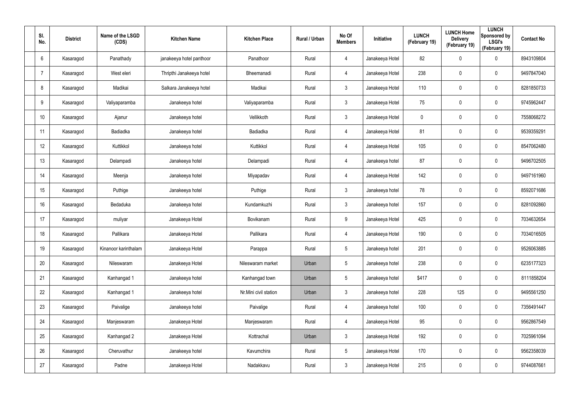| SI.<br>No.      | <b>District</b> | Name of the LSGD<br>(CDS) | <b>Kitchen Name</b>      | <b>Kitchen Place</b>  | Rural / Urban | No Of<br><b>Members</b> | Initiative      | <b>LUNCH</b><br>(February 19) | <b>LUNCH Home</b><br><b>Delivery</b><br>(February 19) | <b>LUNCH</b><br>Sponsored by<br><b>LSGI's</b><br>(February 19) | <b>Contact No</b> |
|-----------------|-----------------|---------------------------|--------------------------|-----------------------|---------------|-------------------------|-----------------|-------------------------------|-------------------------------------------------------|----------------------------------------------------------------|-------------------|
| 6               | Kasaragod       | Panathady                 | janakeeya hotel panthoor | Panathoor             | Rural         | $\overline{4}$          | Janakeeya Hotel | 82                            | $\mathbf 0$                                           | $\mathbf 0$                                                    | 8943109804        |
| -7              | Kasaragod       | West eleri                | Thripthi Janakeeya hotel | Bheemanadi            | Rural         | $\overline{4}$          | Janakeeya Hotel | 238                           | $\mathbf 0$                                           | $\mathbf 0$                                                    | 9497847040        |
| 8               | Kasaragod       | Madikai                   | Salkara Janakeeya hotel  | Madikai               | Rural         | $\mathbf{3}$            | Janakeeya Hotel | 110                           | 0                                                     | $\boldsymbol{0}$                                               | 8281850733        |
| 9               | Kasaragod       | Valiyaparamba             | Janakeeya hotel          | Valiyaparamba         | Rural         | $\mathbf{3}$            | Janakeeya Hotel | 75                            | 0                                                     | $\mathbf 0$                                                    | 9745962447        |
| 10 <sup>°</sup> | Kasaragod       | Ajanur                    | Janakeeya hotel          | Vellikkoth            | Rural         | $\mathbf{3}$            | Janakeeya Hotel | $\pmb{0}$                     | $\pmb{0}$                                             | $\pmb{0}$                                                      | 7558068272        |
| 11              | Kasaragod       | Badiadka                  | Janakeeya hotel          | Badiadka              | Rural         | $\overline{4}$          | Janakeeya Hotel | 81                            | 0                                                     | $\mathbf 0$                                                    | 9539359291        |
| 12              | Kasaragod       | Kuttikkol                 | Janakeeya hotel          | Kuttikkol             | Rural         | $\overline{4}$          | Janakeeya Hotel | 105                           | $\pmb{0}$                                             | $\pmb{0}$                                                      | 8547062480        |
| 13              | Kasaragod       | Delampadi                 | Janakeeya hotel          | Delampadi             | Rural         | 4                       | Janakeeya hotel | 87                            | 0                                                     | $\mathbf 0$                                                    | 9496702505        |
| 14              | Kasaragod       | Meenja                    | Janakeeya hotel          | Miyapadav             | Rural         | $\overline{4}$          | Janakeeya Hotel | 142                           | 0                                                     | $\pmb{0}$                                                      | 9497161960        |
| 15              | Kasaragod       | Puthige                   | Janakeeya hotel          | Puthige               | Rural         | $\mathbf{3}$            | Janakeeya hotel | 78                            | 0                                                     | $\mathbf 0$                                                    | 8592071686        |
| 16              | Kasaragod       | Bedaduka                  | Janakeeya hotel          | Kundamkuzhi           | Rural         | $\mathbf{3}$            | Janakeeya hotel | 157                           | $\mathbf 0$                                           | $\mathbf 0$                                                    | 8281092860        |
| 17              | Kasaragod       | muliyar                   | Janakeeya Hotel          | Bovikanam             | Rural         | 9                       | Janakeeya Hotel | 425                           | $\mathbf 0$                                           | $\mathbf 0$                                                    | 7034632654        |
| 18              | Kasaragod       | Pallikara                 | Janakeeya Hotel          | Pallikara             | Rural         | $\overline{4}$          | Janakeeya Hotel | 190                           | 0                                                     | $\boldsymbol{0}$                                               | 7034016505        |
| 19              | Kasaragod       | Kinanoor karinthalam      | Janakeeya Hotel          | Parappa               | Rural         | $5\phantom{.0}$         | Janakeeya hotel | 201                           | $\pmb{0}$                                             | $\pmb{0}$                                                      | 9526063885        |
| 20              | Kasaragod       | Nileswaram                | Janakeeya Hotel          | Nileswaram market     | Urban         | $5\overline{)}$         | Janakeeya hotel | 238                           | $\pmb{0}$                                             | $\mathbf 0$                                                    | 6235177323        |
| 21              | Kasaragod       | Kanhangad 1               | Janakeeya hotel          | Kanhangad town        | Urban         | $5\overline{)}$         | Janakeeya hotel | \$417                         | $\pmb{0}$                                             | $\mathbf 0$                                                    | 8111858204        |
| 22              | Kasaragod       | Kanhangad 1               | Janakeeya hotel          | Nr.Mini civil station | Urban         | $\mathbf{3}$            | Janakeeya hotel | 228                           | 125                                                   | $\mathbf 0$                                                    | 9495561250        |
| 23              | Kasaragod       | Paivalige                 | Janakeeya hotel          | Paivalige             | Rural         | $\overline{4}$          | Janakeeya hotel | 100                           | $\pmb{0}$                                             | $\mathbf 0$                                                    | 7356491447        |
| 24              | Kasaragod       | Manjeswaram               | Janakeeya Hotel          | Manjeswaram           | Rural         | $\overline{4}$          | Janakeeya Hotel | 95                            | $\pmb{0}$                                             | $\mathbf 0$                                                    | 9562867549        |
| 25              | Kasaragod       | Kanhangad 2               | Janakeeya Hotel          | Kottrachal            | Urban         | $\mathbf{3}$            | Janakeeya Hotel | 192                           | $\pmb{0}$                                             | $\mathbf 0$                                                    | 7025961094        |
| 26              | Kasaragod       | Cheruvathur               | Janakeeya hotel          | Kavumchira            | Rural         | $5\overline{)}$         | Janakeeya Hotel | 170                           | $\pmb{0}$                                             | $\mathbf 0$                                                    | 9562358039        |
| 27              | Kasaragod       | Padne                     | Janakeeya Hotel          | Nadakkavu             | Rural         | $\mathbf{3}$            | Janakeeya Hotel | 215                           | 0                                                     | $\mathbf 0$                                                    | 9744087661        |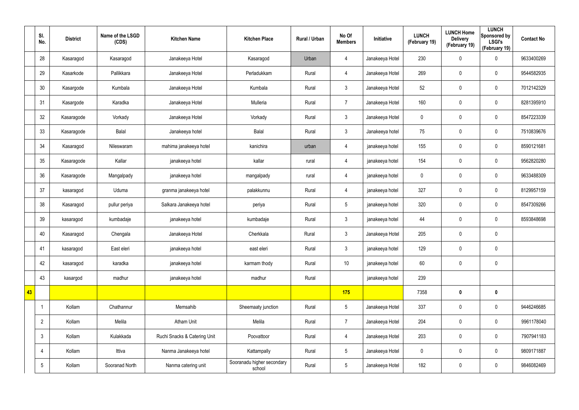|    | SI.<br>No.      | <b>District</b> | Name of the LSGD<br>(CDS) | <b>Kitchen Name</b>          | <b>Kitchen Place</b>                 | Rural / Urban | No Of<br><b>Members</b> | Initiative      | <b>LUNCH</b><br>(February 19) | <b>LUNCH Home</b><br><b>Delivery</b><br>(February 19) | <b>LUNCH</b><br>Sponsored by<br><b>LSGI's</b><br>(February 19) | <b>Contact No</b> |
|----|-----------------|-----------------|---------------------------|------------------------------|--------------------------------------|---------------|-------------------------|-----------------|-------------------------------|-------------------------------------------------------|----------------------------------------------------------------|-------------------|
|    | 28              | Kasaragod       | Kasaragod                 | Janakeeya Hotel              | Kasaragod                            | Urban         | 4                       | Janakeeya Hotel | 230                           | $\mathbf 0$                                           | $\boldsymbol{0}$                                               | 9633400269        |
|    | 29              | Kasarkode       | Pallikkara                | Janakeeya Hotel              | Perladukkam                          | Rural         | 4                       | Janakeeya Hotel | 269                           | $\mathbf 0$                                           | $\mathbf 0$                                                    | 9544582935        |
|    | 30              | Kasargode       | Kumbala                   | Janakeeya Hotel              | Kumbala                              | Rural         | $\mathbf{3}$            | Janakeeya Hotel | 52                            | 0                                                     | $\pmb{0}$                                                      | 7012142329        |
|    | 31              | Kasargode       | Karadka                   | Janakeeya Hotel              | Mulleria                             | Rural         | $\overline{7}$          | Janakeeya Hotel | 160                           | 0                                                     | $\pmb{0}$                                                      | 8281395910        |
|    | 32              | Kasaragode      | Vorkady                   | Janakeeya Hotel              | Vorkady                              | Rural         | $\mathbf{3}$            | Janakeeya Hotel | $\pmb{0}$                     | 0                                                     | $\pmb{0}$                                                      | 8547223339        |
|    | 33              | Kasaragode      | Balal                     | Janakeeya hotel              | Balal                                | Rural         | $\mathbf{3}$            | Janakeeya hotel | 75                            | 0                                                     | $\pmb{0}$                                                      | 7510839676        |
|    | 34              | Kasaragod       | Nileswaram                | mahima janakeeya hotel       | kanichira                            | urban         | $\overline{4}$          | janakeeya hotel | 155                           | 0                                                     | $\pmb{0}$                                                      | 8590121681        |
|    | 35              | Kasaragode      | Kallar                    | janakeeya hotel              | kallar                               | rural         | 4                       | janakeeya hotel | 154                           | 0                                                     | $\pmb{0}$                                                      | 9562820280        |
|    | 36              | Kasaragode      | Mangalpady                | janakeeya hotel              | mangalpady                           | rural         | $\overline{4}$          | janakeeya hotel | $\pmb{0}$                     | 0                                                     | $\pmb{0}$                                                      | 9633488309        |
|    | 37              | kasaragod       | Uduma                     | granma janakeeya hotel       | palakkunnu                           | Rural         | 4                       | janakeeya hotel | 327                           | 0                                                     | $\mathbf 0$                                                    | 8129957159        |
|    | 38              | Kasaragod       | pullur periya             | Salkara Janakeeya hotel      | periya                               | Rural         | $5\phantom{.0}$         | janakeeya hotel | 320                           | 0                                                     | $\pmb{0}$                                                      | 8547309266        |
|    | 39              | kasaragod       | kumbadaje                 | janakeeya hotel              | kumbadaje                            | Rural         | $\mathbf{3}$            | janakeeya hotel | 44                            | 0                                                     | $\mathbf 0$                                                    | 8593848698        |
|    | 40              | Kasaragod       | Chengala                  | Janakeeya Hotel              | Cherkkala                            | Rural         | $\mathbf{3}$            | Janakeeya Hotel | 205                           | 0                                                     | $\pmb{0}$                                                      |                   |
|    | 41              | kasaragod       | East eleri                | janakeeya hotel              | east eleri                           | Rural         | $\mathbf{3}$            | janakeeya hotel | 129                           | $\pmb{0}$                                             | $\pmb{0}$                                                      |                   |
|    | 42              | kasaragod       | karadka                   | janakeeya hotel              | karmam thody                         | Rural         | 10                      | janakeeya hotel | 60                            | 0                                                     | $\mathbf 0$                                                    |                   |
|    | 43              | kasargod        | madhur                    | janakeeya hotel              | madhur                               | Rural         |                         | janakeeya hotel | 239                           |                                                       |                                                                |                   |
| 43 |                 |                 |                           |                              |                                      |               | 175                     |                 | 7358                          | $\boldsymbol{0}$                                      | $\mathbf 0$                                                    |                   |
|    |                 | Kollam          | Chathannur                | Memsahib                     | Sheemaaty junction                   | Rural         | $5\overline{)}$         | Janakeeya Hotel | 337                           | $\pmb{0}$                                             | $\pmb{0}$                                                      | 9446246685        |
|    | $\overline{2}$  | Kollam          | Melila                    | Atham Unit                   | Melila                               | Rural         | $\overline{7}$          | Janakeeya Hotel | 204                           | $\pmb{0}$                                             | $\mathbf 0$                                                    | 9961178040        |
|    | $\mathbf{3}$    | Kollam          | Kulakkada                 | Ruchi Snacks & Catering Unit | Poovattoor                           | Rural         | $\overline{4}$          | Janakeeya Hotel | 203                           | $\pmb{0}$                                             | $\pmb{0}$                                                      | 7907941183        |
|    | $\overline{4}$  | Kollam          | Ittiva                    | Nanma Janakeeya hotel        | Kattampally                          | Rural         | $5\overline{)}$         | Janakeeya Hotel | $\mathbf 0$                   | 0                                                     | $\mathbf 0$                                                    | 9809171887        |
|    | $5\phantom{.0}$ | Kollam          | Sooranad North            | Nanma catering unit          | Sooranadu higher secondary<br>school | Rural         | $5\phantom{.0}$         | Janakeeya Hotel | 182                           | 0                                                     | $\boldsymbol{0}$                                               | 9846082469        |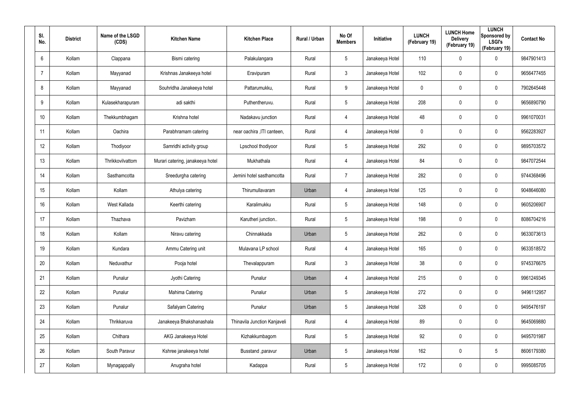| SI.<br>No.     | <b>District</b> | Name of the LSGD<br>(CDS) | <b>Kitchen Name</b>              | <b>Kitchen Place</b>         | Rural / Urban | No Of<br><b>Members</b> | <b>Initiative</b> | <b>LUNCH</b><br>(February 19) | <b>LUNCH Home</b><br><b>Delivery</b><br>(February 19) | <b>LUNCH</b><br>Sponsored by<br><b>LSGI's</b><br>(February 19) | <b>Contact No</b> |
|----------------|-----------------|---------------------------|----------------------------------|------------------------------|---------------|-------------------------|-------------------|-------------------------------|-------------------------------------------------------|----------------------------------------------------------------|-------------------|
| 6              | Kollam          | Clappana                  | Bismi catering                   | Palakulangara                | Rural         | $5\phantom{.0}$         | Janakeeya Hotel   | 110                           | 0                                                     | $\mathbf 0$                                                    | 9847901413        |
| $\overline{7}$ | Kollam          | Mayyanad                  | Krishnas Janakeeya hotel         | Eravipuram                   | Rural         | $\mathbf{3}$            | Janakeeya Hotel   | 102                           | 0                                                     | $\mathbf 0$                                                    | 9656477455        |
| 8              | Kollam          | Mayyanad                  | Souhridha Janakeeya hotel        | Pattarumukku,                | Rural         | 9                       | Janakeeya Hotel   | 0                             | 0                                                     | $\pmb{0}$                                                      | 7902645448        |
| 9              | Kollam          | Kulasekharapuram          | adi sakthi                       | Puthentheruvu.               | Rural         | $5\phantom{.0}$         | Janakeeya Hotel   | 208                           | 0                                                     | $\mathbf 0$                                                    | 9656890790        |
| 10             | Kollam          | Thekkumbhagam             | Krishna hotel                    | Nadakavu junction            | Rural         | $\overline{4}$          | Janakeeya Hotel   | 48                            | 0                                                     | $\mathbf 0$                                                    | 9961070031        |
| 11             | Kollam          | Oachira                   | Parabhramam catering             | near oachira , ITI canteen,  | Rural         | 4                       | Janakeeya Hotel   | 0                             | 0                                                     | $\mathbf 0$                                                    | 9562283927        |
| 12             | Kollam          | Thodiyoor                 | Samridhi activity group          | Lpschool thodiyoor           | Rural         | $5\phantom{.0}$         | Janakeeya Hotel   | 292                           | 0                                                     | $\pmb{0}$                                                      | 9895703572        |
| 13             | Kollam          | Thrikkovilvattom          | Murari catering, janakeeya hotel | Mukhathala                   | Rural         | 4                       | Janakeeya Hotel   | 84                            | 0                                                     | $\mathbf 0$                                                    | 9847072544        |
| 14             | Kollam          | Sasthamcotta              | Sreedurgha catering              | Jemini hotel sasthamcotta    | Rural         | $\overline{7}$          | Janakeeya Hotel   | 282                           | 0                                                     | $\mathbf 0$                                                    | 9744368496        |
| 15             | Kollam          | Kollam                    | Athulya catering                 | Thirumullavaram              | Urban         | 4                       | Janakeeya Hotel   | 125                           | 0                                                     | $\mathbf 0$                                                    | 9048646080        |
| 16             | Kollam          | West Kallada              | Keerthi catering                 | Karalimukku                  | Rural         | $5\phantom{.0}$         | Janakeeya Hotel   | 148                           | 0                                                     | $\mathbf 0$                                                    | 9605206907        |
| 17             | Kollam          | Thazhava                  | Pavizham                         | Karutheri junction           | Rural         | $5\overline{)}$         | Janakeeya Hotel   | 198                           | $\mathbf 0$                                           | $\mathbf 0$                                                    | 8086704216        |
| 18             | Kollam          | Kollam                    | Niravu catering                  | Chinnakkada                  | Urban         | $5\overline{)}$         | Janakeeya Hotel   | 262                           | $\mathbf 0$                                           | $\mathbf 0$                                                    | 9633073613        |
| 19             | Kollam          | Kundara                   | Ammu Catering unit               | Mulavana LP school           | Rural         | 4                       | Janakeeya Hotel   | 165                           | $\mathbf 0$                                           | $\pmb{0}$                                                      | 9633518572        |
| 20             | Kollam          | Neduvathur                | Pooja hotel                      | Thevalappuram                | Rural         | $\mathbf{3}$            | Janakeeya Hotel   | 38                            | 0                                                     | $\mathbf 0$                                                    | 9745376675        |
| 21             | Kollam          | Punalur                   | Jyothi Catering                  | Punalur                      | Urban         | 4                       | Janakeeya Hotel   | 215                           | $\mathbf 0$                                           | $\mathbf 0$                                                    | 9961249345        |
| 22             | Kollam          | Punalur                   | Mahima Catering                  | Punalur                      | Urban         | $5\phantom{.0}$         | Janakeeya Hotel   | 272                           | $\mathbf 0$                                           | $\mathbf 0$                                                    | 9496112957        |
| 23             | Kollam          | Punalur                   | Safalyam Catering                | Punalur                      | Urban         | $5\phantom{.0}$         | Janakeeya Hotel   | 328                           | 0                                                     | $\mathbf 0$                                                    | 9495476197        |
| 24             | Kollam          | Thrikkaruva               | Janakeeya Bhakshanashala         | Thinavila Junction Kanjaveli | Rural         | $\overline{4}$          | Janakeeya Hotel   | 89                            | 0                                                     | $\mathbf 0$                                                    | 9645069880        |
| 25             | Kollam          | Chithara                  | AKG Janakeeya Hotel              | Kizhakkumbagom               | Rural         | $5\phantom{.0}$         | Janakeeya Hotel   | 92                            | 0                                                     | $\mathbf 0$                                                    | 9495701987        |
| 26             | Kollam          | South Paravur             | Kshree janakeeya hotel           | Busstand , paravur           | Urban         | $5\phantom{.0}$         | Janakeeya Hotel   | 162                           | 0                                                     | $5\phantom{.0}$                                                | 8606179380        |
| 27             | Kollam          | Mynagappally              | Anugraha hotel                   | Kadappa                      | Rural         | $5\phantom{.0}$         | Janakeeya Hotel   | 172                           | 0                                                     | $\mathsf{0}$                                                   | 9995085705        |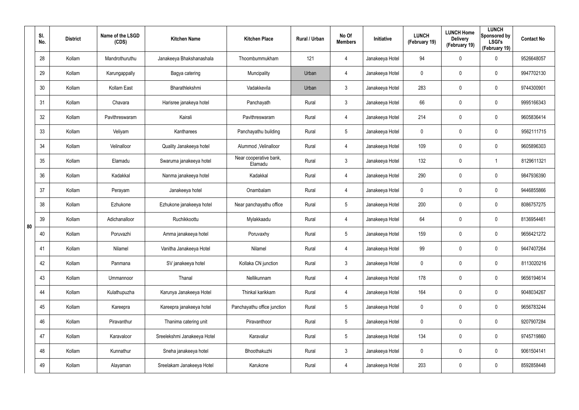|    | SI.<br>No. | <b>District</b> | Name of the LSGD<br>(CDS) | <b>Kitchen Name</b>         | <b>Kitchen Place</b>              | Rural / Urban | No Of<br><b>Members</b> | Initiative      | <b>LUNCH</b><br>(February 19) | <b>LUNCH Home</b><br><b>Delivery</b><br>(February 19) | <b>LUNCH</b><br>Sponsored by<br><b>LSGI's</b><br>(February 19) | <b>Contact No</b> |
|----|------------|-----------------|---------------------------|-----------------------------|-----------------------------------|---------------|-------------------------|-----------------|-------------------------------|-------------------------------------------------------|----------------------------------------------------------------|-------------------|
|    | 28         | Kollam          | Mandrothuruthu            | Janakeeya Bhakshanashala    | Thoombummukham                    | 121           | 4                       | Janakeeya Hotel | 94                            | 0                                                     | $\mathbf 0$                                                    | 9526648057        |
|    | 29         | Kollam          | Karungappally             | Bagya catering              | Muncipality                       | Urban         | 4                       | Janakeeya Hotel | 0                             | 0                                                     | $\pmb{0}$                                                      | 9947702130        |
|    | 30         | Kollam          | Kollam East               | Bharathlekshmi              | Vadakkevila                       | Urban         | $\mathfrak{Z}$          | Janakeeya Hotel | 283                           | $\mathbf 0$                                           | $\pmb{0}$                                                      | 9744300901        |
|    | 31         | Kollam          | Chavara                   | Harisree janakeya hotel     | Panchayath                        | Rural         | $\mathfrak{Z}$          | Janakeeya Hotel | 66                            | 0                                                     | $\pmb{0}$                                                      | 9995166343        |
|    | 32         | Kollam          | Pavithreswaram            | Kairali                     | Pavithreswaram                    | Rural         | 4                       | Janakeeya Hotel | 214                           | $\mathbf 0$                                           | $\pmb{0}$                                                      | 9605836414        |
|    | 33         | Kollam          | Veliyam                   | Kantharees                  | Panchayathu building              | Rural         | $5\phantom{.0}$         | Janakeeya Hotel | 0                             | 0                                                     | $\pmb{0}$                                                      | 9562111715        |
|    | 34         | Kollam          | Velinalloor               | Quality Janakeeya hotel     | Alummod, Velinalloor              | Rural         | 4                       | Janakeeya Hotel | 109                           | $\mathbf 0$                                           | $\pmb{0}$                                                      | 9605896303        |
|    | 35         | Kollam          | Elamadu                   | Swaruma janakeeya hotel     | Near cooperative bank,<br>Elamadu | Rural         | $\mathbf{3}$            | Janakeeya Hotel | 132                           | 0                                                     | 1                                                              | 8129611321        |
|    | 36         | Kollam          | Kadakkal                  | Nanma janakeeya hotel       | Kadakkal                          | Rural         | 4                       | Janakeeya Hotel | 290                           | $\mathbf 0$                                           | $\pmb{0}$                                                      | 9847936390        |
|    | 37         | Kollam          | Perayam                   | Janakeeya hotel             | Onambalam                         | Rural         | 4                       | Janakeeya Hotel | 0                             | 0                                                     | $\pmb{0}$                                                      | 9446855866        |
|    | 38         | Kollam          | Ezhukone                  | Ezhukone janakeeya hotel    | Near panchayathu office           | Rural         | $5\phantom{.0}$         | Janakeeya Hotel | 200                           | $\mathbf 0$                                           | $\pmb{0}$                                                      | 8086757275        |
| 80 | 39         | Kollam          | Adichanalloor             | Ruchikkoottu                | Mylakkaadu                        | Rural         | 4                       | Janakeeya Hotel | 64                            | 0                                                     | $\pmb{0}$                                                      | 8136954461        |
|    | 40         | Kollam          | Poruvazhi                 | Amma janakeeya hotel        | Poruvaxhy                         | Rural         | $5\phantom{.0}$         | Janakeeya Hotel | 159                           | 0                                                     | $\mathbf 0$                                                    | 9656421272        |
|    | 41         | Kollam          | Nilamel                   | Vanitha Janakeeya Hotel     | Nilamel                           | Rural         | 4                       | Janakeeya Hotel | 99                            | $\pmb{0}$                                             | $\pmb{0}$                                                      | 9447407264        |
|    | 42         | Kollam          | Panmana                   | SV janakeeya hotel          | Kollaka CN junction               | Rural         | $\mathbf{3}$            | Janakeeya Hotel | $\mathbf 0$                   | $\mathbf 0$                                           | $\mathbf 0$                                                    | 8113020216        |
|    | 43         | Kollam          | Ummannoor                 | Thanal                      | Nellikunnam                       | Rural         | 4                       | Janakeeya Hotel | 178                           | $\mathbf 0$                                           | $\mathbf 0$                                                    | 9656194614        |
|    | 44         | Kollam          | Kulathupuzha              | Karunya Janakeeya Hotel     | Thinkal karikkam                  | Rural         | 4                       | Janakeeya Hotel | 164                           | $\mathbf 0$                                           | $\mathbf 0$                                                    | 9048034267        |
|    | 45         | Kollam          | Kareepra                  | Kareepra janakeeya hotel    | Panchayathu office junction       | Rural         | $5\phantom{.0}$         | Janakeeya Hotel | $\mathbf 0$                   | $\mathbf 0$                                           | $\mathbf 0$                                                    | 9656783244        |
|    | 46         | Kollam          | Piravanthur               | Thanima catering unit       | Piravanthoor                      | Rural         | $5\phantom{.0}$         | Janakeeya Hotel | 0                             | 0                                                     | $\mathbf 0$                                                    | 9207907284        |
|    | 47         | Kollam          | Karavaloor                | Sreelekshmi Janakeeya Hotel | Karavalur                         | Rural         | $5\phantom{.0}$         | Janakeeya Hotel | 134                           | $\mathbf 0$                                           | $\mathbf 0$                                                    | 9745719860        |
|    | 48         | Kollam          | Kunnathur                 | Sneha janakeeya hotel       | Bhoothakuzhi                      | Rural         | $\mathfrak{Z}$          | Janakeeya Hotel | $\mathbf 0$                   | 0                                                     | $\mathbf 0$                                                    | 9061504141        |
|    | 49         | Kollam          | Alayaman                  | Sreelakam Janakeeya Hotel   | Karukone                          | Rural         | 4                       | Janakeeya Hotel | 203                           | 0                                                     | $\mathsf{0}$                                                   | 8592858448        |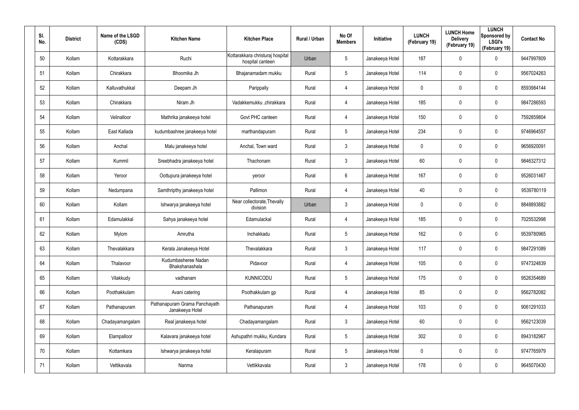| SI.<br>No. | <b>District</b> | Name of the LSGD<br>(CDS) | <b>Kitchen Name</b>                              | <b>Kitchen Place</b>                                 | Rural / Urban | No Of<br><b>Members</b> | Initiative      | <b>LUNCH</b><br>(February 19) | <b>LUNCH Home</b><br><b>Delivery</b><br>(February 19) | <b>LUNCH</b><br>Sponsored by<br><b>LSGI's</b><br>(February 19) | <b>Contact No</b> |
|------------|-----------------|---------------------------|--------------------------------------------------|------------------------------------------------------|---------------|-------------------------|-----------------|-------------------------------|-------------------------------------------------------|----------------------------------------------------------------|-------------------|
| 50         | Kollam          | Kottarakkara              | Ruchi                                            | Kottarakkara christuraj hospital<br>hospital canteen | Urban         | 5                       | Janakeeya Hotel | 187                           | 0                                                     | $\mathbf 0$                                                    | 9447997809        |
| 51         | Kollam          | Chirakkara                | Bhoomika Jh                                      | Bhajanamadam mukku                                   | Rural         | 5                       | Janakeeya Hotel | 114                           | 0                                                     | $\mathbf 0$                                                    | 9567024263        |
| 52         | Kollam          | Kalluvathukkal            | Deepam Jh                                        | Parippally                                           | Rural         | 4                       | Janakeeya Hotel | 0                             | 0                                                     | $\mathbf 0$                                                    | 8593984144        |
| 53         | Kollam          | Chirakkara                | Niram Jh                                         | Vadakkemukku ,chirakkara                             | Rural         | 4                       | Janakeeya Hotel | 185                           | 0                                                     | $\pmb{0}$                                                      | 9847286593        |
| 54         | Kollam          | Velinalloor               | Mathrika janakeeya hotel                         | Govt PHC canteen                                     | Rural         | 4                       | Janakeeya Hotel | 150                           | 0                                                     | $\pmb{0}$                                                      | 7592859804        |
| 55         | Kollam          | East Kallada              | kudumbashree janakeeya hotel                     | marthandapuram                                       | Rural         | 5                       | Janakeeya Hotel | 234                           | 0                                                     | $\mathbf 0$                                                    | 9746964557        |
| 56         | Kollam          | Anchal                    | Malu janakeeya hotel                             | Anchal, Town ward                                    | Rural         | $\mathbf{3}$            | Janakeeya Hotel | 0                             | 0                                                     | $\mathbf 0$                                                    | 9656920091        |
| 57         | Kollam          | Kummil                    | Sreebhadra janakeeya hotel                       | Thachonam                                            | Rural         | $\mathbf{3}$            | Janakeeya Hotel | 60                            | 0                                                     | $\mathbf 0$                                                    | 9846327312        |
| 58         | Kollam          | Yeroor                    | Oottupura janakeeya hotel                        | yeroor                                               | Rural         | 6                       | Janakeeya Hotel | 167                           | 0                                                     | $\mathbf 0$                                                    | 9526031467        |
| 59         | Kollam          | Nedumpana                 | Samthripthy janakeeya hotel                      | Pallimon                                             | Rural         | 4                       | Janakeeya Hotel | 40                            | 0                                                     | $\mathbf 0$                                                    | 9539780119        |
| 60         | Kollam          | Kollam                    | Ishwarya janakeeya hotel                         | Near collectorate, Thevally<br>division              | Urban         | $\mathbf{3}$            | Janakeeya Hotel | 0                             | 0                                                     | $\mathbf 0$                                                    | 8848893882        |
| 61         | Kollam          | Edamulakkal               | Sahya janakeeya hotel                            | Edamulackal                                          | Rural         | 4                       | Janakeeya Hotel | 185                           | 0                                                     | $\mathbf 0$                                                    | 7025532998        |
| 62         | Kollam          | Mylom                     | Amrutha                                          | Inchakkadu                                           | Rural         | $5\phantom{.0}$         | Janakeeya Hotel | 162                           | 0                                                     | $\mathbf 0$                                                    | 9539780965        |
| 63         | Kollam          | Thevalakkara              | Kerala Janakeeya Hotel                           | Thevalakkara                                         | Rural         | $\mathbf{3}$            | Janakeeya Hotel | 117                           | 0                                                     | $\pmb{0}$                                                      | 9847291089        |
| 64         | Kollam          | Thalavoor                 | Kudumbasheree Nadan<br>Bhakshanashala            | Pidavoor                                             | Rural         | 4                       | Janakeeya Hotel | 105                           | 0                                                     | $\mathbf 0$                                                    | 9747324839        |
| 65         | Kollam          | Vilakkudy                 | vadhanam                                         | <b>KUNNICODU</b>                                     | Rural         | $5\phantom{.0}$         | Janakeeya Hotel | 175                           | 0                                                     | $\mathbf 0$                                                    | 9526354689        |
| 66         | Kollam          | Poothakkulam              | Avani catering                                   | Poothakkulam gp                                      | Rural         | 4                       | Janakeeya Hotel | 85                            | 0                                                     | $\mathbf 0$                                                    | 9562782082        |
| 67         | Kollam          | Pathanapuram              | Pathanapuram Grama Panchayath<br>Janakeeya Hotel | Pathanapuram                                         | Rural         | 4                       | Janakeeya Hotel | 103                           | 0                                                     | $\mathbf 0$                                                    | 9061291033        |
| 68         | Kollam          | Chadayamangalam           | Real janakeeya hotel                             | Chadayamangalam                                      | Rural         | $\mathbf{3}$            | Janakeeya Hotel | 60                            | 0                                                     | $\mathbf 0$                                                    | 9562123039        |
| 69         | Kollam          | Elampalloor               | Kalavara janakeeya hotel                         | Ashupathri mukku, Kundara                            | Rural         | $5\phantom{.0}$         | Janakeeya Hotel | 302                           | 0                                                     | $\mathbf 0$                                                    | 8943182967        |
| 70         | Kollam          | Kottamkara                | Ishwarya janakeeya hotel                         | Keralapuram                                          | Rural         | $5\phantom{.0}$         | Janakeeya Hotel | 0                             | 0                                                     | $\mathbf 0$                                                    | 9747765979        |
| 71         | Kollam          | Vettikavala               | Nanma                                            | Vettikkavala                                         | Rural         | $\mathfrak{Z}$          | Janakeeya Hotel | 178                           | 0                                                     | $\mathsf{0}$                                                   | 9645070430        |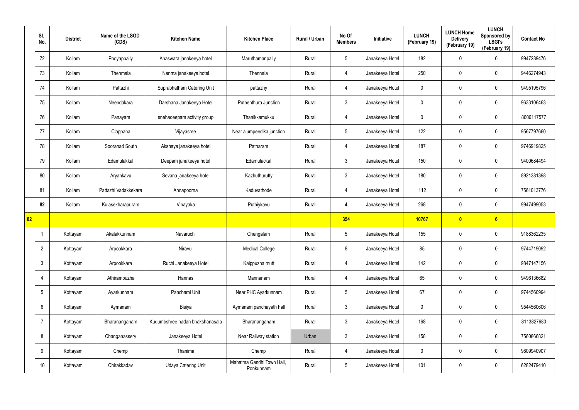|    | SI.<br>No.      | <b>District</b> | Name of the LSGD<br>(CDS) | <b>Kitchen Name</b>             | <b>Kitchen Place</b>                   | Rural / Urban | No Of<br><b>Members</b> | Initiative      | <b>LUNCH</b><br>(February 19) | <b>LUNCH Home</b><br><b>Delivery</b><br>(February 19) | <b>LUNCH</b><br>Sponsored by<br><b>LSGI's</b><br>(February 19) | <b>Contact No</b> |
|----|-----------------|-----------------|---------------------------|---------------------------------|----------------------------------------|---------------|-------------------------|-----------------|-------------------------------|-------------------------------------------------------|----------------------------------------------------------------|-------------------|
|    | 72              | Kollam          | Pooyappally               | Anaswara janakeeya hotel        | Maruthamanpally                        | Rural         | $5\phantom{.0}$         | Janakeeya Hotel | 182                           | 0                                                     | $\mathbf 0$                                                    | 9947289476        |
|    | 73              | Kollam          | Thenmala                  | Nanma janakeeya hotel           | Thennala                               | Rural         | $\overline{4}$          | Janakeeya Hotel | 250                           | 0                                                     | $\mathbf 0$                                                    | 9446274943        |
|    | 74              | Kollam          | Pattazhi                  | Suprabhatham Catering Unit      | pattazhy                               | Rural         | $\overline{4}$          | Janakeeya Hotel | 0                             | 0                                                     | $\mathbf 0$                                                    | 9495195796        |
|    | 75              | Kollam          | Neendakara                | Darshana Janakeeya Hotel        | Puthenthura Junction                   | Rural         | $\mathbf{3}$            | Janakeeya Hotel | 0                             | 0                                                     | $\mathbf 0$                                                    | 9633106463        |
|    | 76              | Kollam          | Panayam                   | snehadeepam activity group      | Thanikkamukku                          | Rural         | $\overline{4}$          | Janakeeya Hotel | 0                             | 0                                                     | $\mathbf 0$                                                    | 8606117577        |
|    | 77              | Kollam          | Clappana                  | Vijayasree                      | Near alumpeedika junction              | Rural         | $5\overline{)}$         | Janakeeya Hotel | 122                           | 0                                                     | $\mathbf 0$                                                    | 9567797660        |
|    | 78              | Kollam          | Sooranad South            | Akshaya janakeeya hotel         | Patharam                               | Rural         | $\overline{4}$          | Janakeeya Hotel | 187                           | 0                                                     | $\mathbf 0$                                                    | 9746919825        |
|    | 79              | Kollam          | Edamulakkal               | Deepam janakeeya hotel          | Edamulackal                            | Rural         | $\mathbf{3}$            | Janakeeya Hotel | 150                           | 0                                                     | $\mathbf 0$                                                    | 9400684494        |
|    | 80              | Kollam          | Aryankavu                 | Sevana janakeeya hotel          | Kazhuthurutty                          | Rural         | $\mathbf{3}$            | Janakeeya Hotel | 180                           | 0                                                     | $\mathbf 0$                                                    | 8921381398        |
|    | 81              | Kollam          | Pattazhi Vadakkekara      | Annapoorna                      | Kaduvathode                            | Rural         | $\overline{4}$          | Janakeeya Hotel | 112                           | 0                                                     | $\mathbf 0$                                                    | 7561013776        |
|    | 82              | Kollam          | Kulasekharapuram          | Vinayaka                        | Puthiykavu                             | Rural         | 4                       | Janakeeya Hotel | 268                           | 0                                                     | $\mathbf 0$                                                    | 9947499053        |
| 82 |                 |                 |                           |                                 |                                        |               | 354                     |                 | 10767                         | $\overline{\mathbf{0}}$                               | 6                                                              |                   |
|    |                 | Kottayam        | Akalakkunnam              | Navaruchi                       | Chengalam                              | Rural         | $5\phantom{.0}$         | Janakeeya Hotel | 155                           | 0                                                     | $\boldsymbol{0}$                                               | 9188362235        |
|    | $\overline{2}$  | Kottayam        | Arpookkara                | Niravu                          | <b>Medical College</b>                 | Rural         | 8                       | Janakeeya Hotel | 85                            | $\pmb{0}$                                             | $\pmb{0}$                                                      | 9744719092        |
|    | $\mathbf{3}$    | Kottayam        | Arpookkara                | Ruchi Janakeeya Hotel           | Kaippuzha mutt                         | Rural         | $\overline{4}$          | Janakeeya Hotel | 142                           | $\mathbf 0$                                           | $\pmb{0}$                                                      | 9847147156        |
|    | $\overline{4}$  | Kottayam        | Athirampuzha              | Hannas                          | Mannanam                               | Rural         | $\overline{4}$          | Janakeeya Hotel | 65                            | $\mathbf 0$                                           | $\pmb{0}$                                                      | 9496136682        |
|    | $5\overline{)}$ | Kottayam        | Ayarkunnam                | Panchami Unit                   | Near PHC Ayarkunnam                    | Rural         | $5\phantom{.0}$         | Janakeeya Hotel | 67                            | $\mathbf 0$                                           | $\pmb{0}$                                                      | 9744560994        |
|    | $6\overline{6}$ | Kottayam        | Aymanam                   | Bisiya                          | Aymanam panchayath hall                | Rural         | $\mathbf{3}$            | Janakeeya Hotel | 0                             | 0                                                     | $\mathbf 0$                                                    | 9544560606        |
|    | $\overline{7}$  | Kottayam        | Bharananganam             | Kudumbshree nadan bhakshanasala | Bharananganam                          | Rural         | $\mathbf{3}$            | Janakeeya Hotel | 168                           | 0                                                     | $\mathbf 0$                                                    | 8113827680        |
|    | 8               | Kottayam        | Changanassery             | Janakeeya Hotel                 | Near Railway station                   | Urban         | $\mathbf{3}$            | Janakeeya Hotel | 158                           | 0                                                     | $\pmb{0}$                                                      | 7560866821        |
|    | 9               | Kottayam        | Chemp                     | Thanima                         | Chemp                                  | Rural         | 4                       | Janakeeya Hotel | 0                             | 0                                                     | $\mathbf 0$                                                    | 9809940907        |
|    | 10 <sup>°</sup> | Kottayam        | Chirakkadav               | Udaya Catering Unit             | Mahatma Gandhi Town Hall,<br>Ponkunnam | Rural         | $5\phantom{.0}$         | Janakeeya Hotel | 101                           | 0                                                     | $\pmb{0}$                                                      | 6282479410        |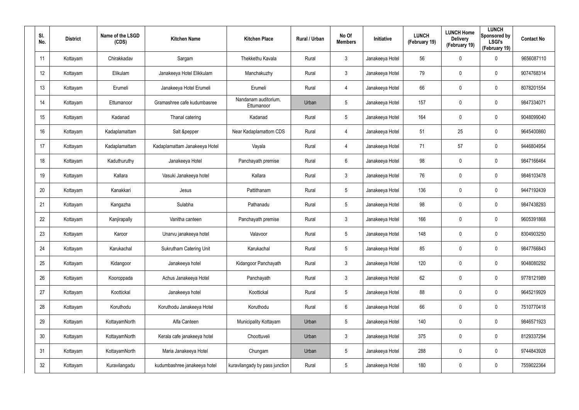| SI.<br>No.      | <b>District</b> | Name of the LSGD<br>(CDS) | <b>Kitchen Name</b>            | <b>Kitchen Place</b>               | Rural / Urban | No Of<br><b>Members</b> | Initiative      | <b>LUNCH</b><br>(February 19) | <b>LUNCH Home</b><br><b>Delivery</b><br>(February 19) | <b>LUNCH</b><br>Sponsored by<br><b>LSGI's</b><br>(February 19) | <b>Contact No</b> |
|-----------------|-----------------|---------------------------|--------------------------------|------------------------------------|---------------|-------------------------|-----------------|-------------------------------|-------------------------------------------------------|----------------------------------------------------------------|-------------------|
| 11              | Kottayam        | Chirakkadav               | Sargam                         | Thekkethu Kavala                   | Rural         | $\mathbf{3}$            | Janakeeya Hotel | 56                            | 0                                                     | $\boldsymbol{0}$                                               | 9656087110        |
| 12              | Kottayam        | Elikulam                  | Janakeeya Hotel Elikkulam      | Manchakuzhy                        | Rural         | $\mathbf{3}$            | Janakeeya Hotel | 79                            | 0                                                     | $\boldsymbol{0}$                                               | 9074768314        |
| 13              | Kottayam        | Erumeli                   | Janakeeya Hotel Erumeli        | Erumeli                            | Rural         | $\overline{4}$          | Janakeeya Hotel | 66                            | 0                                                     | $\pmb{0}$                                                      | 8078201554        |
| 14              | Kottayam        | Ettumanoor                | Gramashree cafe kudumbasree    | Nandanam auditorium,<br>Ettumanoor | Urban         | 5                       | Janakeeya Hotel | 157                           | 0                                                     | $\boldsymbol{0}$                                               | 9847334071        |
| 15              | Kottayam        | Kadanad                   | Thanal catering                | Kadanad                            | Rural         | 5                       | Janakeeya Hotel | 164                           | $\mathbf 0$                                           | $\boldsymbol{0}$                                               | 9048099040        |
| 16              | Kottayam        | Kadaplamattam             | Salt &pepper                   | Near Kadaplamattom CDS             | Rural         | $\overline{4}$          | Janakeeya Hotel | 51                            | 25                                                    | $\boldsymbol{0}$                                               | 9645400860        |
| 17              | Kottayam        | Kadaplamattam             | Kadaplamattam Janakeeya Hotel  | Vayala                             | Rural         | $\overline{4}$          | Janakeeya Hotel | 71                            | 57                                                    | $\pmb{0}$                                                      | 9446804954        |
| 18              | Kottayam        | Kaduthuruthy              | Janakeeya Hotel                | Panchayath premise                 | Rural         | 6                       | Janakeeya Hotel | 98                            | 0                                                     | $\mathbf 0$                                                    | 9847166464        |
| 19              | Kottayam        | Kallara                   | Vasuki Janakeeya hotel         | Kallara                            | Rural         | $\mathbf{3}$            | Janakeeya Hotel | 76                            | $\mathbf 0$                                           | $\mathbf 0$                                                    | 9846103478        |
| 20              | Kottayam        | Kanakkari                 | Jesus                          | Pattithanam                        | Rural         | $5\phantom{.0}$         | Janakeeya Hotel | 136                           | $\mathbf 0$                                           | $\mathbf 0$                                                    | 9447192439        |
| 21              | Kottayam        | Kangazha                  | Sulabha                        | Pathanadu                          | Rural         | $5\phantom{.0}$         | Janakeeya Hotel | 98                            | $\pmb{0}$                                             | $\mathbf 0$                                                    | 9847438293        |
| 22              | Kottayam        | Kanjirapally              | Vanitha canteen                | Panchayath premise                 | Rural         | $\mathbf{3}$            | Janakeeya Hotel | 166                           | $\mathbf 0$                                           | $\mathbf 0$                                                    | 9605391868        |
| 23              | Kottayam        | Karoor                    | Unarvu janakeeya hotel         | Valavoor                           | Rural         | $5\phantom{.0}$         | Janakeeya Hotel | 148                           | $\mathbf 0$                                           | $\mathbf 0$                                                    | 8304903250        |
| 24              | Kottayam        | Karukachal                | <b>Sukrutham Catering Unit</b> | Karukachal                         | Rural         | 5                       | Janakeeya Hotel | 85                            | $\mathbf 0$                                           | $\pmb{0}$                                                      | 9847766843        |
| 25              | Kottayam        | Kidangoor                 | Janakeeya hotel                | Kidangoor Panchayath               | Rural         | $\mathbf{3}$            | Janakeeya Hotel | 120                           | $\mathbf 0$                                           | $\mathbf 0$                                                    | 9048080292        |
| 26              | Kottayam        | Kooroppada                | Achus Janakeeya Hotel          | Panchayath                         | Rural         | $\mathbf{3}$            | Janakeeya Hotel | 62                            | $\mathbf 0$                                           | $\pmb{0}$                                                      | 9778121989        |
| 27              | Kottayam        | Koottickal                | Janakeeya hotel                | Koottickal                         | Rural         | $5\phantom{.0}$         | Janakeeya Hotel | 88                            | $\mathbf 0$                                           | $\mathbf 0$                                                    | 9645219929        |
| 28              | Kottayam        | Koruthodu                 | Koruthodu Janakeeya Hotel      | Koruthodu                          | Rural         | $6\phantom{.}6$         | Janakeeya Hotel | 66                            | $\mathbf 0$                                           | $\pmb{0}$                                                      | 7510770418        |
| 29              | Kottayam        | KottayamNorth             | Alfa Canteen                   | Municipality Kottayam              | Urban         | 5                       | Janakeeya Hotel | 140                           | $\mathbf 0$                                           | $\mathbf 0$                                                    | 9846571923        |
| 30 <sup>°</sup> | Kottayam        | KottayamNorth             | Kerala cafe janakeeya hotel    | Choottuveli                        | Urban         | $\mathbf{3}$            | Janakeeya Hotel | 375                           | $\mathbf 0$                                           | $\pmb{0}$                                                      | 8129337294        |
| 31              | Kottayam        | KottayamNorth             | Maria Janakeeya Hotel          | Chungam                            | Urban         | 5                       | Janakeeya Hotel | 288                           | $\mathbf 0$                                           | $\mathbf 0$                                                    | 9744843928        |
| 32              | Kottayam        | Kuravilangadu             | kudumbashree janakeeya hotel   | kuravilangady by pass junction     | Rural         | $5\phantom{.0}$         | Janakeeya Hotel | 180                           | $\mathbf 0$                                           | $\pmb{0}$                                                      | 7559022364        |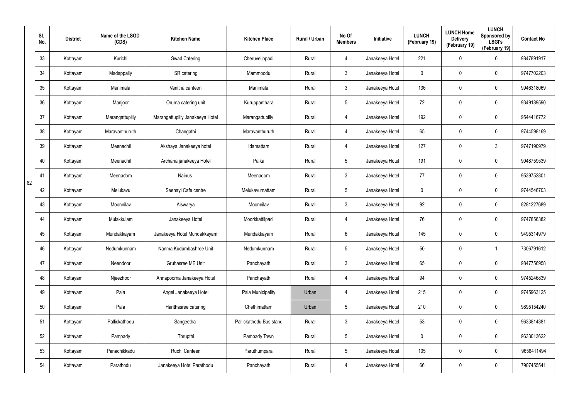|    | SI.<br>No. | <b>District</b> | Name of the LSGD<br>(CDS) | <b>Kitchen Name</b>             | <b>Kitchen Place</b>    | Rural / Urban | No Of<br><b>Members</b> | Initiative      | <b>LUNCH</b><br>(February 19) | <b>LUNCH Home</b><br><b>Delivery</b><br>(February 19) | <b>LUNCH</b><br>Sponsored by<br><b>LSGI's</b><br>(February 19) | <b>Contact No</b> |
|----|------------|-----------------|---------------------------|---------------------------------|-------------------------|---------------|-------------------------|-----------------|-------------------------------|-------------------------------------------------------|----------------------------------------------------------------|-------------------|
|    | 33         | Kottayam        | Kurichi                   | Swad Catering                   | Cheruvelippadi          | Rural         | 4                       | Janakeeya Hotel | 221                           | 0                                                     | $\mathbf 0$                                                    | 9847891917        |
|    | 34         | Kottayam        | Madappally                | SR catering                     | Mammoodu                | Rural         | $\mathfrak{Z}$          | Janakeeya Hotel | 0                             | 0                                                     | $\pmb{0}$                                                      | 9747702203        |
|    | 35         | Kottayam        | Manimala                  | Vanitha canteen                 | Manimala                | Rural         | $\mathbf{3}$            | Janakeeya Hotel | 136                           | $\mathbf 0$                                           | $\pmb{0}$                                                      | 9946318069        |
|    | 36         | Kottayam        | Manjoor                   | Oruma catering unit             | Kuruppanthara           | Rural         | 5                       | Janakeeya Hotel | 72                            | 0                                                     | $\pmb{0}$                                                      | 9349189590        |
|    | 37         | Kottayam        | Marangattupilly           | Marangattupilly Janakeeya Hotel | Marangattupilly         | Rural         | 4                       | Janakeeya Hotel | 192                           | $\mathbf 0$                                           | $\pmb{0}$                                                      | 9544416772        |
|    | 38         | Kottayam        | Maravanthuruth            | Changathi                       | Maravanthuruth          | Rural         | 4                       | Janakeeya Hotel | 65                            | 0                                                     | $\pmb{0}$                                                      | 9744598169        |
|    | 39         | Kottayam        | Meenachil                 | Akshaya Janakeeya hotel         | Idamattam               | Rural         | 4                       | Janakeeya Hotel | 127                           | 0                                                     | 3                                                              | 9747190979        |
|    | 40         | Kottayam        | Meenachil                 | Archana janakeeya Hotel         | Paika                   | Rural         | $5\overline{)}$         | Janakeeya Hotel | 191                           | 0                                                     | $\pmb{0}$                                                      | 9048759539        |
| 82 | 41         | Kottayam        | Meenadom                  | <b>Nainus</b>                   | Meenadom                | Rural         | $\mathbf{3}$            | Janakeeya Hotel | 77                            | 0                                                     | $\pmb{0}$                                                      | 9539752801        |
|    | 42         | Kottayam        | Melukavu                  | Seenayi Cafe centre             | Melukavumattam          | Rural         | $5\overline{)}$         | Janakeeya Hotel | 0                             | 0                                                     | $\pmb{0}$                                                      | 9744546703        |
|    | 43         | Kottayam        | Moonnilav                 | Aiswarya                        | Moonnilav               | Rural         | $\mathbf{3}$            | Janakeeya Hotel | 92                            | $\mathbf 0$                                           | $\pmb{0}$                                                      | 8281227689        |
|    | 44         | Kottayam        | Mulakkulam                | Janakeeya Hotel                 | Moorkkattilpadi         | Rural         | 4                       | Janakeeya Hotel | 76                            | 0                                                     | $\pmb{0}$                                                      | 9747856382        |
|    | 45         | Kottayam        | Mundakkayam               | Janakeeya Hotel Mundakkayam     | Mundakkayam             | Rural         | 6                       | Janakeeya Hotel | 145                           | 0                                                     | 0                                                              | 9495314979        |
|    | 46         | Kottayam        | Nedumkunnam               | Nanma Kudumbashree Unit         | Nedumkunnam             | Rural         | $\sqrt{5}$              | Janakeeya Hotel | 50                            | $\pmb{0}$                                             | 1                                                              | 7306791612        |
|    | 47         | Kottayam        | Neendoor                  | Gruhasree ME Unit               | Panchayath              | Rural         | $\mathbf{3}$            | Janakeeya Hotel | 65                            | $\mathbf 0$                                           | $\mathsf{0}$                                                   | 9847756958        |
|    | 48         | Kottayam        | Njeezhoor                 | Annapoorna Janakeeya Hotel      | Panchayath              | Rural         | $\overline{4}$          | Janakeeya Hotel | 94                            | $\mathbf 0$                                           | $\mathbf 0$                                                    | 9745246839        |
|    | 49         | Kottayam        | Pala                      | Angel Janakeeya Hotel           | Pala Municipality       | Urban         | 4                       | Janakeeya Hotel | 215                           | $\mathbf 0$                                           | $\mathbf 0$                                                    | 9745963125        |
|    | 50         | Kottayam        | Pala                      | Harithasree catering            | Chethimattam            | Urban         | $5\phantom{.0}$         | Janakeeya Hotel | 210                           | $\pmb{0}$                                             | $\mathsf{0}$                                                   | 9895154240        |
|    | 51         | Kottayam        | Pallickathodu             | Sangeetha                       | Pallickathodu Bus stand | Rural         | $\mathbf{3}$            | Janakeeya Hotel | 53                            | $\mathbf 0$                                           | $\mathsf{0}$                                                   | 9633814381        |
|    | 52         | Kottayam        | Pampady                   | Thrupthi                        | Pampady Town            | Rural         | $5\phantom{.0}$         | Janakeeya Hotel | $\mathbf 0$                   | $\mathbf 0$                                           | $\mathsf{0}$                                                   | 9633013622        |
|    | 53         | Kottayam        | Panachikkadu              | Ruchi Canteen                   | Paruthumpara            | Rural         | $5\phantom{.0}$         | Janakeeya Hotel | 105                           | $\mathbf 0$                                           | $\mathbf 0$                                                    | 9656411494        |
|    | 54         | Kottayam        | Parathodu                 | Janakeeya Hotel Parathodu       | Panchayath              | Rural         | 4                       | Janakeeya Hotel | 66                            | 0                                                     | $\pmb{0}$                                                      | 7907455541        |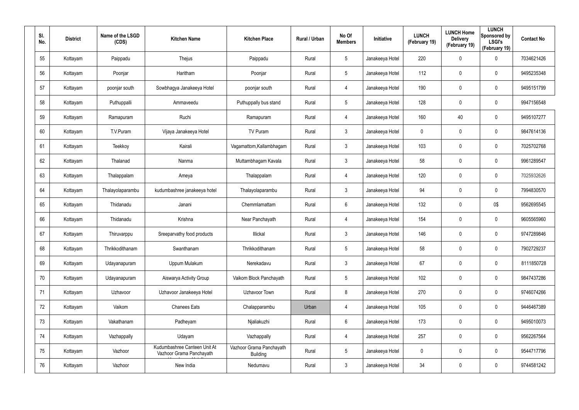| SI.<br>No. | <b>District</b> | Name of the LSGD<br>(CDS) | <b>Kitchen Name</b>                                      | <b>Kitchen Place</b>                        | Rural / Urban | No Of<br><b>Members</b> | Initiative      | <b>LUNCH</b><br>(February 19) | <b>LUNCH Home</b><br><b>Delivery</b><br>(February 19) | <b>LUNCH</b><br>Sponsored by<br><b>LSGI's</b><br>(February 19) | <b>Contact No</b> |
|------------|-----------------|---------------------------|----------------------------------------------------------|---------------------------------------------|---------------|-------------------------|-----------------|-------------------------------|-------------------------------------------------------|----------------------------------------------------------------|-------------------|
| 55         | Kottayam        | Paippadu                  | Thejus                                                   | Paippadu                                    | Rural         | 5                       | Janakeeya Hotel | 220                           | $\pmb{0}$                                             | 0                                                              | 7034621426        |
| 56         | Kottayam        | Poonjar                   | Haritham                                                 | Poonjar                                     | Rural         | 5                       | Janakeeya Hotel | 112                           | $\boldsymbol{0}$                                      | 0                                                              | 9495235348        |
| 57         | Kottayam        | poonjar south             | Sowbhagya Janakeeya Hotel                                | poonjar south                               | Rural         | $\overline{4}$          | Janakeeya Hotel | 190                           | $\pmb{0}$                                             | 0                                                              | 9495151799        |
| 58         | Kottayam        | Puthuppalli               | Ammaveedu                                                | Puthuppally bus stand                       | Rural         | 5                       | Janakeeya Hotel | 128                           | $\boldsymbol{0}$                                      | 0                                                              | 9947156548        |
| 59         | Kottayam        | Ramapuram                 | Ruchi                                                    | Ramapuram                                   | Rural         | $\overline{4}$          | Janakeeya Hotel | 160                           | 40                                                    | 0                                                              | 9495107277        |
| 60         | Kottayam        | T.V.Puram                 | Vijaya Janakeeya Hotel                                   | TV Puram                                    | Rural         | $\mathbf{3}$            | Janakeeya Hotel | 0                             | $\boldsymbol{0}$                                      | 0                                                              | 9847614136        |
| 61         | Kottayam        | Teekkoy                   | Kairali                                                  | Vagamattom, Kallambhagam                    | Rural         | $\mathbf{3}$            | Janakeeya Hotel | 103                           | $\overline{0}$                                        | 0                                                              | 7025702768        |
| 62         | Kottayam        | Thalanad                  | Nanma                                                    | Muttambhagam Kavala                         | Rural         | $\mathbf{3}$            | Janakeeya Hotel | 58                            | $\pmb{0}$                                             | $\mathbf 0$                                                    | 9961289547        |
| 63         | Kottayam        | Thalappalam               | Ameya                                                    | Thalappalam                                 | Rural         | $\overline{4}$          | Janakeeya Hotel | 120                           | $\overline{0}$                                        | 0                                                              | 7025932626        |
| 64         | Kottayam        | Thalayolaparambu          | kudumbashree janakeeya hotel                             | Thalayolaparambu                            | Rural         | $\mathbf{3}$            | Janakeeya Hotel | 94                            | $\pmb{0}$                                             | $\mathbf 0$                                                    | 7994830570        |
| 65         | Kottayam        | Thidanadu                 | Janani                                                   | Chemmlamattam                               | Rural         | $6\phantom{.}6$         | Janakeeya Hotel | 132                           | $\overline{0}$                                        | 0\$                                                            | 9562695545        |
| 66         | Kottayam        | Thidanadu                 | Krishna                                                  | Near Panchayath                             | Rural         | 4                       | Janakeeya Hotel | 154                           | $\boldsymbol{0}$                                      | 0                                                              | 9605565960        |
| 67         | Kottayam        | Thiruvarppu               | Sreeparvathy food products                               | Illickal                                    | Rural         | $\mathbf{3}$            | Janakeeya Hotel | 146                           | $\overline{0}$                                        | 0                                                              | 9747289846        |
| 68         | Kottayam        | Thrikkodithanam           | Swanthanam                                               | Thrikkodithanam                             | Rural         | 5                       | Janakeeya Hotel | 58                            | $\mathbf 0$                                           | $\pmb{0}$                                                      | 7902729237        |
| 69         | Kottayam        | Udayanapuram              | Uppum Mulakum                                            | Nerekadavu                                  | Rural         | $\mathbf{3}$            | Janakeeya Hotel | 67                            | $\overline{0}$                                        | $\pmb{0}$                                                      | 8111850728        |
| 70         | Kottayam        | Udayanapuram              | Aiswarya Activity Group                                  | Vaikom Block Panchayath                     | Rural         | $5\phantom{.0}$         | Janakeeya Hotel | 102                           | $\mathbf 0$                                           | $\pmb{0}$                                                      | 9847437286        |
| 71         | Kottayam        | Uzhavoor                  | Uzhavoor Janakeeya Hotel                                 | Uzhavoor Town                               | Rural         | 8                       | Janakeeya Hotel | 270                           | $\mathbf 0$                                           | $\pmb{0}$                                                      | 9746074266        |
| 72         | Kottayam        | Vaikom                    | <b>Chanees Eats</b>                                      | Chalapparambu                               | Urban         | $\overline{4}$          | Janakeeya Hotel | 105                           | $\mathbf 0$                                           | $\pmb{0}$                                                      | 9446467389        |
| 73         | Kottayam        | Vakathanam                | Padheyam                                                 | Njaliakuzhi                                 | Rural         | $6\phantom{.}6$         | Janakeeya Hotel | 173                           | $\pmb{0}$                                             | 0                                                              | 9495010073        |
| 74         | Kottayam        | Vazhappally               | Udayam                                                   | Vazhappally                                 | Rural         | $\overline{4}$          | Janakeeya Hotel | 257                           | $\mathbf 0$                                           | 0                                                              | 9562267564        |
| 75         | Kottayam        | Vazhoor                   | Kudumbashree Canteen Unit At<br>Vazhoor Grama Panchayath | Vazhoor Grama Panchayath<br><b>Building</b> | Rural         | $5\phantom{.0}$         | Janakeeya Hotel | 0                             | $\pmb{0}$                                             | 0                                                              | 9544717796        |
| 76         | Kottayam        | Vazhoor                   | New India                                                | Nedumavu                                    | Rural         | 3 <sup>1</sup>          | Janakeeya Hotel | 34                            | $\boldsymbol{0}$                                      | 0                                                              | 9744581242        |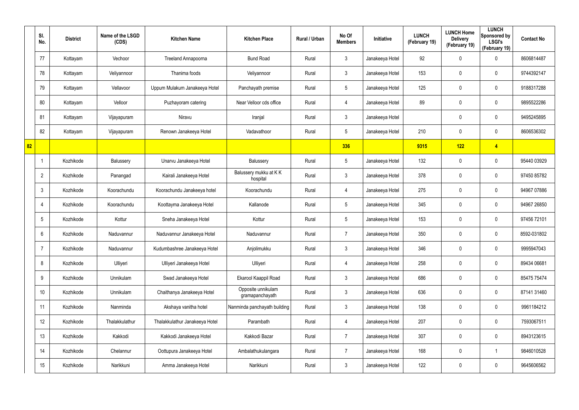|    | SI.<br>No.      | <b>District</b> | Name of the LSGD<br>(CDS) | <b>Kitchen Name</b>            | <b>Kitchen Place</b>                  | Rural / Urban | No Of<br><b>Members</b> | Initiative      | <b>LUNCH</b><br>(February 19) | <b>LUNCH Home</b><br><b>Delivery</b><br>(February 19) | <b>LUNCH</b><br>Sponsored by<br><b>LSGI's</b><br>(February 19) | <b>Contact No</b> |
|----|-----------------|-----------------|---------------------------|--------------------------------|---------------------------------------|---------------|-------------------------|-----------------|-------------------------------|-------------------------------------------------------|----------------------------------------------------------------|-------------------|
|    | 77              | Kottayam        | Vechoor                   | Treeland Annapoorna            | <b>Bund Road</b>                      | Rural         | $\mathbf{3}$            | Janakeeya Hotel | 92                            | 0                                                     | $\mathbf 0$                                                    | 8606814487        |
|    | 78              | Kottayam        | Veliyannoor               | Thanima foods                  | Veliyannoor                           | Rural         | $\mathbf{3}$            | Janakeeya Hotel | 153                           | 0                                                     | $\pmb{0}$                                                      | 9744392147        |
|    | 79              | Kottayam        | Vellavoor                 | Uppum Mulakum Janakeeya Hotel  | Panchayath premise                    | Rural         | $5\phantom{.0}$         | Janakeeya Hotel | 125                           | $\mathbf 0$                                           | $\pmb{0}$                                                      | 9188317288        |
|    | 80              | Kottayam        | Velloor                   | Puzhayoram catering            | Near Velloor cds office               | Rural         | $\overline{4}$          | Janakeeya Hotel | 89                            | 0                                                     | $\mathbf 0$                                                    | 9895522286        |
|    | 81              | Kottayam        | Vijayapuram               | Niravu                         | Iranjal                               | Rural         | $\mathbf{3}$            | Janakeeya Hotel |                               | 0                                                     | $\mathbf 0$                                                    | 9495245895        |
|    | 82              | Kottayam        | Vijayapuram               | Renown Janakeeya Hotel         | Vadavathoor                           | Rural         | $5\phantom{.0}$         | Janakeeya Hotel | 210                           | 0                                                     | $\mathbf 0$                                                    | 8606536302        |
| 82 |                 |                 |                           |                                |                                       |               | 336                     |                 | 9315                          | 122                                                   | $\overline{4}$                                                 |                   |
|    | $\mathbf 1$     | Kozhikode       | Balussery                 | Unarvu Janakeeya Hotel         | Balussery                             | Rural         | $5\phantom{.0}$         | Janakeeya Hotel | 132                           | 0                                                     | $\mathbf 0$                                                    | 95440 03929       |
|    | $\overline{2}$  | Kozhikode       | Panangad                  | Kairali Janakeeya Hotel        | Balussery mukku at KK<br>hospital     | Rural         | $\mathbf{3}$            | Janakeeya Hotel | 378                           | 0                                                     | $\pmb{0}$                                                      | 97450 85782       |
|    | $\mathbf{3}$    | Kozhikode       | Koorachundu               | Koorachundu Janakeeya hotel    | Koorachundu                           | Rural         | $\overline{4}$          | Janakeeya Hotel | 275                           | 0                                                     | $\mathbf 0$                                                    | 94967 07886       |
|    | 4               | Kozhikode       | Koorachundu               | Koottayma Janakeeya Hotel      | Kallanode                             | Rural         | $5\phantom{.0}$         | Janakeeya Hotel | 345                           | 0                                                     | $\pmb{0}$                                                      | 94967 26850       |
|    | $5\phantom{.0}$ | Kozhikode       | Kottur                    | Sneha Janakeeya Hotel          | Kottur                                | Rural         | $5\overline{)}$         | Janakeeya Hotel | 153                           | 0                                                     | $\mathbf 0$                                                    | 97456 72101       |
|    | 6               | Kozhikode       | Naduvannur                | Naduvannur Janakeeya Hotel     | Naduvannur                            | Rural         | $\overline{7}$          | Janakeeya Hotel | 350                           | 0                                                     | $\mathbf 0$                                                    | 8592-031802       |
|    | 7               | Kozhikode       | Naduvannur                | Kudumbashree Janakeeya Hotel   | Anjolimukku                           | Rural         | $\mathfrak{Z}$          | Janakeeya Hotel | 346                           | $\mathbf 0$                                           | $\mathbf 0$                                                    | 9995947043        |
|    | 8               | Kozhikode       | Ulliyeri                  | Ulliyeri Janakeeya Hotel       | Ulliyeri                              | Rural         | 4                       | Janakeeya Hotel | 258                           | 0                                                     | $\mathbf 0$                                                    | 89434 06681       |
|    | 9               | Kozhikode       | Unnikulam                 | Swad Janakeeya Hotel           | Ekarool Kaappil Road                  | Rural         | 3 <sup>1</sup>          | Janakeeya Hotel | 686                           | 0                                                     | $\mathbf 0$                                                    | 85475 75474       |
|    | 10 <sup>°</sup> | Kozhikode       | Unnikulam                 | Chaithanya Janakeeya Hotel     | Opposite unnikulam<br>gramapanchayath | Rural         | $\mathbf{3}$            | Janakeeya Hotel | 636                           | 0                                                     | $\mathbf 0$                                                    | 87141 31460       |
|    | 11              | Kozhikode       | Nanminda                  | Akshaya vanitha hotel          | Nanminda panchayath building          | Rural         | $\mathbf{3}$            | Janakeeya Hotel | 138                           | $\mathbf 0$                                           | $\mathbf 0$                                                    | 9961184212        |
|    | 12              | Kozhikode       | Thalakkulathur            | Thalakkulathur Janakeeya Hotel | Parambath                             | Rural         | $\overline{4}$          | Janakeeya Hotel | 207                           | 0                                                     | $\pmb{0}$                                                      | 7593067511        |
|    | 13              | Kozhikode       | Kakkodi                   | Kakkodi Janakeeya Hotel        | Kakkodi Bazar                         | Rural         | $\overline{7}$          | Janakeeya Hotel | 307                           | 0                                                     | $\mathbf 0$                                                    | 8943123615        |
|    | 14              | Kozhikode       | Chelannur                 | Oottupura Janakeeya Hotel      | Ambalathukulangara                    | Rural         | $\overline{7}$          | Janakeeya Hotel | 168                           | 0                                                     | $\mathbf{1}$                                                   | 9846010528        |
|    | 15              | Kozhikode       | Narikkuni                 | Amma Janakeeya Hotel           | Narikkuni                             | Rural         | $\mathfrak{Z}$          | Janakeeya Hotel | 122                           | 0                                                     | $\mathbf 0$                                                    | 9645606562        |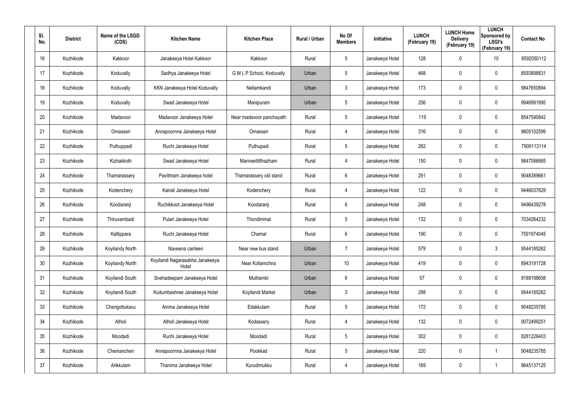| SI.<br>No. | <b>District</b> | Name of the LSGD<br>(CDS) | <b>Kitchen Name</b>                      | <b>Kitchen Place</b>      | <b>Rural / Urban</b> | No Of<br><b>Members</b> | Initiative      | <b>LUNCH</b><br>(February 19) | <b>LUNCH Home</b><br><b>Delivery</b><br>(February 19) | <b>LUNCH</b><br>Sponsored by<br><b>LSGI's</b><br>(February 19) | <b>Contact No</b> |
|------------|-----------------|---------------------------|------------------------------------------|---------------------------|----------------------|-------------------------|-----------------|-------------------------------|-------------------------------------------------------|----------------------------------------------------------------|-------------------|
| 16         | Kozhikode       | Kakkoor                   | Janakeeya Hotel Kakkoor                  | Kakkoor                   | Rural                | $5\overline{)}$         | Janakeeya Hotel | 128                           | $\mathbf 0$                                           | 10                                                             | 8592050112        |
| 17         | Kozhikode       | Koduvally                 | Sadhya Janakeeya Hotel                   | G M L P School, Koduvally | Urban                | $5\overline{)}$         | Janakeeya Hotel | 468                           | $\boldsymbol{0}$                                      | $\mathbf 0$                                                    | 8593898831        |
| 18         | Kozhikode       | Koduvally                 | KKN Janakeeya Hotel Koduvally            | Nellamkandi               | Urban                | $\mathbf{3}$            | Janakeeya Hotel | 173                           | $\mathbf 0$                                           | $\mathbf 0$                                                    | 9847650894        |
| 19         | Kozhikode       | Koduvally                 | Swad Janakeeya Hotel                     | Manipuram                 | Urban                | $5\overline{)}$         | Janakeeya Hotel | 256                           | 0                                                     | $\mathbf 0$                                                    | 9946991995        |
| 20         | Kozhikode       | Madavoor                  | Madavoor Janakeeya Hotel                 | Near madavoor panchayath  | Rural                | 5                       | Janakeeya Hotel | 119                           | $\mathbf 0$                                           | $\mathbf 0$                                                    | 8547590842        |
| 21         | Kozhikode       | Omasseri                  | Annapoornna Janakeeya Hotel              | Omasseri                  | Rural                | 4                       | Janakeeya Hotel | 316                           | 0                                                     | $\mathbf 0$                                                    | 9605102599        |
| 22         | Kozhikode       | Puthuppadi                | Ruchi Janakeeya Hotel                    | Puthupadi                 | Rural                | $5\overline{)}$         | Janakeeya Hotel | 282                           | $\mathbf 0$                                           | $\mathbf 0$                                                    | 7909113114        |
| 23         | Kozhikode       | Kizhakkoth                | Swad Janakeeya Hotel                     | Mariveettilthazham        | Rural                | 4                       | Janakeeya Hotel | 150                           | $\mathbf 0$                                           | $\mathbf 0$                                                    | 9847086665        |
| 24         | Kozhikode       | Thamarassery              | Pavithram Janakeeya hotel                | Thamarassery old stand    | Rural                | 6                       | Janakeeya Hotel | 291                           | $\mathbf 0$                                           | $\mathbf 0$                                                    | 9048389661        |
| 25         | Kozhikode       | Kodenchery                | Kairali Janakeeya Hotel                  | Kodenchery                | Rural                | 4                       | Janakeeya Hotel | 122                           | $\mathbf 0$                                           | $\mathbf 0$                                                    | 9446037829        |
| 26         | Kozhikode       | Koodaranji                | Ruchikkoot Janakeeya Hotel               | Koodaranji                | Rural                | 6                       | Janakeeya Hotel | 248                           | $\mathbf 0$                                           | $\mathbf 0$                                                    | 9496439278        |
| 27         | Kozhikode       | Thiruvambadi              | Pulari Janakeeya Hotel                   | Thondimmal                | Rural                | $5\overline{)}$         | Janakeeya Hotel | 132                           | $\mathbf 0$                                           | $\mathbf 0$                                                    | 7034264232        |
| 28         | Kozhikode       | Kattippara                | Ruchi Janakeeya Hotel                    | Chamal                    | Rural                | 6                       | Janakeeya Hotel | 190                           | $\mathbf 0$                                           | $\mathbf 0$                                                    | 7591974045        |
| 29         | Kozhikode       | Koyilandy North           | Naveena canteen                          | Near new bus stand        | Urban                | $\overline{7}$          | Janakeeya Hotel | 579                           | $\mathbf 0$                                           | $\mathfrak{Z}$                                                 | 9544185262        |
| 30         | Kozhikode       | Koyilandy North           | Koyilandi Nagarasabha Janakeeya<br>Hotel | Near Kollamchira          | Urban                | 10                      | Janakeeya Hotel | 419                           | $\mathbf 0$                                           | $\pmb{0}$                                                      | 8943191728        |
| 31         | Kozhikode       | Koyilandi South           | Snehadeepam Janakeeya Hotel              | Muthambi                  | Urban                | $6\overline{6}$         | Janakeeya Hotel | 57                            | $\mathbf 0$                                           | $\pmb{0}$                                                      | 9188198658        |
| 32         | Kozhikode       | Koyilandi South           | Kudumbashree Janakeeya Hotel             | Koyilandi Market          | Urban                | $\mathbf{3}$            | Janakeeya Hotel | 298                           | $\mathbf 0$                                           | $\pmb{0}$                                                      | 9544185262        |
| 33         | Kozhikode       | Chengottukavu             | Amma Janakeeya Hotel                     | Edakkulam                 | Rural                | $5\phantom{.0}$         | Janakeeya Hotel | 172                           | $\mathbf 0$                                           | $\pmb{0}$                                                      | 9048235785        |
| 34         | Kozhikode       | Atholi                    | Atholi Janakeeya Hotel                   | Kodassery                 | Rural                | $\overline{4}$          | Janakeeya Hotel | 132                           | $\mathbf 0$                                           | $\mathbf 0$                                                    | 9072499251        |
| 35         | Kozhikode       | Moodadi                   | Ruchi Janakeeya Hotel                    | Moodadi                   | Rural                | 5                       | Janakeeya Hotel | 302                           | $\mathbf 0$                                           | $\pmb{0}$                                                      | 8281226403        |
| 36         | Kozhikode       | Chemancheri               | Annapoornna Janakeeya Hotel              | Pookkad                   | Rural                | $5\phantom{.0}$         | Janakeeya Hotel | 220                           | $\mathbf 0$                                           | -1                                                             | 9048235785        |
| 37         | Kozhikode       | Arikkulam                 | Thanima Janakeeya Hotel                  | Kurudimukku               | Rural                | 4                       | Janakeeya Hotel | 169                           | $\mathbf 0$                                           | 1                                                              | 9645137125        |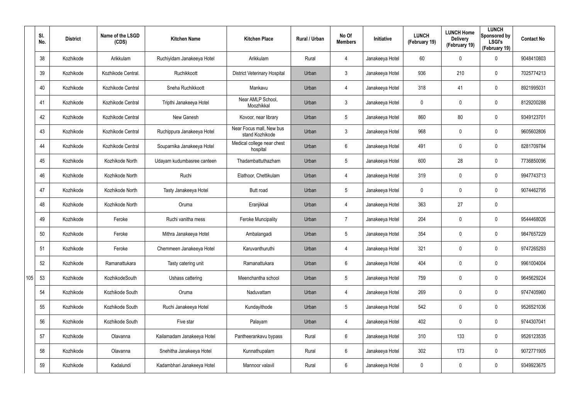|     | SI.<br>No. | <b>District</b> | Name of the LSGD<br>(CDS) | <b>Kitchen Name</b>        | <b>Kitchen Place</b>                        | Rural / Urban | No Of<br><b>Members</b> | <b>Initiative</b> | <b>LUNCH</b><br>(February 19) | <b>LUNCH Home</b><br><b>Delivery</b><br>(February 19) | <b>LUNCH</b><br>Sponsored by<br><b>LSGI's</b><br>(February 19) | <b>Contact No</b> |
|-----|------------|-----------------|---------------------------|----------------------------|---------------------------------------------|---------------|-------------------------|-------------------|-------------------------------|-------------------------------------------------------|----------------------------------------------------------------|-------------------|
|     | 38         | Kozhikode       | Arikkulam                 | Ruchiyidam Janakeeya Hotel | Arikkulam                                   | Rural         | 4                       | Janakeeya Hotel   | 60                            | $\mathbf 0$                                           | $\mathbf 0$                                                    | 9048410803        |
|     | 39         | Kozhikode       | Kozhikode Central.        | Ruchikkoott                | <b>District Veterinary Hospital</b>         | Urban         | 3                       | Janakeeya Hotel   | 936                           | 210                                                   | $\mathbf 0$                                                    | 7025774213        |
|     | 40         | Kozhikode       | Kozhikode Central         | Sneha Ruchikkoott          | Mankavu                                     | Urban         | $\overline{4}$          | Janakeeya Hotel   | 318                           | 41                                                    | $\mathbf 0$                                                    | 8921995031        |
|     | 41         | Kozhikode       | Kozhikode Central         | Tripthi Janakeeya Hotel    | Near AMLP School,<br>Moozhikkal             | Urban         | 3                       | Janakeeya Hotel   | 0                             | 0                                                     | $\mathbf 0$                                                    | 8129200288        |
|     | 42         | Kozhikode       | Kozhikode Central         | New Ganesh                 | Kovoor, near library                        | Urban         | $5\overline{)}$         | Janakeeya Hotel   | 860                           | 80                                                    | $\mathbf 0$                                                    | 9349123701        |
|     | 43         | Kozhikode       | Kozhikode Central         | Ruchippura Janakeeya Hotel | Near Focus mall, New bus<br>stand Kozhikode | Urban         | 3                       | Janakeeya Hotel   | 968                           | 0                                                     | $\mathbf 0$                                                    | 9605602806        |
|     | 44         | Kozhikode       | Kozhikode Central         | Souparnika Janakeeya Hotel | Medical college near chest<br>hospital      | Urban         | $6\phantom{.}$          | Janakeeya Hotel   | 491                           | 0                                                     | $\mathbf 0$                                                    | 8281709784        |
|     | 45         | Kozhikode       | Kozhikode North           | Udayam kudumbasree canteen | Thadambattuthazham                          | Urban         | $5\phantom{.0}$         | Janakeeya Hotel   | 600                           | 28                                                    | $\mathbf 0$                                                    | 7736850096        |
|     | 46         | Kozhikode       | Kozhikode North           | Ruchi                      | Elathoor, Chettikulam                       | Urban         | $\overline{4}$          | Janakeeya Hotel   | 319                           | $\mathbf 0$                                           | $\mathbf 0$                                                    | 9947743713        |
|     | 47         | Kozhikode       | Kozhikode North           | Tasty Janakeeya Hotel      | Butt road                                   | Urban         | $5\phantom{.0}$         | Janakeeya Hotel   | 0                             | 0                                                     | $\mathbf 0$                                                    | 9074462795        |
|     | 48         | Kozhikode       | Kozhikode North           | Oruma                      | Eranjikkal                                  | Urban         | $\overline{4}$          | Janakeeya Hotel   | 363                           | 27                                                    | $\mathbf 0$                                                    |                   |
|     | 49         | Kozhikode       | Feroke                    | Ruchi vanitha mess         | <b>Feroke Muncipality</b>                   | Urban         | $\overline{7}$          | Janakeeya Hotel   | 204                           | 0                                                     | $\mathbf 0$                                                    | 9544468026        |
|     | 50         | Kozhikode       | Feroke                    | Mithra Janakeeya Hotel     | Ambalangadi                                 | Urban         | $5\phantom{.0}$         | Janakeeya Hotel   | 354                           | $\mathbf 0$                                           | $\mathbf 0$                                                    | 9847657229        |
|     | 51         | Kozhikode       | Feroke                    | Chemmeen Janakeeya Hotel   | Karuvanthuruthi                             | Urban         | 4                       | Janakeeya Hotel   | 321                           | 0                                                     | $\mathbf 0$                                                    | 9747265293        |
|     | 52         | Kozhikode       | Ramanattukara             | Tasty catering unit        | Ramanattukara                               | Urban         | 6                       | Janakeeya Hotel   | 404                           | 0                                                     | $\pmb{0}$                                                      | 9961004004        |
| 105 | 53         | Kozhikode       | KozhikodeSouth            | Ushass cattering           | Meenchantha school                          | Urban         | $5\phantom{.0}$         | Janakeeya Hotel   | 759                           | 0                                                     | $\pmb{0}$                                                      | 9645629224        |
|     | 54         | Kozhikode       | Kozhikode South           | Oruma                      | Naduvattam                                  | Urban         | 4                       | Janakeeya Hotel   | 269                           | 0                                                     | $\pmb{0}$                                                      | 9747405960        |
|     | 55         | Kozhikode       | Kozhikode South           | Ruchi Janakeeya Hotel      | Kundayithode                                | Urban         | $5\overline{)}$         | Janakeeya Hotel   | 542                           | 0                                                     | $\mathbf 0$                                                    | 9526521036        |
|     | 56         | Kozhikode       | Kozhikode South           | Five star                  | Palayam                                     | Urban         | 4                       | Janakeeya Hotel   | 402                           | 0                                                     | $\mathbf 0$                                                    | 9744307041        |
|     | 57         | Kozhikode       | Olavanna                  | Kailamadam Janakeeya Hotel | Pantheerankavu bypass                       | Rural         | $6\overline{6}$         | Janakeeya Hotel   | 310                           | 133                                                   | $\pmb{0}$                                                      | 9526123535        |
|     | 58         | Kozhikode       | Olavanna                  | Snehitha Janakeeya Hotel   | Kunnathupalam                               | Rural         | 6                       | Janakeeya Hotel   | 302                           | 173                                                   | $\pmb{0}$                                                      | 9072771905        |
|     | 59         | Kozhikode       | Kadalundi                 | Kadambhari Janakeeya Hotel | Mannoor valavil                             | Rural         | 6                       | Janakeeya Hotel   | 0                             | 0                                                     | $\pmb{0}$                                                      | 9349923675        |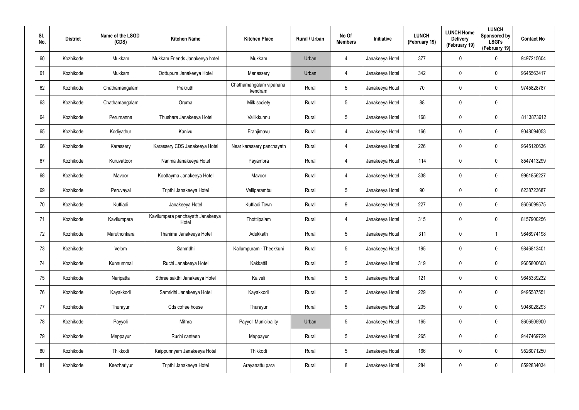| SI.<br>No. | <b>District</b> | Name of the LSGD<br>(CDS) | <b>Kitchen Name</b>                       | <b>Kitchen Place</b>               | Rural / Urban | No Of<br><b>Members</b> | <b>Initiative</b> | <b>LUNCH</b><br>(February 19) | <b>LUNCH Home</b><br><b>Delivery</b><br>(February 19) | <b>LUNCH</b><br>Sponsored by<br><b>LSGI's</b><br>(February 19) | <b>Contact No</b> |
|------------|-----------------|---------------------------|-------------------------------------------|------------------------------------|---------------|-------------------------|-------------------|-------------------------------|-------------------------------------------------------|----------------------------------------------------------------|-------------------|
| 60         | Kozhikode       | Mukkam                    | Mukkam Friends Janakeeya hotel            | Mukkam                             | Urban         | 4                       | Janakeeya Hotel   | 377                           | 0                                                     | $\mathbf 0$                                                    | 9497215604        |
| 61         | Kozhikode       | Mukkam                    | Oottupura Janakeeya Hotel                 | Manassery                          | Urban         | 4                       | Janakeeya Hotel   | 342                           | 0                                                     | $\mathbf 0$                                                    | 9645563417        |
| 62         | Kozhikode       | Chathamangalam            | Prakruthi                                 | Chathamangalam vipanana<br>kendram | Rural         | 5                       | Janakeeya Hotel   | 70                            | 0                                                     | $\mathbf 0$                                                    | 9745828787        |
| 63         | Kozhikode       | Chathamangalam            | Oruma                                     | Milk society                       | Rural         | 5                       | Janakeeya Hotel   | 88                            | 0                                                     | $\mathbf 0$                                                    |                   |
| 64         | Kozhikode       | Perumanna                 | Thushara Janakeeya Hotel                  | Vallikkunnu                        | Rural         | $5\phantom{.0}$         | Janakeeya Hotel   | 168                           | 0                                                     | $\boldsymbol{0}$                                               | 8113873612        |
| 65         | Kozhikode       | Kodiyathur                | Kanivu                                    | Eranjimavu                         | Rural         | 4                       | Janakeeya Hotel   | 166                           | 0                                                     | $\mathbf 0$                                                    | 9048094053        |
| 66         | Kozhikode       | Karassery                 | Karassery CDS Janakeeya Hotel             | Near karassery panchayath          | Rural         | 4                       | Janakeeya Hotel   | 226                           | 0                                                     | $\mathbf 0$                                                    | 9645120636        |
| 67         | Kozhikode       | Kuruvattoor               | Nanma Janakeeya Hotel                     | Payambra                           | Rural         | 4                       | Janakeeya Hotel   | 114                           | 0                                                     | $\mathbf 0$                                                    | 8547413299        |
| 68         | Kozhikode       | Mavoor                    | Koottayma Janakeeya Hotel                 | Mavoor                             | Rural         | 4                       | Janakeeya Hotel   | 338                           | 0                                                     | $\mathbf 0$                                                    | 9961856227        |
| 69         | Kozhikode       | Peruvayal                 | Tripthi Janakeeya Hotel                   | Velliparambu                       | Rural         | $5\overline{)}$         | Janakeeya Hotel   | 90                            | 0                                                     | $\mathbf 0$                                                    | 6238723687        |
| 70         | Kozhikode       | Kuttiadi                  | Janakeeya Hotel                           | Kuttiadi Town                      | Rural         | 9                       | Janakeeya Hotel   | 227                           | 0                                                     | $\mathbf 0$                                                    | 8606099575        |
| 71         | Kozhikode       | Kavilumpara               | Kavilumpara panchayath Janakeeya<br>Hotel | Thottilpalam                       | Rural         | 4                       | Janakeeya Hotel   | 315                           | 0                                                     | $\mathbf 0$                                                    | 8157900256        |
| 72         | Kozhikode       | Maruthonkara              | Thanima Janakeeya Hotel                   | Adukkath                           | Rural         | $5\phantom{.0}$         | Janakeeya Hotel   | 311                           | 0                                                     | 1                                                              | 9846974198        |
| 73         | Kozhikode       | Velom                     | Samridhi                                  | Kallumpuram - Theekkuni            | Rural         | 5                       | Janakeeya Hotel   | 195                           | 0                                                     | $\pmb{0}$                                                      | 9846813401        |
| 74         | Kozhikode       | Kunnummal                 | Ruchi Janakeeya Hotel                     | Kakkattil                          | Rural         | $5\phantom{.0}$         | Janakeeya Hotel   | 319                           | 0                                                     | $\mathbf 0$                                                    | 9605800608        |
| 75         | Kozhikode       | Naripatta                 | Sthree sakthi Janakeeya Hotel             | Kaiveli                            | Rural         | $5\phantom{.0}$         | Janakeeya Hotel   | 121                           | 0                                                     | $\mathbf 0$                                                    | 9645339232        |
| 76         | Kozhikode       | Kayakkodi                 | Samridhi Janakeeya Hotel                  | Kayakkodi                          | Rural         | $5\phantom{.0}$         | Janakeeya Hotel   | 229                           | 0                                                     | $\mathbf 0$                                                    | 9495587551        |
| 77         | Kozhikode       | Thurayur                  | Cds coffee house                          | Thurayur                           | Rural         | $5\phantom{.0}$         | Janakeeya Hotel   | 205                           | 0                                                     | $\mathbf 0$                                                    | 9048028293        |
| 78         | Kozhikode       | Payyoli                   | Mithra                                    | Payyoli Municipality               | Urban         | $5\phantom{.0}$         | Janakeeya Hotel   | 165                           | 0                                                     | $\mathbf 0$                                                    | 8606505900        |
| 79         | Kozhikode       | Meppayur                  | Ruchi canteen                             | Meppayur                           | Rural         | $5\phantom{.0}$         | Janakeeya Hotel   | 265                           | 0                                                     | $\mathbf 0$                                                    | 9447469729        |
| 80         | Kozhikode       | Thikkodi                  | Kaippunnyam Janakeeya Hotel               | Thikkodi                           | Rural         | $5\phantom{.0}$         | Janakeeya Hotel   | 166                           | 0                                                     | $\mathbf 0$                                                    | 9526071250        |
| 81         | Kozhikode       | Keezhariyur               | Tripthi Janakeeya Hotel                   | Arayanattu para                    | Rural         | 8                       | Janakeeya Hotel   | 284                           | 0                                                     | $\mathsf{0}$                                                   | 8592834034        |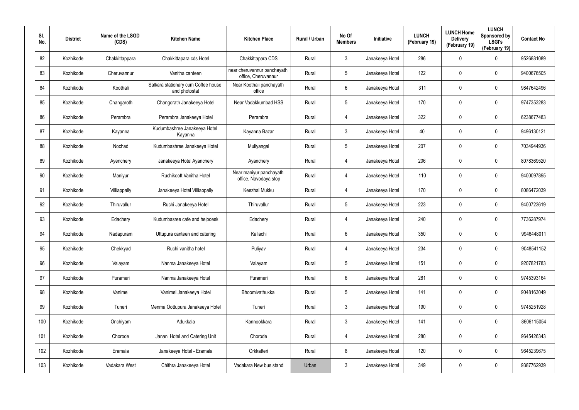| SI.<br>No. | <b>District</b> | Name of the LSGD<br>(CDS) | <b>Kitchen Name</b>                                  | <b>Kitchen Place</b>                               | Rural / Urban | No Of<br><b>Members</b> | <b>Initiative</b> | <b>LUNCH</b><br>(February 19) | <b>LUNCH Home</b><br><b>Delivery</b><br>(February 19) | <b>LUNCH</b><br>Sponsored by<br><b>LSGI's</b><br>(February 19) | <b>Contact No</b> |
|------------|-----------------|---------------------------|------------------------------------------------------|----------------------------------------------------|---------------|-------------------------|-------------------|-------------------------------|-------------------------------------------------------|----------------------------------------------------------------|-------------------|
| 82         | Kozhikode       | Chakkittappara            | Chakkittapara cds Hotel                              | Chakkittapara CDS                                  | Rural         | 3                       | Janakeeya Hotel   | 286                           | $\mathbf 0$                                           | $\mathbf 0$                                                    | 9526881089        |
| 83         | Kozhikode       | Cheruvannur               | Vanitha canteen                                      | near cheruvannur panchayath<br>office, Cheruvannur | Rural         | $5\phantom{.0}$         | Janakeeya Hotel   | 122                           | 0                                                     | $\mathbf 0$                                                    | 9400676505        |
| 84         | Kozhikode       | Koothali                  | Salkara stationary cum Coffee house<br>and photostat | Near Koothali panchayath<br>office                 | Rural         | 6                       | Janakeeya Hotel   | 311                           | 0                                                     | $\mathbf 0$                                                    | 9847642496        |
| 85         | Kozhikode       | Changaroth                | Changorath Janakeeya Hotel                           | Near Vadakkumbad HSS                               | Rural         | $5\phantom{.0}$         | Janakeeya Hotel   | 170                           | 0                                                     | $\mathbf 0$                                                    | 9747353283        |
| 86         | Kozhikode       | Perambra                  | Perambra Janakeeya Hotel                             | Perambra                                           | Rural         | 4                       | Janakeeya Hotel   | 322                           | 0                                                     | $\mathbf 0$                                                    | 6238677483        |
| 87         | Kozhikode       | Kayanna                   | Kudumbashree Janakeeya Hotel<br>Kayanna              | Kayanna Bazar                                      | Rural         | $\mathbf{3}$            | Janakeeya Hotel   | 40                            | 0                                                     | $\mathbf 0$                                                    | 9496130121        |
| 88         | Kozhikode       | Nochad                    | Kudumbashree Janakeeya Hotel                         | Muliyangal                                         | Rural         | $5\phantom{.0}$         | Janakeeya Hotel   | 207                           | 0                                                     | $\mathbf 0$                                                    | 7034944936        |
| 89         | Kozhikode       | Ayenchery                 | Janakeeya Hotel Ayanchery                            | Ayanchery                                          | Rural         | 4                       | Janakeeya Hotel   | 206                           | 0                                                     | $\mathbf 0$                                                    | 8078369520        |
| 90         | Kozhikode       | Maniyur                   | Ruchikoott Vanitha Hotel                             | Near maniyur panchayath<br>office, Navodaya stop   | Rural         | 4                       | Janakeeya Hotel   | 110                           | 0                                                     | $\mathbf 0$                                                    | 9400097895        |
| 91         | Kozhikode       | Villiappally              | Janakeeya Hotel Villiappally                         | Keezhal Mukku                                      | Rural         | 4                       | Janakeeya Hotel   | 170                           | 0                                                     | $\mathbf 0$                                                    | 8086472039        |
| 92         | Kozhikode       | Thiruvallur               | Ruchi Janakeeya Hotel                                | Thiruvallur                                        | Rural         | $5\phantom{.0}$         | Janakeeya Hotel   | 223                           | 0                                                     | $\mathbf 0$                                                    | 9400723619        |
| 93         | Kozhikode       | Edachery                  | Kudumbasree cafe and helpdesk                        | Edachery                                           | Rural         | 4                       | Janakeeya Hotel   | 240                           | 0                                                     | $\mathbf 0$                                                    | 7736287974        |
| 94         | Kozhikode       | Nadapuram                 | Uttupura canteen and catering                        | Kallachi                                           | Rural         | 6                       | Janakeeya Hotel   | 350                           | $\mathbf 0$                                           | $\mathbf 0$                                                    | 9946448011        |
| 95         | Kozhikode       | Chekkyad                  | Ruchi vanitha hotel                                  | Puliyav                                            | Rural         | 4                       | Janakeeya Hotel   | 234                           | $\mathbf 0$                                           | $\pmb{0}$                                                      | 9048541152        |
| 96         | Kozhikode       | Valayam                   | Nanma Janakeeya Hotel                                | Valayam                                            | Rural         | $5\phantom{.0}$         | Janakeeya Hotel   | 151                           | 0                                                     | $\mathbf 0$                                                    | 9207821783        |
| 97         | Kozhikode       | Purameri                  | Nanma Janakeeya Hotel                                | Purameri                                           | Rural         | $6\phantom{.}6$         | Janakeeya Hotel   | 281                           | 0                                                     | $\mathbf 0$                                                    | 9745393164        |
| 98         | Kozhikode       | Vanimel                   | Vanimel Janakeeya Hotel                              | Bhoomivathukkal                                    | Rural         | $5\phantom{.0}$         | Janakeeya Hotel   | 141                           | 0                                                     | $\mathbf 0$                                                    | 9048163049        |
| 99         | Kozhikode       | Tuneri                    | Menma Oottupura Janakeeya Hotel                      | Tuneri                                             | Rural         | $\mathbf{3}$            | Janakeeya Hotel   | 190                           | 0                                                     | $\mathbf 0$                                                    | 9745251928        |
| 100        | Kozhikode       | Onchiyam                  | Adukkala                                             | Kannookkara                                        | Rural         | $\mathbf{3}$            | Janakeeya Hotel   | 141                           | 0                                                     | $\mathbf 0$                                                    | 8606115054        |
| 101        | Kozhikode       | Chorode                   | Janani Hotel and Catering Unit                       | Chorode                                            | Rural         | 4                       | Janakeeya Hotel   | 280                           | 0                                                     | $\mathbf 0$                                                    | 9645426343        |
| 102        | Kozhikode       | Eramala                   | Janakeeya Hotel - Eramala                            | Orkkatteri                                         | Rural         | 8                       | Janakeeya Hotel   | 120                           | 0                                                     | $\mathbf 0$                                                    | 9645239675        |
| 103        | Kozhikode       | Vadakara West             | Chithra Janakeeya Hotel                              | Vadakara New bus stand                             | Urban         | $\mathfrak{Z}$          | Janakeeya Hotel   | 349                           | 0                                                     | $\pmb{0}$                                                      | 9387762939        |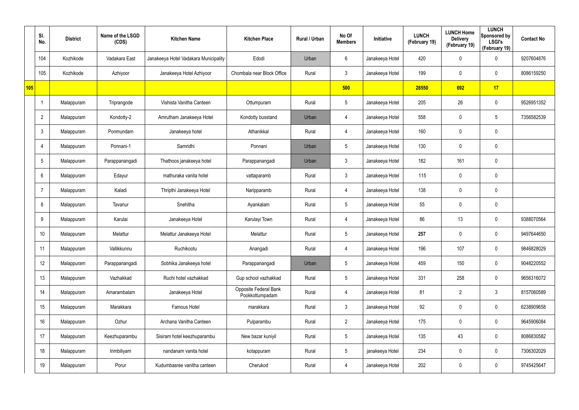|     | SI.<br>No.      | <b>District</b> | Name of the LSGD<br>(CDS) | <b>Kitchen Name</b>                   | <b>Kitchen Place</b>                     | Rural / Urban | No Of<br><b>Members</b> | Initiative      | <b>LUNCH</b><br>(February 19) | <b>LUNCH Home</b><br><b>Delivery</b><br>(February 19) | <b>LUNCH</b><br>Sponsored by<br><b>LSGI's</b><br>(February 19) | <b>Contact No</b> |
|-----|-----------------|-----------------|---------------------------|---------------------------------------|------------------------------------------|---------------|-------------------------|-----------------|-------------------------------|-------------------------------------------------------|----------------------------------------------------------------|-------------------|
|     | 104             | Kozhikode       | Vadakara East             | Janakeeya Hotel Vadakara Municipality | Edodi                                    | Urban         | 6                       | Janakeeya Hotel | 420                           | 0                                                     | $\mathbf 0$                                                    | 9207604876        |
|     | 105             | Kozhikode       | Azhiyoor                  | Janakeeya Hotel Azhiyoor              | Chombala near Block Office               | Rural         | $\mathbf{3}$            | Janakeeya Hotel | 199                           | 0                                                     | $\mathbf 0$                                                    | 8086159250        |
| 105 |                 |                 |                           |                                       |                                          |               | 500                     |                 | 28550                         | 692                                                   | 17                                                             |                   |
|     |                 | Malappuram      | Triprangode               | Vishista Vanitha Canteen              | Ottumpuram                               | Rural         | $5\overline{)}$         | Janakeeya Hotel | 205                           | 26                                                    | $\mathbf 0$                                                    | 9526951352        |
|     | $\overline{2}$  | Malappuram      | Kondotty-2                | Amrutham Janakeeya Hotel              | Kondotty busstand                        | Urban         | $\overline{4}$          | Janakeeya Hotel | 558                           | 0                                                     | 5                                                              | 7356582539        |
|     | $\mathbf{3}$    | Malappuram      | Ponmundam                 | Janakeeya hotel                       | Athanikkal                               | Rural         | $\overline{4}$          | Janakeeya Hotel | 160                           | 0                                                     | $\mathbf 0$                                                    |                   |
|     | 4               | Malappuram      | Ponnani-1                 | Samridhi                              | Ponnani                                  | Urban         | $5\phantom{.0}$         | Janakeeya Hotel | 130                           | 0                                                     | $\pmb{0}$                                                      |                   |
|     | $5\overline{)}$ | Malappuram      | Parappanangadi            | Thathoos janakeeya hotel              | Parappanangadi                           | Urban         | $\mathbf{3}$            | Janakeeya Hotel | 182                           | 161                                                   | $\mathbf 0$                                                    |                   |
|     | 6               | Malappuram      | Edayur                    | mathuraka vanita hotel                | vattaparamb                              | Rural         | $\mathbf{3}$            | Janakeeya Hotel | 115                           | 0                                                     | $\mathbf 0$                                                    |                   |
|     | -7              | Malappuram      | Kaladi                    | Thripthi Janakeeya Hotel              | Naripparamb                              | Rural         | 4                       | Janakeeya Hotel | 138                           | 0                                                     | $\mathbf 0$                                                    |                   |
|     | 8               | Malappuram      | Tavanur                   | Snehitha                              | Ayankalam                                | Rural         | $5\phantom{.0}$         | Janakeeya Hotel | 55                            | 0                                                     | $\pmb{0}$                                                      |                   |
|     | 9               | Malappuram      | Karulai                   | Janakeeya Hotel                       | Karulayi Town                            | Rural         | 4                       | Janakeeya Hotel | 86                            | 13                                                    | $\mathbf 0$                                                    | 9388070564        |
|     | 10              | Malappuram      | Melattur                  | Melattur Janakeeya Hotel              | Melattur                                 | Rural         | $5\phantom{.0}$         | Janakeeya Hotel | 257                           | 0                                                     | $\mathbf 0$                                                    | 9497644650        |
|     | 11              | Malappuram      | Vallikkunnu               | Ruchikootu                            | Anangadi                                 | Rural         | 4                       | Janakeeya Hotel | 196                           | 107                                                   | $\pmb{0}$                                                      | 9846828029        |
|     | 12              | Malappuram      | Parappanangadi            | Sobhika Janakeeya hotel               | Parappanangadi                           | Urban         | $5\phantom{.0}$         | Janakeeya Hotel | 459                           | 150                                                   | $\mathbf 0$                                                    | 9048220552        |
|     | 13              | Malappuram      | Vazhakkad                 | Ruchi hotel vazhakkad                 | Gup school vazhakkad                     | Rural         | $5\overline{)}$         | Janakeeya Hotel | 331                           | 258                                                   | $\mathbf 0$                                                    | 9656316072        |
|     | 14              | Malappuram      | Amarambalam               | Janakeeya Hotel                       | Opposite Federal Bank<br>Pookkottumpadam | Rural         | $\overline{4}$          | Janakeeya Hotel | 81                            | $\overline{2}$                                        | $3\phantom{.0}$                                                | 8157060589        |
|     | 15              | Malappuram      | Marakkara                 | Famous Hotel                          | marakkara                                | Rural         | 3 <sup>1</sup>          | Janakeeya Hotel | 92                            | 0                                                     | $\mathbf 0$                                                    | 6238909658        |
|     | 16              | Malappuram      | Ozhur                     | Archana Vanitha Canteen               | Pulparambu                               | Rural         | $2\overline{ }$         | Janakeeya Hotel | 175                           | 0                                                     | $\mathbf 0$                                                    | 9645906084        |
|     | 17              | Malappuram      | Keezhuparambu             | Sisiram hotel keezhuparambu           | New bazar kuniyil                        | Rural         | $5\overline{)}$         | Janakeeya Hotel | 135                           | 43                                                    | $\pmb{0}$                                                      | 8086830582        |
|     | 18              | Malappuram      | Irimbiliyam               | nandanam vanita hotel                 | kotappuram                               | Rural         | $5\phantom{.0}$         | janakeeya Hotel | 234                           | 0                                                     | $\mathbf 0$                                                    | 7306302029        |
|     | 19              | Malappuram      | Porur                     | Kudumbasree vanitha canteen           | Cherukod                                 | Rural         | 4                       | Janakeeya Hotel | 202                           | 0                                                     | $\pmb{0}$                                                      | 9745425647        |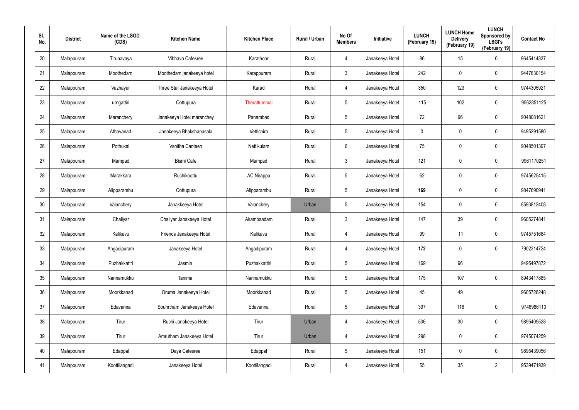| SI.<br>No. | <b>District</b> | Name of the LSGD<br>(CDS) | <b>Kitchen Name</b>        | <b>Kitchen Place</b> | Rural / Urban | No Of<br><b>Members</b> | Initiative      | <b>LUNCH</b><br>(February 19) | <b>LUNCH Home</b><br><b>Delivery</b><br>(February 19) | <b>LUNCH</b><br>Sponsored by<br><b>LSGI's</b><br>(February 19) | <b>Contact No</b> |
|------------|-----------------|---------------------------|----------------------------|----------------------|---------------|-------------------------|-----------------|-------------------------------|-------------------------------------------------------|----------------------------------------------------------------|-------------------|
| 20         | Malappuram      | Tirunavaya                | Vibhava Cafesree           | Karathoor            | Rural         | 4                       | Janakeeya Hotel | 86                            | 15                                                    | $\mathbf 0$                                                    | 9645414837        |
| 21         | Malappuram      | Moothedam                 | Moothedam janakeeya hotel  | Karappuram           | Rural         | $\mathbf{3}$            | Janakeeya Hotel | 242                           | 0                                                     | $\mathbf 0$                                                    | 9447630154        |
| 22         | Malappuram      | Vazhayur                  | Three Star Janakeeya Hotel | Karad                | Rural         | $\overline{4}$          | Janakeeya Hotel | 350                           | 123                                                   | $\mathbf 0$                                                    | 9744305921        |
| 23         | Malappuram      | urngattiri                | Oottupura                  | Therattummal         | Rural         | 5                       | Janakeeya Hotel | 115                           | 102                                                   | $\boldsymbol{0}$                                               | 9562851125        |
| 24         | Malappuram      | Maranchery                | Janakeeya Hotel maranchey  | Panambad             | Rural         | 5                       | Janakeeya Hotel | 72                            | 96                                                    | $\pmb{0}$                                                      | 9048081621        |
| 25         | Malappuram      | Athavanad                 | Janakeeya Bhakshanasala    | Vettichira           | Rural         | 5                       | Janakeeya Hotel | 0                             | 0                                                     | $\boldsymbol{0}$                                               | 9495291580        |
| 26         | Malappuram      | Pothukal                  | Vanitha Canteen            | Nettikulam           | Rural         | 6                       | Janakeeya Hotel | 75                            | $\mathbf 0$                                           | $\pmb{0}$                                                      | 9048501397        |
| 27         | Malappuram      | Mampad                    | <b>Bismi Cafe</b>          | Mampad               | Rural         | $\mathbf{3}$            | Janakeeya Hotel | 121                           | 0                                                     | $\mathbf 0$                                                    | 9961170251        |
| 28         | Malappuram      | Marakkara                 | Ruchikoottu                | <b>AC Nirappu</b>    | Rural         | $5\phantom{.0}$         | Janakeeya Hotel | 62                            | $\mathbf 0$                                           | $\boldsymbol{0}$                                               | 9745625415        |
| 29         | Malappuram      | Alipparambu               | Oottupura                  | Alipparambu          | Rural         | $5\phantom{.0}$         | Janakeeya Hotel | 169                           | 0                                                     | $\mathbf 0$                                                    | 9847690941        |
| 30         | Malappuram      | Valanchery                | Janakkeeya Hotel           | Valanchery           | Urban         | $5\phantom{.0}$         | Janakeeya Hotel | 154                           | $\mathbf 0$                                           | $\boldsymbol{0}$                                               | 8593812408        |
| 31         | Malappuram      | Chaliyar                  | Chaliyar Janakeeya Hotel   | Akambaadam           | Rural         | $\mathbf{3}$            | Janakeeya Hotel | 147                           | 39                                                    | $\mathbf 0$                                                    | 9605274841        |
| 32         | Malappuram      | Kalikavu                  | Friends Janakeeya Hotel    | Kalikavu             | Rural         | 4                       | Janakeeya Hotel | 99                            | 11                                                    | $\mathbf 0$                                                    | 9745751684        |
| 33         | Malappuram      | Angadipuram               | Janakeeya Hotel            | Angadipuram          | Rural         | 4                       | Janakeeya Hotel | 172                           | $\mathbf 0$                                           | $\pmb{0}$                                                      | 7902314724        |
| 34         | Malappuram      | Puzhakkattri              | Jasmin                     | Puzhakkattiri        | Rural         | $5\phantom{.0}$         | Janakeeya Hotel | 169                           | 96                                                    |                                                                | 9495497872        |
| 35         | Malappuram      | Nannamukku                | Tanima                     | Nannamukku           | Rural         | $5\phantom{.0}$         | Janakeeya Hotel | 175                           | 107                                                   | $\mathbf 0$                                                    | 8943417885        |
| 36         | Malappuram      | Moorkkanad                | Oruma Janakeeya Hotel      | Moorkkanad           | Rural         | $5\phantom{.0}$         | Janakeeya Hotel | 45                            | 49                                                    |                                                                | 9605728248        |
| 37         | Malappuram      | Edavanna                  | Souhrtham Janakeeya Hotel  | Edavanna             | Rural         | $5\phantom{.0}$         | Janakeeya Hotel | 397                           | 118                                                   | $\mathbf 0$                                                    | 9746986110        |
| 38         | Malappuram      | Tirur                     | Ruchi Janakeeya Hotel      | Tirur                | Urban         | $\overline{4}$          | Janakeeya Hotel | 506                           | 30 <sup>°</sup>                                       | $\mathbf 0$                                                    | 9895409528        |
| 39         | Malappuram      | Tirur                     | Amrutham Janakeeya Hotel   | Tirur                | Urban         | $\overline{4}$          | Janakeeya Hotel | 298                           | $\mathbf 0$                                           | $\mathbf 0$                                                    | 9745074259        |
| 40         | Malappuram      | Edappal                   | Daya Cafesree              | Edappal              | Rural         | $5\phantom{.0}$         | Janakeeya Hotel | 151                           | $\mathbf 0$                                           | $\mathbf 0$                                                    | 9895439056        |
| 41         | Malappuram      | Koottilangadi             | Janakeeya Hotel            | Koottilangadi        | Rural         | $\overline{4}$          | Janakeeya Hotel | 55                            | 35                                                    | $\overline{2}$                                                 | 9539471939        |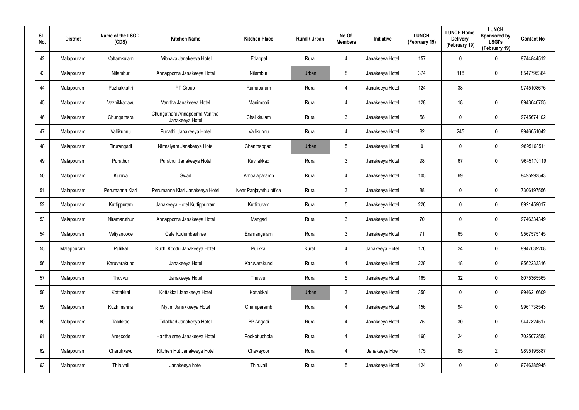| SI.<br>No. | <b>District</b> | Name of the LSGD<br>(CDS) | <b>Kitchen Name</b>                               | <b>Kitchen Place</b>   | Rural / Urban | No Of<br><b>Members</b> | <b>Initiative</b> | <b>LUNCH</b><br>(February 19) | <b>LUNCH Home</b><br><b>Delivery</b><br>(February 19) | <b>LUNCH</b><br>Sponsored by<br><b>LSGI's</b><br>(February 19) | <b>Contact No</b> |
|------------|-----------------|---------------------------|---------------------------------------------------|------------------------|---------------|-------------------------|-------------------|-------------------------------|-------------------------------------------------------|----------------------------------------------------------------|-------------------|
| 42         | Malappuram      | Vattamkulam               | Vibhava Janakeeya Hotel                           | Edappal                | Rural         | 4                       | Janakeeya Hotel   | 157                           | 0                                                     | $\mathbf 0$                                                    | 9744844512        |
| 43         | Malappuram      | Nilambur                  | Annapporna Janakeeya Hotel                        | Nilambur               | Urban         | 8                       | Janakeeya Hotel   | 374                           | 118                                                   | $\mathbf 0$                                                    | 8547795364        |
| 44         | Malappuram      | Puzhakkattri              | PT Group                                          | Ramapuram              | Rural         | 4                       | Janakeeya Hotel   | 124                           | 38                                                    |                                                                | 9745108676        |
| 45         | Malappuram      | Vazhikkadavu              | Vanitha Janakeeya Hotel                           | Manimooli              | Rural         | 4                       | Janakeeya Hotel   | 128                           | 18                                                    | $\pmb{0}$                                                      | 8943046755        |
| 46         | Malappuram      | Chungathara               | Chungathara Annapoorna Vanitha<br>Janakeeya Hotel | Chalikkulam            | Rural         | $\mathbf{3}$            | Janakeeya Hotel   | 58                            | 0                                                     | $\boldsymbol{0}$                                               | 9745674102        |
| 47         | Malappuram      | Vallikunnu                | Punathil Janakeeya Hotel                          | Vallikunnu             | Rural         | 4                       | Janakeeya Hotel   | 82                            | 245                                                   | $\mathbf 0$                                                    | 9946051042        |
| 48         | Malappuram      | Tirurangadi               | Nirmalyam Janakeeya Hotel                         | Chanthappadi           | Urban         | $5\phantom{.0}$         | Janakeeya Hotel   | 0                             | 0                                                     | $\boldsymbol{0}$                                               | 9895168511        |
| 49         | Malappuram      | Purathur                  | Purathur Janakeeya Hotel                          | Kavilakkad             | Rural         | $\mathbf{3}$            | Janakeeya Hotel   | 98                            | 67                                                    | $\mathbf 0$                                                    | 9645170119        |
| 50         | Malappuram      | Kuruva                    | Swad                                              | Ambalaparamb           | Rural         | 4                       | Janakeeya Hotel   | 105                           | 69                                                    |                                                                | 9495993543        |
| 51         | Malappuram      | Perumanna Klari           | Perumanna Klari Janakeeya Hotel                   | Near Panjayathu office | Rural         | $\mathbf{3}$            | Janakeeya Hotel   | 88                            | $\mathbf 0$                                           | $\mathbf 0$                                                    | 7306197556        |
| 52         | Malappuram      | Kuttippuram               | Janakeeya Hotel Kuttippurram                      | Kuttipuram             | Rural         | $5\phantom{.0}$         | Janakeeya Hotel   | 226                           | 0                                                     | $\mathbf 0$                                                    | 8921459017        |
| 53         | Malappuram      | Niramaruthur              | Annapporna Janakeeya Hotel                        | Mangad                 | Rural         | $\mathbf{3}$            | Janakeeya Hotel   | 70                            | $\mathbf 0$                                           | $\mathbf 0$                                                    | 9746334349        |
| 54         | Malappuram      | Veliyancode               | Cafe Kudumbashree                                 | Eramangalam            | Rural         | $\mathbf{3}$            | Janakeeya Hotel   | 71                            | 65                                                    | $\boldsymbol{0}$                                               | 9567575145        |
| 55         | Malappuram      | Pulilkal                  | Ruchi Koottu Janakeeya Hotel                      | Pulikkal               | Rural         | 4                       | Janakeeya Hotel   | 176                           | 24                                                    | $\pmb{0}$                                                      | 9947039208        |
| 56         | Malappuram      | Karuvarakund              | Janakeeya Hotel                                   | Karuvarakund           | Rural         | 4                       | Janakeeya Hotel   | 228                           | 18                                                    | $\mathbf 0$                                                    | 9562233316        |
| 57         | Malappuram      | Thuvvur                   | Janakeeya Hotel                                   | Thuvvur                | Rural         | $5\phantom{.0}$         | Janakeeya Hotel   | 165                           | 32                                                    | $\mathbf 0$                                                    | 8075365565        |
| 58         | Malappuram      | Kottakkal                 | Kottakkal Janakeeya Hotel                         | Kottakkal              | Urban         | $\mathbf{3}$            | Janakeeya Hotel   | 350                           | $\mathbf 0$                                           | $\mathbf 0$                                                    | 9946216609        |
| 59         | Malappuram      | Kuzhimanna                | Mythri Janakkeeya Hotel                           | Cheruparamb            | Rural         | 4                       | Janakeeya Hotel   | 156                           | 94                                                    | $\mathbf 0$                                                    | 9961738543        |
| 60         | Malappuram      | Talakkad                  | Talakkad Janakeeya Hotel                          | <b>BP</b> Angadi       | Rural         | 4                       | Janakeeya Hotel   | 75                            | 30                                                    | $\mathbf 0$                                                    | 9447824517        |
| 61         | Malappuram      | Areecode                  | Haritha sree Janakeeya Hotel                      | Pookottuchola          | Rural         | 4                       | Janakeeya Hotel   | 160                           | 24                                                    | $\mathbf 0$                                                    | 7025072558        |
| 62         | Malappuram      | Cherukkavu                | Kitchen Hut Janakeeya Hotel                       | Chevayoor              | Rural         | 4                       | Janakeeya Hoel    | 175                           | 85                                                    | $\overline{2}$                                                 | 9895195887        |
| 63         | Malappuram      | Thiruvali                 | Janakeeya hotel                                   | Thiruvali              | Rural         | $5\phantom{.0}$         | Janakeeya Hotel   | 124                           | 0                                                     | $\mathbf 0$                                                    | 9746385945        |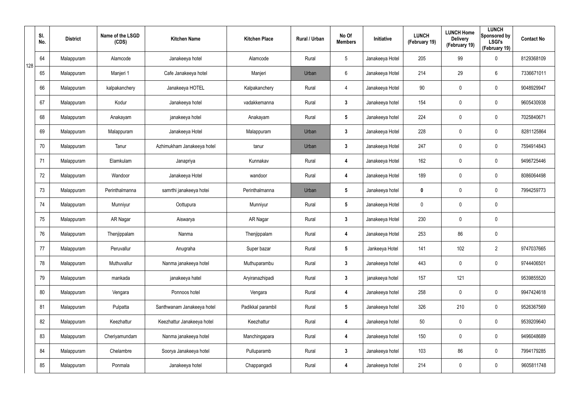|     | SI.<br>No. | <b>District</b> | Name of the LSGD<br>(CDS) | <b>Kitchen Name</b>        | <b>Kitchen Place</b> | Rural / Urban | No Of<br><b>Members</b> | Initiative      | <b>LUNCH</b><br>(February 19) | <b>LUNCH Home</b><br><b>Delivery</b><br>(February 19) | <b>LUNCH</b><br>Sponsored by<br><b>LSGI's</b><br>(February 19) | <b>Contact No</b> |
|-----|------------|-----------------|---------------------------|----------------------------|----------------------|---------------|-------------------------|-----------------|-------------------------------|-------------------------------------------------------|----------------------------------------------------------------|-------------------|
| 128 | 64         | Malappuram      | Alamcode                  | Janakeeya hotel            | Alamcode             | Rural         | $5\overline{)}$         | Janakeeya Hotel | 205                           | 99                                                    | 0                                                              | 8129368109        |
|     | 65         | Malappuram      | Manjeri 1                 | Cafe Janakeeya hotel       | Manjeri              | Urban         | 6                       | Janakeeya Hotel | 214                           | 29                                                    | 6                                                              | 7336671011        |
|     | 66         | Malappuram      | kalpakanchery             | Janakeeya HOTEL            | Kalpakanchery        | Rural         | $\overline{4}$          | Janakeeya Hotel | 90                            | $\mathbf 0$                                           | $\pmb{0}$                                                      | 9048929947        |
|     | 67         | Malappuram      | Kodur                     | Janakeeya hotel            | vadakkemanna         | Rural         | $\mathbf{3}$            | Janakeeya hotel | 154                           | 0                                                     | $\pmb{0}$                                                      | 9605430938        |
|     | 68         | Malappuram      | Anakayam                  | janakeeya hotel            | Anakayam             | Rural         | $5\phantom{.0}$         | Janakeeya hotel | 224                           | $\mathbf 0$                                           | $\pmb{0}$                                                      | 7025840671        |
|     | 69         | Malappuram      | Malappuram                | Janakeeya Hotel            | Malappuram           | Urban         | $\mathbf{3}$            | Janakeeya Hotel | 228                           | 0                                                     | $\pmb{0}$                                                      | 8281125864        |
|     | 70         | Malappuram      | Tanur                     | Azhimukham Janakeeya hotel | tanur                | Urban         | $\mathbf{3}$            | Janakeeya Hotel | 247                           | 0                                                     | $\pmb{0}$                                                      | 7594914843        |
|     | 71         | Malappuram      | Elamkulam                 | Janapriya                  | Kunnakav             | Rural         | 4                       | Janakeeya Hotel | 162                           | 0                                                     | $\pmb{0}$                                                      | 9496725446        |
|     | 72         | Malappuram      | Wandoor                   | Janakeeya Hotel            | wandoor              | Rural         | 4                       | Janakeeya Hotel | 189                           | $\mathbf 0$                                           | $\pmb{0}$                                                      | 8086064498        |
|     | 73         | Malappuram      | Perinthalmanna            | samrthi janakeeya hotei    | Perinthalmanna       | Urban         | $5\phantom{.0}$         | Janakeeya hotel | 0                             | 0                                                     | $\pmb{0}$                                                      | 7994259773        |
|     | 74         | Malappuram      | Munniyur                  | Oottupura                  | Munniyur             | Rural         | $5\phantom{.0}$         | Janakeeya Hotel | 0                             | $\mathbf 0$                                           | $\pmb{0}$                                                      |                   |
|     | 75         | Malappuram      | AR Nagar                  | Aiswarya                   | AR Nagar             | Rural         | $3\phantom{a}$          | Janakeeya Hotel | 230                           | 0                                                     | $\pmb{0}$                                                      |                   |
|     | 76         | Malappuram      | Thenjippalam              | Nanma                      | Thenjippalam         | Rural         | 4                       | Janakeeya Hotel | 253                           | 86                                                    | $\pmb{0}$                                                      |                   |
|     | 77         | Malappuram      | Peruvallur                | Anugraha                   | Super bazar          | Rural         | $5\phantom{.0}$         | Jankeeya Hotel  | 141                           | 102                                                   | $\overline{2}$                                                 | 9747037665        |
|     | 78         | Malappuram      | Muthuvallur               | Nanma janakeeya hotel      | Muthuparambu         | Rural         | $3\phantom{a}$          | Janakeeya hotel | 443                           | $\mathbf 0$                                           | $\mathbf 0$                                                    | 9744406501        |
|     | 79         | Malappuram      | mankada                   | janakeeya hatel            | Aryiranazhipadi      | Rural         | $3\phantom{a}$          | janakeeya hotel | 157                           | 121                                                   |                                                                | 9539855520        |
|     | 80         | Malappuram      | Vengara                   | Ponnoos hotel              | Vengara              | Rural         | 4                       | Janakeeya hotel | 258                           | $\mathbf 0$                                           | $\mathbf 0$                                                    | 9947424618        |
|     | 81         | Malappuram      | Pulpatta                  | Santhwanam Janakeeya hotel | Padikkal parambil    | Rural         | $5\phantom{.0}$         | Janakeeya hotel | 326                           | 210                                                   | $\mathsf{0}$                                                   | 9526367569        |
|     | 82         | Malappuram      | Keezhattur                | Keezhattur Janakeeya hotel | Keezhattur           | Rural         | 4                       | Janakeeya hotel | 50                            | $\pmb{0}$                                             | $\mathbf 0$                                                    | 9539209640        |
|     | 83         | Malappuram      | Cheriyamundam             | Nanma janakeeya hotel      | Manchingapara        | Rural         | 4                       | Janakeeya hotel | 150                           | 0                                                     | $\mathsf{0}$                                                   | 9496048689        |
|     | 84         | Malappuram      | Chelambre                 | Soorya Janakeeya hotel     | Pulluparamb          | Rural         | $3\phantom{a}$          | Janakeeya hotel | 103                           | 86                                                    | $\mathbf 0$                                                    | 7994179285        |
|     | 85         | Malappuram      | Ponmala                   | Janakeeya hotel            | Chappangadi          | Rural         | 4                       | Janakeeya hotel | 214                           | 0                                                     | $\pmb{0}$                                                      | 9605811748        |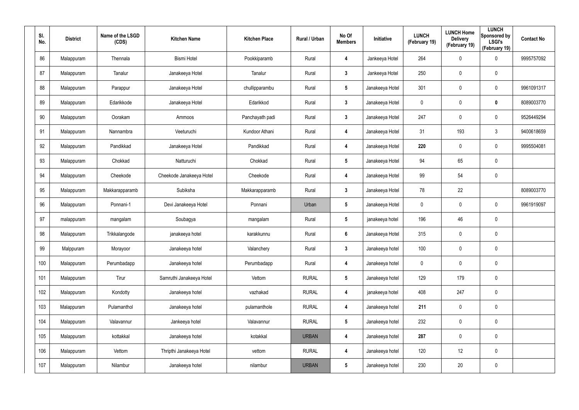| SI.<br>No. | <b>District</b> | Name of the LSGD<br>(CDS) | <b>Kitchen Name</b>      | <b>Kitchen Place</b> | Rural / Urban | No Of<br><b>Members</b> | Initiative      | <b>LUNCH</b><br>(February 19) | <b>LUNCH Home</b><br><b>Delivery</b><br>(February 19) | <b>LUNCH</b><br>Sponsored by<br><b>LSGI's</b><br>(February 19) | <b>Contact No</b> |
|------------|-----------------|---------------------------|--------------------------|----------------------|---------------|-------------------------|-----------------|-------------------------------|-------------------------------------------------------|----------------------------------------------------------------|-------------------|
| 86         | Malappuram      | Thennala                  | <b>Bismi Hotel</b>       | Pookkiparamb         | Rural         | 4                       | Jankeeya Hotel  | 264                           | $\mathbf 0$                                           | $\boldsymbol{0}$                                               | 9995757092        |
| 87         | Malappuram      | Tanalur                   | Janakeeya Hotel          | Tanalur              | Rural         | $\mathbf{3}$            | Jankeeya Hotel  | 250                           | $\mathbf 0$                                           | $\pmb{0}$                                                      |                   |
| 88         | Malappuram      | Parappur                  | Janakeeya Hotel          | chullipparambu       | Rural         | $5\phantom{.0}$         | Janakeeya Hotel | 301                           | $\mathbf 0$                                           | $\pmb{0}$                                                      | 9961091317        |
| 89         | Malappuram      | Edarikkode                | Janakeeya Hotel          | Edarikkod            | Rural         | $\mathbf{3}$            | Janakeeya Hotel | 0                             | 0                                                     | $\mathbf 0$                                                    | 8089003770        |
| 90         | Malappuram      | Oorakam                   | Ammoos                   | Panchayath padi      | Rural         | $\mathbf{3}$            | Janakeeya Hotel | 247                           | $\mathbf 0$                                           | $\pmb{0}$                                                      | 9526449294        |
| 91         | Malappuram      | Nannambra                 | Veeturuchi               | Kundoor Athani       | Rural         | 4                       | Janakeeya Hotel | 31                            | 193                                                   | $\mathbf{3}$                                                   | 9400618659        |
| 92         | Malappuram      | Pandikkad                 | Janakeeya Hotel          | Pandikkad            | Rural         | 4                       | Janakeeya Hotel | 220                           | $\mathbf 0$                                           | $\mathbf 0$                                                    | 9995504081        |
| 93         | Malappuram      | Chokkad                   | Natturuchi               | Chokkad              | Rural         | $5\phantom{.0}$         | Janakeeya Hotel | 94                            | 65                                                    | $\pmb{0}$                                                      |                   |
| 94         | Malappuram      | Cheekode                  | Cheekode Janakeeya Hotel | Cheekode             | Rural         | 4                       | Janakeeya Hotel | 99                            | 54                                                    | $\pmb{0}$                                                      |                   |
| 95         | Malappuram      | Makkarapparamb            | Subiksha                 | Makkarapparamb       | Rural         | $\mathbf{3}$            | Janakeeya Hotel | 78                            | 22                                                    |                                                                | 8089003770        |
| 96         | Malappuram      | Ponnani-1                 | Devi Janakeeya Hotel     | Ponnani              | Urban         | $5\phantom{.0}$         | Janakeeya Hotel | $\mathbf 0$                   | $\mathbf 0$                                           | $\pmb{0}$                                                      | 9961919097        |
| 97         | malappuram      | mangalam                  | Soubagya                 | mangalam             | Rural         | $5\phantom{.0}$         | janakeeya hotel | 196                           | 46                                                    | $\pmb{0}$                                                      |                   |
| 98         | Malappuram      | Trikkalangode             | janakeeya hotel          | karakkunnu           | Rural         | $6\phantom{.}6$         | Janakeeya Hotel | 315                           | $\mathbf 0$                                           | $\pmb{0}$                                                      |                   |
| 99         | Malppuram       | Morayoor                  | Janakeeya hotel          | Valanchery           | Rural         | $\mathbf{3}$            | Janakeeya hotel | 100                           | $\pmb{0}$                                             | $\pmb{0}$                                                      |                   |
| 100        | Malappuram      | Perumbadapp               | Janakeeya hotel          | Perumbadapp          | Rural         | 4                       | Janakeeya hotel | $\mathbf 0$                   | $\mathbf 0$                                           | $\mathbf 0$                                                    |                   |
| 101        | Malappuram      | Tirur                     | Samruthi Janakeeya Hotel | Vettom               | <b>RURAL</b>  | $5\phantom{.0}$         | Janakeeya hotel | 129                           | 179                                                   | $\pmb{0}$                                                      |                   |
| 102        | Malappuram      | Kondotty                  | Janakeeya hotel          | vazhakad             | <b>RURAL</b>  | 4                       | janakeeya hotel | 408                           | 247                                                   | $\mathbf 0$                                                    |                   |
| 103        | Malappuram      | Pulamanthol               | Janakeeya hotel          | pulamanthole         | <b>RURAL</b>  | 4                       | Janakeeya hotel | 211                           | 0                                                     | $\pmb{0}$                                                      |                   |
| 104        | Malappuram      | Valavannur                | Jankeeya hotel           | Valavannur           | <b>RURAL</b>  | $5\phantom{.0}$         | Janakeeya hotel | 232                           | $\pmb{0}$                                             | $\mathbf 0$                                                    |                   |
| 105        | Malappuram      | kottakkal                 | Janakeeya hotel          | kotakkal             | <b>URBAN</b>  | 4                       | Janakeeya hotel | 287                           | 0                                                     | $\pmb{0}$                                                      |                   |
| 106        | Malappuram      | Vettom                    | Thripthi Janakeeya Hotel | vettom               | <b>RURAL</b>  | 4                       | Janakeeya hotel | 120                           | 12                                                    | $\mathbf 0$                                                    |                   |
| 107        | Malappuram      | Nilambur                  | Janakeeya hotel          | nilambur             | <b>URBAN</b>  | $5\phantom{.0}$         | Janakeeya hotel | 230                           | 20                                                    | $\pmb{0}$                                                      |                   |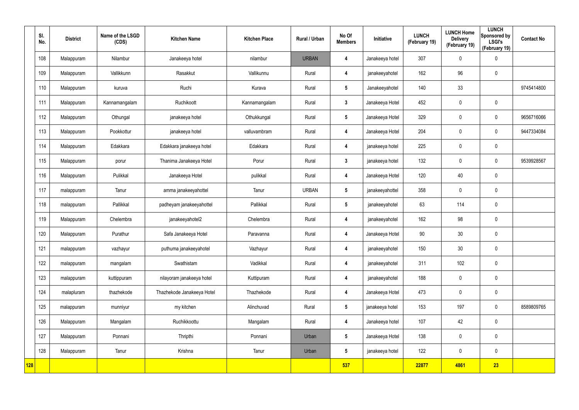|            | SI.<br>No. | <b>District</b> | Name of the LSGD<br>(CDS) | <b>Kitchen Name</b>        | <b>Kitchen Place</b> | Rural / Urban | No Of<br><b>Members</b> | Initiative      | <b>LUNCH</b><br>(February 19) | <b>LUNCH Home</b><br><b>Delivery</b><br>(February 19) | <b>LUNCH</b><br>Sponsored by<br><b>LSGI's</b><br>(February 19) | <b>Contact No</b> |
|------------|------------|-----------------|---------------------------|----------------------------|----------------------|---------------|-------------------------|-----------------|-------------------------------|-------------------------------------------------------|----------------------------------------------------------------|-------------------|
|            | 108        | Malappuram      | Nilambur                  | Janakeeya hotel            | nilambur             | <b>URBAN</b>  | 4                       | Janakeeya hotel | 307                           | 0                                                     | $\pmb{0}$                                                      |                   |
|            | 109        | Malappuram      | Vallikkunn                | Rasakkut                   | Vallikunnu           | Rural         | 4                       | janakeeyahotel  | 162                           | 96                                                    | $\mathbf 0$                                                    |                   |
|            | 110        | Malappuram      | kuruva                    | Ruchi                      | Kurava               | Rural         | $5\phantom{.0}$         | Janakeeyahotel  | 140                           | 33                                                    |                                                                | 9745414800        |
|            | 111        | Malappuram      | Kannamangalam             | Ruchikoott                 | Kannamangalam        | Rural         | $\mathbf{3}$            | Janakeeya Hotel | 452                           | $\mathbf 0$                                           | $\mathbf 0$                                                    |                   |
|            | 112        | Malappuram      | Othungal                  | janakeeya hotel            | Othukkungal          | Rural         | $5\phantom{.0}$         | Janakeeya Hotel | 329                           | 0                                                     | $\mathbf 0$                                                    | 9656716066        |
|            | 113        | Malappuram      | Pookkottur                | janakeeya hotel            | valluvambram         | Rural         | 4                       | Janakeeya Hotel | 204                           | $\boldsymbol{0}$                                      | $\mathbf 0$                                                    | 9447334084        |
|            | 114        | Malappuram      | Edakkara                  | Edakkara janakeeya hotel   | Edakkara             | Rural         | 4                       | janakeeya hotel | 225                           | 0                                                     | $\mathbf 0$                                                    |                   |
|            | 115        | Malappuram      | porur                     | Thanima Janakeeya Hotel    | Porur                | Rural         | $3\phantom{a}$          | janakeeya hotel | 132                           | 0                                                     | $\mathbf 0$                                                    | 9539928567        |
|            | 116        | Malappuram      | Pulikkal                  | Janakeeya Hotel            | pulikkal             | Rural         | 4                       | Janakeeya Hotel | 120                           | 40                                                    | $\mathbf 0$                                                    |                   |
|            | 117        | malappuram      | Tanur                     | amma janakeeyahottel       | Tanur                | <b>URBAN</b>  | $5\overline{)}$         | janakeeyahottel | 358                           | 0                                                     | $\mathbf 0$                                                    |                   |
|            | 118        | malappuram      | Pallikkal                 | padheyam janakeeyahottel   | Pallikkal            | Rural         | $5\overline{)}$         | janakeeyahotel  | 63                            | 114                                                   | $\mathbf 0$                                                    |                   |
|            | 119        | Malappuram      | Chelembra                 | janakeeyahotel2            | Chelembra            | Rural         | 4                       | janakeeyahotel  | 162                           | 98                                                    | $\mathbf 0$                                                    |                   |
|            | 120        | Malappuram      | Purathur                  | Safa Janakeeya Hotel       | Paravanna            | Rural         | 4                       | Janakeeya Hotel | 90                            | 30                                                    | $\mathbf 0$                                                    |                   |
|            | 121        | malappuram      | vazhayur                  | puthuma janakeeyahotel     | Vazhayur             | Rural         | $\overline{\mathbf{4}}$ | janakeeyahotel  | 150                           | 30 <sub>o</sub>                                       | $\pmb{0}$                                                      |                   |
|            | 122        | malappuram      | mangalam                  | Swathistam                 | Vadikkal             | Rural         | $\overline{\mathbf{4}}$ | janakeeyahotel  | 311                           | 102                                                   | $\mathbf 0$                                                    |                   |
|            | 123        | malappuram      | kuttippuram               | nilayoram janakeeya hotel  | Kuttipuram           | Rural         | $\overline{4}$          | janakeeyahotel  | 188                           | 0                                                     | $\mathbf 0$                                                    |                   |
|            | 124        | malapluram      | thazhekode                | Thazhekode Janakeeya Hotel | Thazhekode           | Rural         | $\overline{\mathbf{4}}$ | Janakeeya Hotel | 473                           | 0                                                     | $\mathbf 0$                                                    |                   |
|            | 125        | malappuram      | munniyur                  | my kitchen                 | Alinchuvad           | Rural         | 5 <sub>5</sub>          | janakeeya hotel | 153                           | 197                                                   | $\pmb{0}$                                                      | 8589809765        |
|            | 126        | Malappuram      | Mangalam                  | Ruchikkoottu               | Mangalam             | Rural         | $\overline{\mathbf{4}}$ | Janakeeya hotel | 107                           | 42                                                    | $\mathbf 0$                                                    |                   |
|            | 127        | Malappuram      | Ponnani                   | Thripthi                   | Ponnani              | Urban         | $5\phantom{.0}$         | Janakeeya Hotel | 138                           | $\pmb{0}$                                             | $\mathbf 0$                                                    |                   |
|            | 128        | Malappuram      | Tanur                     | Krishna                    | Tanur                | Urban         | $5\phantom{.0}$         | janakeeya hotel | 122                           | $\pmb{0}$                                             | $\mathbf 0$                                                    |                   |
| <b>128</b> |            |                 |                           |                            |                      |               | 537                     |                 | 22877                         | 4861                                                  | 23                                                             |                   |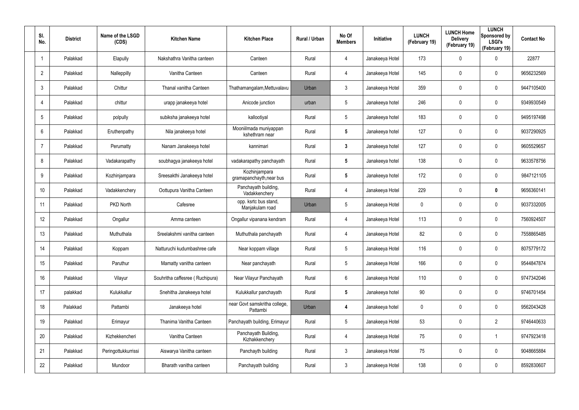| SI.<br>No.      | <b>District</b> | Name of the LSGD<br>(CDS) | <b>Kitchen Name</b>             | <b>Kitchen Place</b>                      | Rural / Urban | No Of<br><b>Members</b> | <b>Initiative</b> | <b>LUNCH</b><br>(February 19) | <b>LUNCH Home</b><br><b>Delivery</b><br>(February 19) | <b>LUNCH</b><br>Sponsored by<br><b>LSGI's</b><br>(February 19) | <b>Contact No</b> |
|-----------------|-----------------|---------------------------|---------------------------------|-------------------------------------------|---------------|-------------------------|-------------------|-------------------------------|-------------------------------------------------------|----------------------------------------------------------------|-------------------|
| 1               | Palakkad        | Elapully                  | Nakshathra Vanitha canteen      | Canteen                                   | Rural         | 4                       | Janakeeya Hotel   | 173                           | 0                                                     | $\mathbf 0$                                                    | 22877             |
| $\overline{2}$  | Palakkad        | Nalleppilly               | Vanitha Canteen                 | Canteen                                   | Rural         | 4                       | Janakeeya Hotel   | 145                           | 0                                                     | $\mathbf 0$                                                    | 9656232569        |
| $\mathbf{3}$    | Palakkad        | Chittur                   | Thanal vanitha Canteen          | Thathamangalam, Mettuvalavu               | Urban         | 3                       | Janakeeya Hotel   | 359                           | 0                                                     | $\mathbf 0$                                                    | 9447105400        |
| $\overline{4}$  | Palakkad        | chittur                   | urapp janakeeya hotel           | Anicode junction                          | urban         | 5                       | Janakeeya hotel   | 246                           | 0                                                     | $\mathbf 0$                                                    | 9349930549        |
| 5               | Palakkad        | polpully                  | subiksha janakeeya hotel        | kallootiyal                               | Rural         | 5                       | Janakeeya hotel   | 183                           | 0                                                     | $\mathbf 0$                                                    | 9495197498        |
| 6               | Palakkad        | Eruthenpathy              | Nila janakeeya hotel            | Mooniilmada muniyappan<br>kshethram near  | Rural         | 5                       | Janakeeya hotel   | 127                           | 0                                                     | $\mathbf 0$                                                    | 9037290925        |
| $\overline{7}$  | Palakkad        | Perumatty                 | Nanam Janakeeya hotel           | kannimari                                 | Rural         | $\mathbf{3}$            | Janakeeya hotel   | 127                           | 0                                                     | $\mathbf 0$                                                    | 9605529657        |
| 8               | Palakkad        | Vadakarapathy             | soubhagya janakeeya hotel       | vadakarapathy panchayath                  | Rural         | 5                       | Janakeeya hotel   | 138                           | 0                                                     | $\mathbf 0$                                                    | 9633578756        |
| 9               | Palakkad        | Kozhinjampara             | Sreesakthi Janakeeya hotel      | Kozhinjampara<br>gramapanchayth, near bus | Rural         | $\overline{\mathbf{5}}$ | Janakeeya hotel   | 172                           | 0                                                     | $\mathbf 0$                                                    | 9847121105        |
| 10 <sup>°</sup> | Palakkad        | Vadakkenchery             | Oottupura Vanitha Canteen       | Panchayath building,<br>Vadakkenchery     | Rural         | 4                       | Janakeeya Hotel   | 229                           | 0                                                     | $\mathbf 0$                                                    | 9656360141        |
| 11              | Palakkad        | PKD North                 | Cafesree                        | opp. ksrtc bus stand,<br>Manjakulam road  | Urban         | $5\phantom{.0}$         | Janakeeya Hotel   | 0                             | 0                                                     | $\mathbf 0$                                                    | 9037332005        |
| 12              | Palakkad        | Ongallur                  | Amma canteen                    | Ongallur vipanana kendram                 | Rural         | 4                       | Janakeeya Hotel   | 113                           | 0                                                     | $\mathbf 0$                                                    | 7560924507        |
| 13              | Palakkad        | Muthuthala                | Sreelakshmi vanitha canteen     | Muthuthala panchayath                     | Rural         | 4                       | Janakeeya Hotel   | 82                            | 0                                                     | $\mathbf 0$                                                    | 7558865485        |
| 14              | Palakkad        | Koppam                    | Natturuchi kudumbashree cafe    | Near koppam village                       | Rural         | 5                       | Janakeeya Hotel   | 116                           | 0                                                     | $\mathbf 0$                                                    | 8075779172        |
| 15              | Palakkad        | Paruthur                  | Mamatty vanitha canteen         | Near panchayath                           | Rural         | $5\phantom{.0}$         | Janakeeya Hotel   | 166                           | 0                                                     | $\mathbf 0$                                                    | 9544847874        |
| 16              | Palakkad        | Vilayur                   | Souhritha caffesree (Ruchipura) | Near Vilayur Panchayath                   | Rural         | $6\phantom{.}6$         | Janakeeya Hotel   | 110                           | 0                                                     | $\mathbf 0$                                                    | 9747342046        |
| 17              | palakkad        | Kulukkallur               | Snehitha Janakeeya hotel        | Kulukkallur panchayath                    | Rural         | $5\phantom{.0}$         | Janakeeya hotel   | 90                            | 0                                                     | $\mathbf 0$                                                    | 9746701454        |
| 18              | Palakkad        | Pattambi                  | Janakeeya hotel                 | near Govt samskritha college,<br>Pattambi | Urban         | 4                       | Janakeeya hotel   | 0                             | 0                                                     | $\pmb{0}$                                                      | 9562043428        |
| 19              | Palakkad        | Erimayur                  | Thanima Vanitha Canteen         | Panchayath building, Erimayur             | Rural         | $5\phantom{.0}$         | Janakeeya Hotel   | 53                            | 0                                                     | $\overline{2}$                                                 | 9746440633        |
| 20              | Palakkad        | Kizhekkencheri            | Vanitha Canteen                 | Panchayath Building,<br>Kizhakkenchery    | Rural         | 4                       | Janakeeya Hotel   | 75                            | 0                                                     | $\mathbf{1}$                                                   | 9747923418        |
| 21              | Palakkad        | Peringottukkurrissi       | Aiswarya Vanitha canteen        | Panchayth building                        | Rural         | $\mathbf{3}$            | Janakeeya Hotel   | 75                            | 0                                                     | $\mathbf 0$                                                    | 9048665884        |
| 22              | Palakkad        | Mundoor                   | Bharath vanitha canteen         | Panchayath building                       | Rural         | $\mathfrak{Z}$          | Janakeeya Hotel   | 138                           | 0                                                     | $\pmb{0}$                                                      | 8592830607        |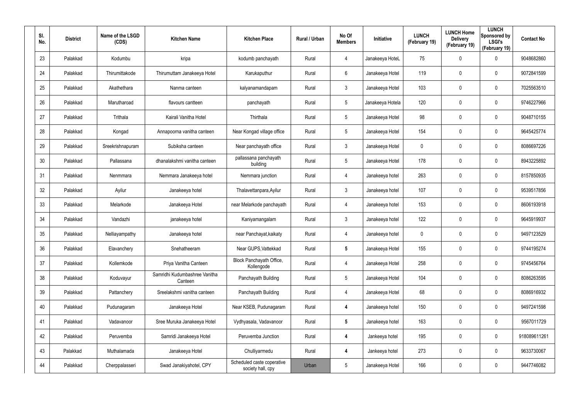| SI.<br>No. | <b>District</b> | Name of the LSGD<br>(CDS) | <b>Kitchen Name</b>                      | <b>Kitchen Place</b>                            | Rural / Urban | No Of<br><b>Members</b> | Initiative       | <b>LUNCH</b><br>(February 19) | <b>LUNCH Home</b><br><b>Delivery</b><br>(February 19) | <b>LUNCH</b><br>Sponsored by<br><b>LSGI's</b><br>(February 19) | <b>Contact No</b> |
|------------|-----------------|---------------------------|------------------------------------------|-------------------------------------------------|---------------|-------------------------|------------------|-------------------------------|-------------------------------------------------------|----------------------------------------------------------------|-------------------|
| 23         | Palakkad        | Kodumbu                   | kripa                                    | kodumb panchayath                               | Rural         | 4                       | Janakeeya HoteL  | 75                            | 0                                                     | $\mathbf 0$                                                    | 9048682860        |
| 24         | Palakkad        | Thirumittakode            | Thirumuttam Janakeeya Hotel              | Karukaputhur                                    | Rural         | 6                       | Janakeeya Hotel  | 119                           | 0                                                     | $\boldsymbol{0}$                                               | 9072841599        |
| 25         | Palakkad        | Akathethara               | Nanma canteen                            | kalyanamandapam                                 | Rural         | $\mathbf{3}$            | Janakeeya Hotel  | 103                           | 0                                                     | $\boldsymbol{0}$                                               | 7025563510        |
| 26         | Palakkad        | Marutharoad               | flavours cantteen                        | panchayath                                      | Rural         | 5                       | Janakeeya Hotela | 120                           | 0                                                     | $\boldsymbol{0}$                                               | 9746227966        |
| 27         | Palakkad        | Trithala                  | Kairali Vanitha Hotel                    | Thirthala                                       | Rural         | 5                       | Janakeeya Hotel  | 98                            | 0                                                     | $\mathbf 0$                                                    | 9048710155        |
| 28         | Palakkad        | Kongad                    | Annapoorna vanitha canteen               | Near Kongad village office                      | Rural         | $5\overline{)}$         | Janakeeya Hotel  | 154                           | 0                                                     | $\mathbf 0$                                                    | 9645425774        |
| 29         | Palakkad        | Sreekrishnapuram          | Subiksha canteen                         | Near panchayath office                          | Rural         | $\mathbf{3}$            | Janakeeya Hotel  | 0                             | 0                                                     | $\boldsymbol{0}$                                               | 8086697226        |
| 30         | Palakkad        | Pallassana                | dhanalakshmi vanitha canteen             | pallassana panchayath<br>building               | Rural         | $5\overline{)}$         | Janakeeya Hotel  | 178                           | 0                                                     | $\mathbf 0$                                                    | 8943225892        |
| 31         | Palakkad        | Nenmmara                  | Nemmara Janakeeya hotel                  | Nemmara junction                                | Rural         | 4                       | Janakeeya hotel  | 263                           | 0                                                     | $\mathbf 0$                                                    | 8157850935        |
| 32         | Palakkad        | Ayilur                    | Janakeeya hotel                          | Thalavettanpara, Ayilur                         | Rural         | $\mathbf{3}$            | Janakeeya hotel  | 107                           | 0                                                     | $\mathbf 0$                                                    | 9539517856        |
| 33         | Palakkad        | Melarkode                 | Janakeeya Hotel                          | near Melarkode panchayath                       | Rural         | 4                       | Janakeeya hotel  | 153                           | 0                                                     | $\mathbf 0$                                                    | 8606193918        |
| 34         | Palakkad        | Vandazhi                  | janakeeya hotel                          | Kaniyamangalam                                  | Rural         | $\mathbf{3}$            | Janakeeya hotel  | 122                           | 0                                                     | $\mathbf 0$                                                    | 9645919937        |
| 35         | Palakkad        | Nelliayampathy            | Janakeeya hotel                          | near Panchayat, kaikaty                         | Rural         | 4                       | Janakeeya hotel  | 0                             | 0                                                     | $\mathbf 0$                                                    | 9497123529        |
| 36         | Palakkad        | Elavanchery               | Snehatheeram                             | Near GUPS, Vattekkad                            | Rural         | 5                       | Janakeeya Hotel  | 155                           | 0                                                     | $\mathbf 0$                                                    | 9744195274        |
| 37         | Palakkad        | Kollemkode                | Priya Vanitha Canteen                    | Block Panchayath Office,<br>Kollengode          | Rural         | 4                       | Janakeeya Hotel  | 258                           | 0                                                     | $\mathbf 0$                                                    | 9745456764        |
| 38         | Palakkad        | Koduvayur                 | Samridhi Kudumbashree Vanitha<br>Canteen | Panchayath Building                             | Rural         | $5\phantom{.0}$         | Janakeeya Hotel  | 104                           | 0                                                     | $\mathbf 0$                                                    | 8086263595        |
| 39         | Palakkad        | Pattanchery               | Sreelakshmi vanitha canteen              | Panchayath Building                             | Rural         | 4                       | Janakeeya Hotel  | 68                            | 0                                                     | $\mathbf 0$                                                    | 8086916932        |
| 40         | Palakkad        | Pudunagaram               | Janakeeya Hotel                          | Near KSEB, Pudunagaram                          | Rural         | 4                       | Janakeeya hotel  | 150                           | 0                                                     | $\pmb{0}$                                                      | 9497241598        |
| 41         | Palakkad        | Vadavanoor                | Sree Muruka Janakeeya Hotel              | Vydhyasala, Vadavanoor                          | Rural         | $5\phantom{.0}$         | Janakeeya hotel  | 163                           | 0                                                     | $\pmb{0}$                                                      | 9567011729        |
| 42         | Palakkad        | Peruvemba                 | Samridi Janakeeya Hotel                  | Peruvemba Junction                              | Rural         | 4                       | Jankeeya hotel   | 195                           | 0                                                     | $\mathbf 0$                                                    | 918089611261      |
| 43         | Palakkad        | Muthalamada               | Janakeeya Hotel                          | Chulliyarmedu                                   | Rural         | 4                       | Jankeeya hotel   | 273                           | 0                                                     | $\pmb{0}$                                                      | 9633730067        |
| 44         | Palakkad        | Cherppalasseri            | Swad Janakiyahotel, CPY                  | Scheduled caste coperative<br>society hall, cpy | Urban         | $\sqrt{5}$              | Janakeeya Hotel  | 166                           | 0                                                     | $\pmb{0}$                                                      | 9447746082        |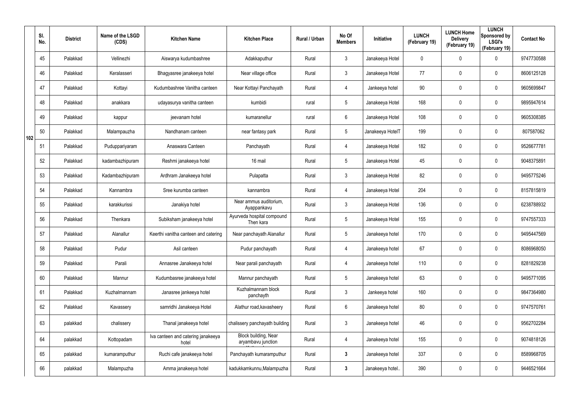|     | SI.<br>No. | <b>District</b> | Name of the LSGD<br>(CDS) | <b>Kitchen Name</b>                         | <b>Kitchen Place</b>                       | Rural / Urban | No Of<br><b>Members</b> | Initiative       | <b>LUNCH</b><br>(February 19) | <b>LUNCH Home</b><br><b>Delivery</b><br>(February 19) | <b>LUNCH</b><br>Sponsored by<br><b>LSGI's</b><br>(February 19) | <b>Contact No</b> |
|-----|------------|-----------------|---------------------------|---------------------------------------------|--------------------------------------------|---------------|-------------------------|------------------|-------------------------------|-------------------------------------------------------|----------------------------------------------------------------|-------------------|
|     | 45         | Palakkad        | Vellinezhi                | Aiswarya kudumbashree                       | Adakkaputhur                               | Rural         | 3                       | Janakeeya Hotel  | 0                             | 0                                                     | $\mathbf 0$                                                    | 9747730588        |
|     | 46         | Palakkad        | Keralasseri               | Bhagyasree janakeeya hotel                  | Near village office                        | Rural         | 3                       | Janakeeya Hotel  | 77                            | 0                                                     | 0                                                              | 8606125128        |
|     | 47         | Palakkad        | Kottayi                   | Kudumbashree Vanitha canteen                | Near Kottayi Panchayath                    | Rural         | 4                       | Jankeeya hotel   | 90                            | 0                                                     | $\pmb{0}$                                                      | 9605699847        |
|     | 48         | Palakkad        | anakkara                  | udayasurya vanitha canteen                  | kumbidi                                    | rural         | 5                       | Janakeeya Hotel  | 168                           | 0                                                     | $\pmb{0}$                                                      | 9895947614        |
|     | 49         | Palakkad        | kappur                    | jeevanam hotel                              | kumaranellur                               | rural         | 6                       | Janakeeya Hotel  | 108                           | 0                                                     | $\pmb{0}$                                                      | 9605308385        |
| 102 | 50         | Palakkad        | Malampauzha               | Nandhanam canteen                           | near fantasy park                          | Rural         | 5                       | Janakeeya HotelT | 199                           | 0                                                     | $\pmb{0}$                                                      | 807587062         |
|     | 51         | Palakkad        | Puduppariyaram            | Anaswara Canteen                            | Panchayath                                 | Rural         | 4                       | Janakeeya Hotel  | 182                           | 0                                                     | $\mathbf 0$                                                    | 9526677781        |
|     | 52         | Palakkad        | kadambazhipuram           | Reshmi janakeeya hotel                      | 16 mail                                    | Rural         | 5                       | Janakeeya Hotel  | 45                            | 0                                                     | $\mathbf 0$                                                    | 9048375891        |
|     | 53         | Palakkad        | Kadambazhipuram           | Ardhram Janakeeya hotel                     | Pulapatta                                  | Rural         | $\mathfrak{Z}$          | Janakeeya Hotel  | 82                            | 0                                                     | $\pmb{0}$                                                      | 9495775246        |
|     | 54         | Palakkad        | Kannambra                 | Sree kurumba canteen                        | kannambra                                  | Rural         | 4                       | Janakeeya Hotel  | 204                           | 0                                                     | $\pmb{0}$                                                      | 8157815819        |
|     | 55         | Palakkad        | karakkurissi              | Janakiya hotel                              | Near ammus auditorium,<br>Ayappankavu      | Rural         | $\mathfrak{Z}$          | Janakeeya Hotel  | 136                           | 0                                                     | $\pmb{0}$                                                      | 6238788932        |
|     | 56         | Palakkad        | Thenkara                  | Subiksham janakeeya hotel                   | Ayurveda hospital compound<br>Then kara    | Rural         | 5                       | Janakeeya Hotel  | 155                           | 0                                                     | $\pmb{0}$                                                      | 9747557333        |
|     | 57         | Palakkad        | Alanallur                 | Keerthi vanitha canteen and catering        | Near panchayath Alanallur                  | Rural         | $\sqrt{5}$              | Janakeeya hotel  | 170                           | 0                                                     | $\mathbf 0$                                                    | 9495447569        |
|     | 58         | Palakkad        | Pudur                     | Asil canteen                                | Pudur panchayath                           | Rural         | 4                       | Janakeeya hotel  | 67                            | $\mathbf 0$                                           | $\pmb{0}$                                                      | 8086968050        |
|     | 59         | Palakkad        | Parali                    | Annasree Janakeeya hotel                    | Near parali panchayath                     | Rural         | 4                       | Janakeeya hotel  | 110                           | $\mathbf 0$                                           | $\mathbf 0$                                                    | 8281829238        |
|     | 60         | Palakkad        | Mannur                    | Kudumbasree janakeeya hotel                 | Mannur panchayath                          | Rural         | $5\phantom{.0}$         | Janakeeya hotel  | 63                            | $\mathbf 0$                                           | $\mathbf 0$                                                    | 9495771095        |
|     | 61         | Palakkad        | Kuzhalmannam              | Janasree jankeeya hotel                     | Kuzhalmannam block<br>panchayth            | Rural         | 3                       | Jankeeya hotel   | 160                           | 0                                                     | $\mathbf 0$                                                    | 9847364980        |
|     | 62         | Palakkad        | Kavassery                 | samridhi Janakeeya Hotel                    | Alathur road, kavasheery                   | Rural         | $6\phantom{.0}$         | Janakeeya hotel  | 80                            | 0                                                     | $\mathsf{0}$                                                   | 9747570761        |
|     | 63         | palakkad        | chalissery                | Thanal janakeeya hotel                      | chalissery panchayath building             | Rural         | $\mathfrak{Z}$          | Janakeeya hotel  | 46                            | 0                                                     | $\pmb{0}$                                                      | 9562702284        |
|     | 64         | palakkad        | Kottopadam                | Iva canteen and catering janakeeya<br>hotel | Block building, Near<br>aryambavu junction | Rural         | 4                       | Janakeeya hotel  | 155                           | 0                                                     | $\mathbf 0$                                                    | 9074818126        |
|     | 65         | palakkad        | kumaramputhur             | Ruchi cafe janakeeya hotel                  | Panchayath kumaramputhur                   | Rural         | $3\phantom{a}$          | Janakeeya hotel  | 337                           | 0                                                     | $\mathsf{0}$                                                   | 8589968705        |
|     | 66         | palakkad        | Malampuzha                | Amma janakeeya hotel                        | kadukkamkunnu, Malampuzha                  | Rural         | $\mathbf{3}$            | Janakeeya hotel  | 390                           | 0                                                     | $\mathsf{0}$                                                   | 9446521664        |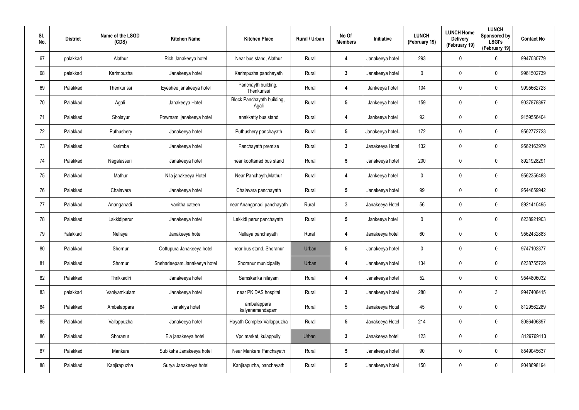| SI.<br>No. | <b>District</b> | Name of the LSGD<br>(CDS) | <b>Kitchen Name</b>         | <b>Kitchen Place</b>                | Rural / Urban | No Of<br><b>Members</b> | Initiative       | <b>LUNCH</b><br>(February 19) | <b>LUNCH Home</b><br><b>Delivery</b><br>(February 19) | <b>LUNCH</b><br>Sponsored by<br><b>LSGI's</b><br>(February 19) | <b>Contact No</b> |
|------------|-----------------|---------------------------|-----------------------------|-------------------------------------|---------------|-------------------------|------------------|-------------------------------|-------------------------------------------------------|----------------------------------------------------------------|-------------------|
| 67         | palakkad        | Alathur                   | Rich Janakeeya hotel        | Near bus stand, Alathur             | Rural         | 4                       | Janakeeya hotel  | 293                           | 0                                                     | 6                                                              | 9947030779        |
| 68         | palakkad        | Karimpuzha                | Janakeeya hotel             | Karimpuzha panchayath               | Rural         | 3                       | Janakeeya hotel  | 0                             | 0                                                     | $\boldsymbol{0}$                                               | 9961502739        |
| 69         | Palakkad        | Thenkurissi               | Eyeshee janakeeya hotel     | Panchayth building,<br>Thenkurissi  | Rural         | 4                       | Jankeeya hotel   | 104                           | 0                                                     | $\pmb{0}$                                                      | 9995662723        |
| 70         | Palakkad        | Agali                     | Janakeeya Hotel             | Block Panchayath building,<br>Agali | Rural         | 5                       | Jankeeya hotel   | 159                           | 0                                                     | $\boldsymbol{0}$                                               | 9037878897        |
| 71         | Palakkad        | Sholayur                  | Powrnami janakeeya hotel    | anakkatty bus stand                 | Rural         | 4                       | Jankeeya hotel   | 92                            | 0                                                     | $\boldsymbol{0}$                                               | 9159556404        |
| 72         | Palakkad        | Puthushery                | Janakeeya hotel             | Puthushery panchayath               | Rural         | $5\phantom{.0}$         | Janakeeya hotel. | 172                           | 0                                                     | $\boldsymbol{0}$                                               | 9562772723        |
| 73         | Palakkad        | Karimba                   | Janakeeya hotel             | Panchayath premise                  | Rural         | $3\phantom{a}$          | Janakeeya Hotel  | 132                           | 0                                                     | $\boldsymbol{0}$                                               | 9562163979        |
| 74         | Palakkad        | Nagalasseri               | Janakeeya hotel             | near koottanad bus stand            | Rural         | $\overline{\mathbf{5}}$ | Janakeeya hotel  | 200                           | 0                                                     | $\mathbf 0$                                                    | 8921928291        |
| 75         | Palakkad        | Mathur                    | Nila janakeeya Hotel        | Near Panchayth, Mathur              | Rural         | 4                       | Jankeeya hotel   | 0                             | 0                                                     | $\boldsymbol{0}$                                               | 9562356483        |
| 76         | Palakkad        | Chalavara                 | Janakeeya hotel             | Chalavara panchayath                | Rural         | $\overline{\mathbf{5}}$ | Janakeeya hotel  | 99                            | 0                                                     | $\mathbf 0$                                                    | 9544659942        |
| 77         | Palakkad        | Ananganadi                | vanitha cateen              | near Ananganadi panchayath          | Rural         | $\mathbf{3}$            | Janakeeya Hotel  | 56                            | 0                                                     | $\boldsymbol{0}$                                               | 8921410495        |
| 78         | Palakkad        | Lakkidiperur              | Janakeeya hotel             | Lekkidi perur panchayath            | Rural         | 5                       | Jankeeya hotel   | 0                             | 0                                                     | $\mathbf 0$                                                    | 6238921903        |
| 79         | Palakkad        | Nellaya                   | Janakeeya hotel             | Nellaya panchayath                  | Rural         | 4                       | Janakeeya hotel  | 60                            | 0                                                     | $\boldsymbol{0}$                                               | 9562432883        |
| 80         | Palakkad        | Shornur                   | Oottupura Janakeeya hotel   | near bus stand, Shoranur            | Urban         | $\overline{\mathbf{5}}$ | Janakeeya hotel  | 0                             | 0                                                     | $\pmb{0}$                                                      | 9747102377        |
| 81         | Palakkad        | Shornur                   | Snehadeepam Janakeeya hotel | Shoranur municipality               | Urban         | 4                       | Janakeeya hotel  | 134                           | 0                                                     | $\mathbf 0$                                                    | 6238755729        |
| 82         | Palakkad        | Thrikkadiri               | Janakeeya hotel             | Samskarika nilayam                  | Rural         | 4                       | Janakeeya hotel  | 52                            | 0                                                     | $\mathbf 0$                                                    | 9544806032        |
| 83         | palakkad        | Vaniyamkulam              | Janakeeya hotel             | near PK DAS hospital                | Rural         | $\mathbf{3}$            | Janakeeya hotel  | 280                           | 0                                                     | $\mathbf{3}$                                                   | 9947408415        |
| 84         | Palakkad        | Ambalappara               | Janakiya hotel              | ambalappara<br>kalyanamandapam      | Rural         | $5\phantom{.0}$         | Janakeeya Hotel  | 45                            | 0                                                     | $\mathbf 0$                                                    | 8129562289        |
| 85         | Palakkad        | Vallappuzha               | Janakeeya hotel             | Hayath Complex, Vallappuzha         | Rural         | $5\phantom{.0}$         | Janakeeya Hotel  | 214                           | 0                                                     | $\mathbf 0$                                                    | 8086406897        |
| 86         | Palakkad        | Shoranur                  | Ela janakeeya hotel         | Vpc market, kulappully              | Urban         | $\mathbf{3}$            | Janakeeya hotel  | 123                           | 0                                                     | $\mathbf 0$                                                    | 8129769113        |
| 87         | Palakkad        | Mankara                   | Subiksha Janakeeya hotel    | Near Mankara Panchayath             | Rural         | $5\phantom{.0}$         | Janakeeya hotel  | 90                            | 0                                                     | $\mathbf 0$                                                    | 8549045637        |
| 88         | Palakkad        | Kanjirapuzha              | Surya Janakeeya hotel       | Kanjirapuzha, panchayath            | Rural         | $5\phantom{.0}$         | Janakeeya hotel  | 150                           | 0                                                     | $\pmb{0}$                                                      | 9048698194        |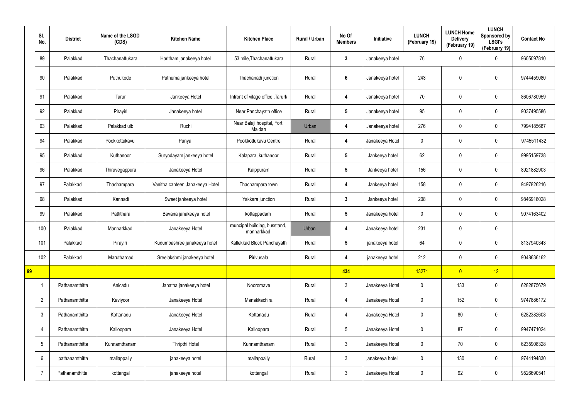|    | SI.<br>No.      | <b>District</b> | Name of the LSGD<br>(CDS) | <b>Kitchen Name</b>             | <b>Kitchen Place</b>                       | Rural / Urban | No Of<br><b>Members</b> | Initiative      | <b>LUNCH</b><br>(February 19) | <b>LUNCH Home</b><br><b>Delivery</b><br>(February 19) | <b>LUNCH</b><br>Sponsored by<br><b>LSGI's</b><br>(February 19) | <b>Contact No</b> |
|----|-----------------|-----------------|---------------------------|---------------------------------|--------------------------------------------|---------------|-------------------------|-----------------|-------------------------------|-------------------------------------------------------|----------------------------------------------------------------|-------------------|
|    | 89              | Palakkad        | Thachanattukara           | Haritham janakeeya hotel        | 53 mile, Thachanattukara                   | Rural         | $3\phantom{a}$          | Janakeeya hotel | 76                            | 0                                                     | $\boldsymbol{0}$                                               | 9605097810        |
|    | 90              | Palakkad        | Puthukode                 | Puthuma jankeeya hotel          | Thachanadi junction                        | Rural         | $6\phantom{1}6$         | Janakeeya hotel | 243                           | 0                                                     | $\mathbf 0$                                                    | 9744459080        |
|    | 91              | Palakkad        | Tarur                     | Jankeeya Hotel                  | Infront of vilage office, Tarurk           | Rural         | 4                       | Janakeeya hotel | 70                            | $\mathbf 0$                                           | $\mathbf 0$                                                    | 8606780959        |
|    | 92              | Palakkad        | Pirayiri                  | Janakeeya hotel                 | Near Panchayath office                     | Rural         | $5\phantom{.0}$         | Janakeeya hotel | 95                            | 0                                                     | $\overline{0}$                                                 | 9037495586        |
|    | 93              | Palakkad        | Palakkad ulb              | Ruchi                           | Near Balaji hospital, Fort<br>Maidan       | Urban         | 4                       | Janakeeya hotel | 276                           | 0                                                     | $\mathbf 0$                                                    | 7994185687        |
|    | 94              | Palakkad        | Pookkottukavu             | Punya                           | Pookkottukavu Centre                       | Rural         | $\boldsymbol{4}$        | Janakeeya Hotel | $\pmb{0}$                     | 0                                                     | $\overline{0}$                                                 | 9745511432        |
|    | 95              | Palakkad        | Kuthanoor                 | Suryodayam jankeeya hotel       | Kalapara, kuthanoor                        | Rural         | $5\phantom{.0}$         | Jankeeya hotel  | 62                            | 0                                                     | $\mathbf 0$                                                    | 9995159738        |
|    | 96              | Palakkad        | Thiruvegappura            | Janakeeya Hotel                 | Kaippuram                                  | Rural         | $5\phantom{.0}$         | Jankeeya hotel  | 156                           | 0                                                     | $\overline{0}$                                                 | 8921882903        |
|    | 97              | Palakkad        | Thachampara               | Vanitha canteen Janakeeya Hotel | Thachampara town                           | Rural         | $\overline{4}$          | Jankeeya hotel  | 158                           | $\mathbf 0$                                           | $\mathbf 0$                                                    | 9497826216        |
|    | 98              | Palakkad        | Kannadi                   | Sweet jankeeya hotel            | Yakkara junction                           | Rural         | $3\phantom{a}$          | Jankeeya hotel  | 208                           | $\mathbf 0$                                           | $\mathbf 0$                                                    | 9846918028        |
|    | 99              | Palakkad        | Pattithara                | Bavana janakeeya hotel          | kottappadam                                | Rural         | $5\phantom{.0}$         | Janakeeya hotel | $\mathbf 0$                   | 0                                                     | $\mathbf 0$                                                    | 9074163402        |
|    | 100             | Palakkad        | Mannarkkad                | Janakeeya Hotel                 | muncipal building, busstand,<br>mannarkkad | Urban         | 4                       | Janakeeya hotel | 231                           | 0                                                     | $\mathbf 0$                                                    |                   |
|    | 101             | Palakkad        | Pirayiri                  | Kudumbashree janakeeya hotel    | Kallekkad Block Panchayath                 | Rural         | 5                       | janakeeya hotel | 64                            | $\mathbf 0$                                           | $\boldsymbol{0}$                                               | 8137940343        |
|    | 102             | Palakkad        | Marutharoad               | Sreelakshmi janakeeya hotel     | Pirivusala                                 | Rural         | 4                       | janakeeya hotel | 212                           | 0                                                     | $\mathbf 0$                                                    | 9048636162        |
| 99 |                 |                 |                           |                                 |                                            |               | 434                     |                 | 13271                         | $\overline{0}$                                        | 12                                                             |                   |
|    |                 | Pathanamthitta  | Anicadu                   | Janatha janakeeya hotel         | Nooromave                                  | Rural         | 3 <sup>5</sup>          | Janakeeya Hotel | $\mathbf 0$                   | 133                                                   | $\mathbf 0$                                                    | 6282875679        |
|    | $\overline{2}$  | Pathanamthitta  | Kaviyoor                  | Janakeeya Hotel                 | Manakkachira                               | Rural         | 4                       | Janakeeya Hotel | $\pmb{0}$                     | 152                                                   | $\mathbf 0$                                                    | 9747886172        |
|    | $\mathfrak{Z}$  | Pathanamthitta  | Kottanadu                 | Janakeeya Hotel                 | Kottanadu                                  | Rural         | 4                       | Janakeeya Hotel | $\mathbf 0$                   | 80                                                    | $\boldsymbol{0}$                                               | 6282382608        |
|    | 4               | Pathanamthitta  | Kalloopara                | Janakeeya Hotel                 | Kalloopara                                 | Rural         | 5 <sub>5</sub>          | Janakeeya Hotel | $\pmb{0}$                     | 87                                                    | $\mathbf 0$                                                    | 9947471024        |
|    | $5\phantom{.0}$ | Pathanamthitta  | Kunnamthanam              | Thripthi Hotel                  | Kunnamthanam                               | Rural         | $\mathbf{3}$            | Janakeeya Hotel | $\mathbf 0$                   | 70                                                    | $\mathbf 0$                                                    | 6235908328        |
|    | 6               | pathanamthitta  | mallappally               | janakeeya hotel                 | mallappally                                | Rural         | $\mathbf{3}$            | janakeeya hotel | $\pmb{0}$                     | 130                                                   | $\mathbf 0$                                                    | 9744194830        |
|    | 7               | Pathanamthitta  | kottangal                 | janakeeya hotel                 | kottangal                                  | Rural         | $\mathbf{3}$            | Janakeeya Hotel | $\pmb{0}$                     | 92                                                    | $\overline{0}$                                                 | 9526690541        |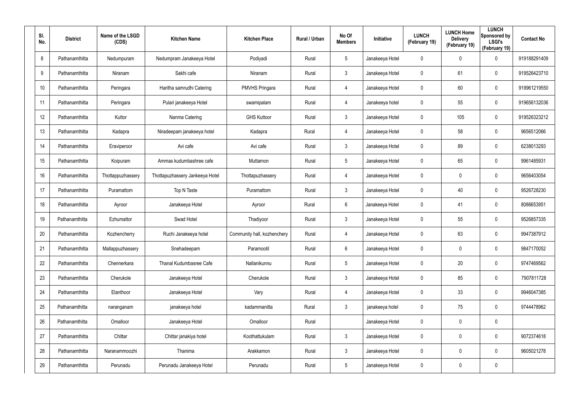| SI.<br>No. | <b>District</b> | Name of the LSGD<br>(CDS) | <b>Kitchen Name</b>             | <b>Kitchen Place</b>        | Rural / Urban | No Of<br><b>Members</b> | Initiative      | <b>LUNCH</b><br>(February 19) | <b>LUNCH Home</b><br><b>Delivery</b><br>(February 19) | <b>LUNCH</b><br>Sponsored by<br><b>LSGI's</b><br>(February 19) | <b>Contact No</b> |
|------------|-----------------|---------------------------|---------------------------------|-----------------------------|---------------|-------------------------|-----------------|-------------------------------|-------------------------------------------------------|----------------------------------------------------------------|-------------------|
| 8          | Pathanamthitta  | Nedumpuram                | Nedumpram Janakeeya Hotel       | Podiyadi                    | Rural         | 5                       | Janakeeya Hotel | 0                             | 0                                                     | $\boldsymbol{0}$                                               | 919188291409      |
| 9          | Pathanamthitta  | Niranam                   | Sakhi cafe                      | Niranam                     | Rural         | $\mathbf{3}$            | Janakeeya Hotel | 0                             | 61                                                    | $\mathbf 0$                                                    | 919526423710      |
| 10         | Pathanamthitta  | Peringara                 | Haritha samrudhi Catering       | <b>PMVHS Pringara</b>       | Rural         | 4                       | Janakeeya Hotel | 0                             | 60                                                    | $\pmb{0}$                                                      | 919961219550      |
| 11         | Pathanamthitta  | Peringara                 | Pulari janakeeya Hotel          | swamipalam                  | Rural         | $\overline{4}$          | Janakeeya hotel | 0                             | 55                                                    | $\pmb{0}$                                                      | 919656132036      |
| 12         | Pathanamthitta  | Kuttor                    | Nanma Catering                  | <b>GHS Kuttoor</b>          | Rural         | $\mathbf{3}$            | Janakeeya Hotel | 0                             | 105                                                   | $\mathbf 0$                                                    | 919526323212      |
| 13         | Pathanamthitta  | Kadapra                   | Niradeepam janakeeya hotel      | Kadapra                     | Rural         | 4                       | Janakeeya Hotel | 0                             | 58                                                    | $\mathbf 0$                                                    | 9656512066        |
| 14         | Pathanamthitta  | Eraviperoor               | Avi cafe                        | Avi cafe                    | Rural         | $\mathbf{3}$            | Janakeeya Hotel | 0                             | 89                                                    | $\boldsymbol{0}$                                               | 6238013293        |
| 15         | Pathanamthitta  | Koipuram                  | Ammas kudumbashree cafe         | Muttamon                    | Rural         | $5\phantom{.0}$         | Janakeeya Hotel | 0                             | 65                                                    | $\boldsymbol{0}$                                               | 9961485931        |
| 16         | Pathanamthitta  | Thottappuzhassery         | Thottapuzhassery Jankeeya Hotel | Thottapuzhassery            | Rural         | 4                       | Janakeeya Hotel | 0                             | 0                                                     | $\pmb{0}$                                                      | 9656403054        |
| 17         | Pathanamthitta  | Puramattom                | Top N Taste                     | Puramattom                  | Rural         | $\mathbf{3}$            | Janakeeya Hotel | 0                             | 40                                                    | $\pmb{0}$                                                      | 9526728230        |
| 18         | Pathanamthitta  | Ayroor                    | Janakeeya Hotel                 | Ayroor                      | Rural         | $6\phantom{.}6$         | Janakeeya Hotel | 0                             | 41                                                    | $\pmb{0}$                                                      | 8086653951        |
| 19         | Pathanamthitta  | Ezhumattor                | Swad Hotel                      | Thadiyoor                   | Rural         | $\mathbf{3}$            | Janakeeya Hotel | 0                             | 55                                                    | $\boldsymbol{0}$                                               | 9526857335        |
| 20         | Pathanamthitta  | Kozhencherry              | Ruchi Janakeeya hotel           | Community hall, kozhenchery | Rural         | 4                       | Janakeeya Hotel | 0                             | 63                                                    | $\boldsymbol{0}$                                               | 9947387912        |
| 21         | Pathanamthitta  | Mallappuzhassery          | Snehadeepam                     | Paramootil                  | Rural         | 6                       | Janakeeya Hotel | 0                             | 0                                                     | $\pmb{0}$                                                      | 9847170052        |
| 22         | Pathanamthitta  | Chennerkara               | Thanal Kudumbasree Cafe         | Nallanikunnu                | Rural         | $5\phantom{.0}$         | Janakeeya Hotel | 0                             | 20                                                    | $\mathbf 0$                                                    | 9747469562        |
| 23         | Pathanamthitta  | Cherukole                 | Janakeeya Hotel                 | Cherukole                   | Rural         | 3 <sup>1</sup>          | Janakeeya Hotel | 0                             | 85                                                    | $\mathbf 0$                                                    | 7907811728        |
| 24         | Pathanamthitta  | Elanthoor                 | Janakeeya Hotel                 | Vary                        | Rural         | $\overline{4}$          | Janakeeya Hotel | 0                             | 33                                                    | $\pmb{0}$                                                      | 9946047385        |
| 25         | Pathanamthitta  | naranganam                | janakeeya hotel                 | kadammanitta                | Rural         | $\mathbf{3}$            | janakeeya hotel | 0                             | 75                                                    | $\pmb{0}$                                                      | 9744478962        |
| 26         | Pathanamthitta  | Omalloor                  | Janakeeya Hotel                 | Omalloor                    | Rural         |                         | Janakeeya Hotel | 0                             | 0                                                     | $\pmb{0}$                                                      |                   |
| 27         | Pathanamthitta  | Chittar                   | Chittar janakiya hotel          | Koothattukulam              | Rural         | 3 <sup>1</sup>          | Janakeeya Hotel | 0                             | 0                                                     | $\pmb{0}$                                                      | 9072374618        |
| 28         | Pathanamthitta  | Naranammoozhi             | Thanima                         | Arakkamon                   | Rural         | $\mathbf{3}$            | Janakeeya Hotel | 0                             | 0                                                     | $\mathbf 0$                                                    | 9605021278        |
| 29         | Pathanamthitta  | Perunadu                  | Perunadu Janakeeya Hotel        | Perunadu                    | Rural         | $5\phantom{.0}$         | Janakeeya Hotel | 0                             | 0                                                     | $\pmb{0}$                                                      |                   |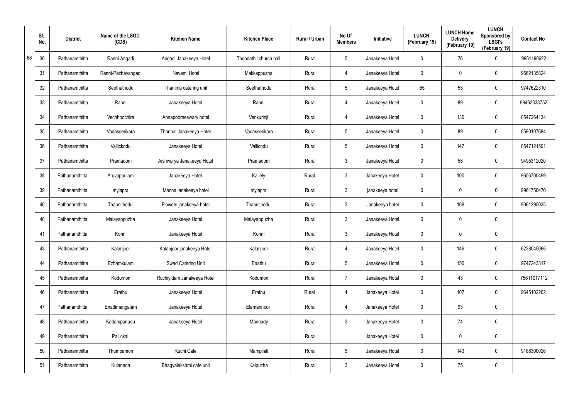|    | SI.<br>No. | <b>District</b> | Name of the LSGD<br>(CDS) | <b>Kitchen Name</b>        | <b>Kitchen Place</b>   | Rural / Urban | No Of<br><b>Members</b> | Initiative      | <b>LUNCH</b><br>(February 19) | <b>LUNCH Home</b><br><b>Delivery</b><br>(February 19) | <b>LUNCH</b><br>Sponsored by<br><b>LSGI's</b><br>(February 19) | <b>Contact No</b> |
|----|------------|-----------------|---------------------------|----------------------------|------------------------|---------------|-------------------------|-----------------|-------------------------------|-------------------------------------------------------|----------------------------------------------------------------|-------------------|
| 58 | 30         | Pathanamthitta  | Ranni-Angadi              | Angadi Janakeeya Hotel     | Thoodathil church hall | Rural         | 5                       | Janakeeya Hotel | 0                             | 76                                                    | $\mathbf 0$                                                    | 9961190622        |
|    | 31         | Pathanamthitta  | Ranni-Pazhavangadi        | Navami Hotel               | Makkappuzha            | Rural         | 4                       | Janakeeya Hotel | 0                             | 0                                                     | $\mathbf 0$                                                    | 9562135824        |
|    | 32         | Pathanamthitta  | Seethathodu               | Thanima catering unit      | Seethathodu            | Rural         | $5\overline{)}$         | Janakeeya Hotel | 65                            | 53                                                    | $\mathbf 0$                                                    | 9747622310        |
|    | 33         | Pathanamthitta  | Ranni                     | Janakeeya Hotel            | Ranni                  | Rural         | 4                       | Janakeeya Hotel | 0                             | 89                                                    | $\mathbf 0$                                                    | 99462338752       |
|    | 34         | Pathanamthitta  | Vechhoochira              | Annapoorneswary hotel      | Venkurinji             | Rural         | 4                       | Janakeeya Hotel | 0                             | 130                                                   | $\mathbf 0$                                                    | 8547264134        |
|    | 35         | Pathanamthitta  | Vadasserikara             | Thannal Janakeeya Hotel    | Vadasserikara          | Rural         | 5                       | Janakeeya Hotel | 0                             | 89                                                    | $\mathbf 0$                                                    | 8590107684        |
|    | 36         | Pathanamthitta  | Vallickodu                | Janakeeya Hotel            | Vallicodu              | Rural         | 5                       | Janakeeya Hotel | 0                             | 147                                                   | $\mathbf 0$                                                    | 8547121591        |
|    | 37         | Pathanamthitta  | Pramadom                  | Aishwarya Janakeeya Hotel  | Pramadom               | Rural         | 3                       | Janakeeya Hotel | 0                             | 58                                                    | $\mathbf 0$                                                    | 9495312020        |
|    | 38         | Pathanamthitta  | Aruvappulam               | Janakeeya Hotel            | Kallely                | Rural         | 3                       | Janakeeya Hotel | 0                             | 100                                                   | $\mathbf 0$                                                    | 9656700499        |
|    | 39         | Pathanamthitta  | mylapra                   | Manna janakeeya hotel      | mylapra                | Rural         | 3                       | janakeeya hotel | $\mathbf 0$                   | 0                                                     | $\mathbf 0$                                                    | 9961750470        |
|    | 40         | Pathanamthitta  | Thannithodu               | Flowers janakeeya hotel    | Thannithodu            | Rural         | 3                       | Janakeeya hotel | 0                             | 168                                                   | $\mathbf 0$                                                    | 9061295035        |
|    | 40         | Pathanamthitta  | Malayappuzha              | Janakeeya Hotel            | Malayappuzha           | Rural         | 3                       | Janakeeya Hotel | $\mathbf 0$                   | 0                                                     | $\mathbf 0$                                                    |                   |
|    | 41         | Pathanamthitta  | Konni                     | Janakeeya Hotel            | Konni                  | Rural         | $\mathfrak{Z}$          | Janakeeya Hotel | 0                             | 0                                                     | $\boldsymbol{0}$                                               |                   |
|    | 43         | Pathanamthitta  | Kalanjoor                 | Kalanjoor janakeeya Hotel  | Kalanjoor              | Rural         | 4                       | Janakeeya Hotel | 0                             | 146                                                   | $\pmb{0}$                                                      | 6238045066        |
|    | 44         | Pathanamthitta  | Ezhamkulam                | Swad Catering Unit         | Enathu                 | Rural         | $5\phantom{.0}$         | Janakeeya Hotel | 0                             | 150                                                   | $\mathbf 0$                                                    | 9747243317        |
|    | 45         | Pathanamthitta  | Kodumon                   | Ruchiyidam Janakeeya Hotel | Kodumon                | Rural         | $\overline{7}$          | Janakeeya Hotel | 0                             | 43                                                    | $\mathbf 0$                                                    | 75611017112       |
|    | 46         | Pathanamthitta  | Erathu                    | Janakeeya Hotel            | Erathu                 | Rural         | $\overline{4}$          | Janakeeya Hotel | 0                             | 107                                                   | $\mathbf 0$                                                    | 9645102262        |
|    | 47         | Pathanamthitta  | Enadimangalam             | Janakeeya Hotel            | Elamannoor             | Rural         | 4                       | Janakeeya Hotel | 0                             | 93                                                    | $\pmb{0}$                                                      |                   |
|    | 48         | Pathanamthitta  | Kadampanadu               | Janakeeya Hotel            | Mannady                | Rural         | $\mathbf{3}$            | Janakeeya Hotel | 0                             | 74                                                    | $\mathbf 0$                                                    |                   |
|    | 49         | Pathanamthitta  | Pallickal                 |                            |                        | Rural         |                         | Janakeeya Hotel | 0                             | 0                                                     | $\pmb{0}$                                                      |                   |
|    | $50\,$     | Pathanamthitta  | Thumpamon                 | Ruchi Cafe                 | Mampilali              | Rural         | $5\phantom{.0}$         | Janakeeya Hotel | 0                             | 143                                                   | $\pmb{0}$                                                      | 9188300026        |
|    | 51         | Pathanamthitta  | Kulanada                  | Bhagyalekshmi cafe unit    | Kaipuzha               | Rural         | $\mathfrak{Z}$          | Janakeeya Hotel | 0                             | 75                                                    | $\pmb{0}$                                                      |                   |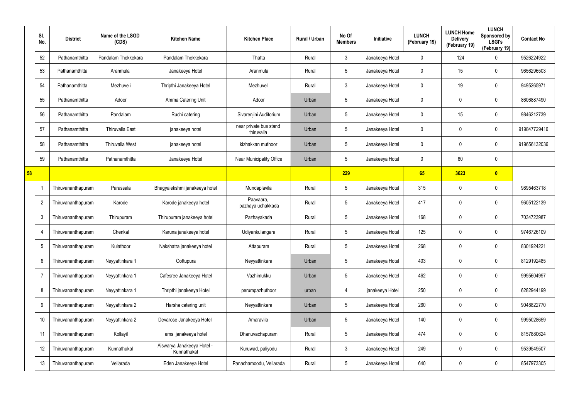|    | SI.<br>No.     | <b>District</b>    | Name of the LSGD<br>(CDS) | <b>Kitchen Name</b>                       | <b>Kitchen Place</b>                 | Rural / Urban | No Of<br><b>Members</b> | Initiative      | <b>LUNCH</b><br>(February 19) | <b>LUNCH Home</b><br><b>Delivery</b><br>(February 19) | <b>LUNCH</b><br>Sponsored by<br><b>LSGI's</b><br>(February 19) | <b>Contact No</b> |
|----|----------------|--------------------|---------------------------|-------------------------------------------|--------------------------------------|---------------|-------------------------|-----------------|-------------------------------|-------------------------------------------------------|----------------------------------------------------------------|-------------------|
|    | 52             | Pathanamthitta     | Pandalam Thekkekara       | Pandalam Thekkekara                       | Thatta                               | Rural         | $\mathbf{3}$            | Janakeeya Hotel | $\mathbf 0$                   | 124                                                   | 0                                                              | 9526224922        |
|    | 53             | Pathanamthitta     | Aranmula                  | Janakeeya Hotel                           | Aranmula                             | Rural         | $5\overline{)}$         | Janakeeya Hotel | 0                             | 15                                                    | 0                                                              | 9656296503        |
|    | 54             | Pathanamthitta     | Mezhuveli                 | Thripthi Janakeeya Hotel                  | Mezhuveli                            | Rural         | $\mathbf{3}$            | Janakeeya Hotel | 0                             | 19                                                    | $\mathbf 0$                                                    | 9495265971        |
|    | 55             | Pathanamthitta     | Adoor                     | Amma Catering Unit                        | Adoor                                | Urban         | $5\overline{)}$         | Janakeeya Hotel | 0                             | 0                                                     | 0                                                              | 8606887490        |
|    | 56             | Pathanamthitta     | Pandalam                  | Ruchi catering                            | Sivarenjini Auditorium               | Urban         | $5\phantom{.0}$         | Janakeeya Hotel | 0                             | 15                                                    | $\mathbf 0$                                                    | 9846212739        |
|    | 57             | Pathanamthitta     | <b>Thiruvalla East</b>    | janakeeya hotel                           | near private bus stand<br>thiruvalla | Urban         | $5\phantom{.0}$         | Janakeeya Hotel | 0                             | 0                                                     | 0                                                              | 919847729416      |
|    | 58             | Pathanamthitta     | Thiruvalla West           | janakeeya hotel                           | kizhakkan muthoor                    | Urban         | $5\phantom{.0}$         | Janakeeya Hotel | 0                             | 0                                                     | $\mathbf 0$                                                    | 919656132036      |
|    | 59             | Pathanamthitta     | Pathanamthitta            | Janakeeya Hotel                           | Near Municipality Office             | Urban         | $5\phantom{.0}$         | Janakeeya Hotel | 0                             | 60                                                    | $\boldsymbol{0}$                                               |                   |
| 58 |                |                    |                           |                                           |                                      |               | 229                     |                 | 65                            | 3623                                                  | $\bullet$                                                      |                   |
|    |                | Thiruvananthapuram | Parassala                 | Bhagyalekshmi janakeeya hotel             | Mundaplavila                         | Rural         | $5\phantom{.0}$         | Janakeeya Hotel | 315                           | 0                                                     | $\boldsymbol{0}$                                               | 9895463718        |
|    | $\overline{2}$ | Thiruvananthapuram | Karode                    | Karode janakeeya hotel                    | Paavaara,<br>pazhaya uchakkada       | Rural         | $5\phantom{.0}$         | Janakeeya Hotel | 417                           | $\boldsymbol{0}$                                      | $\boldsymbol{0}$                                               | 9605122139        |
|    | 3              | Thiruvananthapuram | Thirupuram                | Thirupuram janakeeya hotel                | Pazhayakada                          | Rural         | $5\,$                   | Janakeeya Hotel | 168                           | $\boldsymbol{0}$                                      | $\pmb{0}$                                                      | 7034723987        |
|    | -4             | Thiruvananthapuram | Chenkal                   | Karuna janakeeya hotel                    | Udiyankulangara                      | Rural         | $5\phantom{.0}$         | Janakeeya Hotel | 125                           | 0                                                     | $\boldsymbol{0}$                                               | 9746726109        |
|    | 5              | Thiruvananthapuram | Kulathoor                 | Nakshatra janakeeya hotel                 | Attapuram                            | Rural         | $5\phantom{.0}$         | Janakeeya Hotel | 268                           | 0                                                     | $\boldsymbol{0}$                                               | 8301924221        |
|    | 6              | Thiruvananthapuram | Neyyattinkara 1           | Oottupura                                 | Neyyattinkara                        | Urban         | $5\,$                   | Janakeeya Hotel | 403                           | $\pmb{0}$                                             | $\pmb{0}$                                                      | 8129192485        |
|    | $\overline{7}$ | Thiruvananthapuram | Neyyattinkara 1           | Cafesree Janakeeya Hotel                  | Vazhimukku                           | Urban         | $5\,$                   | Janakeeya Hotel | 462                           | $\boldsymbol{0}$                                      | $\pmb{0}$                                                      | 9995604997        |
|    | 8              | Thiruvananthapuram | Neyyattinkara 1           | Thripthi janakeeya Hotel                  | perumpazhuthoor                      | urban         | $\overline{4}$          | janakeeya Hotel | 250                           | $\pmb{0}$                                             | $\pmb{0}$                                                      | 6282944199        |
|    | 9              | Thiruvananthapuram | Neyyattinkara 2           | Harsha catering unit                      | Neyyattinkara                        | Urban         | $5\,$                   | Janakeeya Hotel | 260                           | $\boldsymbol{0}$                                      | $\pmb{0}$                                                      | 9048822770        |
|    | 10             | Thiruvananthapuram | Neyyattinkara 2           | Devarose Janakeeya Hotel                  | Amaravila                            | Urban         | $5\,$                   | Janakeeya Hotel | 140                           | $\pmb{0}$                                             | $\pmb{0}$                                                      | 9995028659        |
|    | 11             | Thiruvananthapuram | Kollayil                  | ems janakeeya hotel                       | Dhanuvachapuram                      | Rural         | $5\,$                   | Janakeeya Hotel | 474                           | $\boldsymbol{0}$                                      | $\pmb{0}$                                                      | 8157880624        |
|    | 12             | Thiruvananthapuram | Kunnathukal               | Aiswarya Janakeeya Hotel -<br>Kunnathukal | Kuruwad, paliyodu                    | Rural         | $\mathfrak{Z}$          | Janakeeya Hotel | 249                           | $\pmb{0}$                                             | $\pmb{0}$                                                      | 9539549507        |
|    | 13             | Thiruvananthapuram | Vellarada                 | Eden Janakeeya Hotel                      | Panachamoodu, Vellarada              | Rural         | $\sqrt{5}$              | Janakeeya Hotel | 640                           | 0                                                     | $\pmb{0}$                                                      | 8547973305        |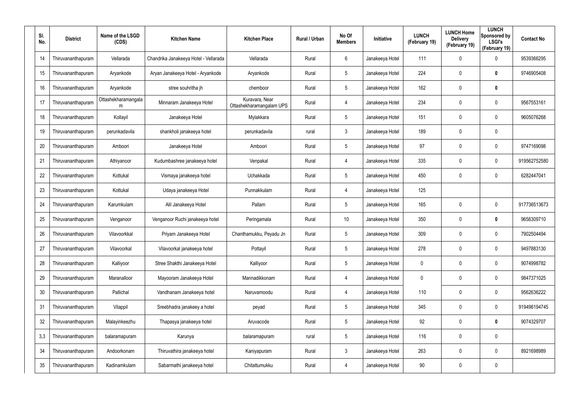| SI.<br>No. | <b>District</b>    | Name of the LSGD<br>(CDS) | <b>Kitchen Name</b>                   | <b>Kitchen Place</b>                       | <b>Rural / Urban</b> | No Of<br><b>Members</b> | Initiative      | <b>LUNCH</b><br>(February 19) | <b>LUNCH Home</b><br><b>Delivery</b><br>(February 19) | <b>LUNCH</b><br>Sponsored by<br><b>LSGI's</b><br>(February 19) | <b>Contact No</b> |
|------------|--------------------|---------------------------|---------------------------------------|--------------------------------------------|----------------------|-------------------------|-----------------|-------------------------------|-------------------------------------------------------|----------------------------------------------------------------|-------------------|
| 14         | Thiruvananthapuram | Vellarada                 | Chandrika Janakeeya Hotel - Vellarada | Vellarada                                  | Rural                | 6                       | Janakeeya Hotel | 111                           | 0                                                     | $\mathbf 0$                                                    | 9539366295        |
| 15         | Thiruvananthapuram | Aryankode                 | Aryan Janakeeya Hotel - Aryankode     | Aryankode                                  | Rural                | 5                       | Janakeeya Hotel | 224                           | 0                                                     | $\bm{0}$                                                       | 9746905408        |
| 16         | Thiruvananthapuram | Aryankode                 | stree souhritha jh                    | chemboor                                   | Rural                | 5                       | Janakeeya Hotel | 162                           | 0                                                     | $\bm{0}$                                                       |                   |
| 17         | Thiruvananthapuram | Ottashekharamangala<br>m  | Minnaram Janakeeya Hotel              | Kuravara, Near<br>Ottashekharamangalam UPS | Rural                | 4                       | Janakeeya Hotel | 234                           | 0                                                     | $\mathbf 0$                                                    | 9567553161        |
| 18         | Thiruvananthapuram | Kollayil                  | Janakeeya Hotel                       | Mylakkara                                  | Rural                | 5                       | Janakeeya Hotel | 151                           | 0                                                     | $\mathbf 0$                                                    | 9605076268        |
| 19         | Thiruvananthapuram | perunkadavila             | shankholi janakeeya hotel             | perunkadavila                              | rural                | $\mathbf{3}$            | Janakeeya Hotel | 189                           | 0                                                     | $\mathbf 0$                                                    |                   |
| 20         | Thiruvananthapuram | Amboori                   | Janakeeya Hotel                       | Amboori                                    | Rural                | 5                       | Janakeeya Hotel | 97                            | 0                                                     | $\boldsymbol{0}$                                               | 9747169098        |
| 21         | Thiruvananthapuram | Athiyanoor                | Kudumbashree janakeeya hotel          | Venpakal                                   | Rural                | 4                       | Janakeeya Hotel | 335                           | 0                                                     | $\mathbf 0$                                                    | 919562752580      |
| 22         | Thiruvananthapuram | Kottukal                  | Vismaya janakeeya hotel               | Uchakkada                                  | Rural                | 5                       | Janakeeya Hotel | 450                           | 0                                                     | $\mathbf 0$                                                    | 6282447041        |
| 23         | Thiruvananthapuram | Kottukal                  | Udaya janakeeya Hotel                 | Punnakkulam                                | Rural                | 4                       | Janakeeya Hotel | 125                           |                                                       |                                                                |                   |
| 24         | Thiruvananthapuram | Karumkulam                | Alil Janakeeya Hotel                  | Pallam                                     | Rural                | 5                       | Janakeeya Hotel | 165                           | 0                                                     | $\pmb{0}$                                                      | 917736513673      |
| 25         | Thiruvananthapuram | Venganoor                 | Venganoor Ruchi janakeeya hotel       | Peringamala                                | Rural                | 10                      | Janakeeya Hotel | 350                           | 0                                                     | $\bf{0}$                                                       | 9656309710        |
| 26         | Thiruvananthapuram | Vilavoorkkal              | Priyam Janakeeya Hotel                | Chanthamukku, Peyadu Jn                    | Rural                | 5                       | Janakeeya Hotel | 309                           | 0                                                     | $\mathbf 0$                                                    | 7902504494        |
| 27         | Thiruvananthapuram | Vilavoorkal               | Vilavoorkal janakeeya hotel           | Pottayil                                   | Rural                | 5                       | Janakeeya Hotel | 278                           | 0                                                     | $\pmb{0}$                                                      | 9497883130        |
| 28         | Thiruvananthapuram | Kalliyoor                 | Stree Shakthi Janakeeya Hotel         | Kalliyoor                                  | Rural                | 5                       | Janakeeya Hotel | 0                             | 0                                                     | $\mathbf 0$                                                    | 9074998782        |
| 29         | Thiruvananthapuram | Maranalloor               | Mayooram Janakeeya Hotel              | Mannadikkonam                              | Rural                | 4                       | Janakeeya Hotel | 0                             | 0                                                     | $\pmb{0}$                                                      | 9847371025        |
| 30         | Thiruvananthapuram | Pallichal                 | Vandhanam Janakeeya hotel             | Naruvamoodu                                | Rural                | 4                       | Janakeeya Hotel | 110                           | 0                                                     | $\pmb{0}$                                                      | 9562636222        |
| 31         | Thiruvananthapuram | Vilappil                  | Sreebhadra janakeey a hotel           | peyad                                      | Rural                | 5                       | Janakeeya Hotel | 345                           | 0                                                     | $\pmb{0}$                                                      | 919496194745      |
| 32         | Thiruvananthapuram | Malayinkeezhu             | Thapasya janakeeya hotel              | Aruvacode                                  | Rural                | 5                       | Janakeeya Hotel | 92                            | 0                                                     | $\mathbf 0$                                                    | 9074329707        |
| 3,3        | Thiruvananthapuram | balaramapuram             | Karunya                               | balaramapuram                              | rural                | 5                       | Janakeeya Hotel | 116                           | 0                                                     | $\pmb{0}$                                                      |                   |
| 34         | Thiruvananthapuram | Andoorkonam               | Thiruvathira janakeeya hotel          | Kaniyapuram                                | Rural                | $\mathbf{3}$            | Janakeeya Hotel | 263                           | 0                                                     | $\pmb{0}$                                                      | 8921698989        |
| 35         | Thiruvananthapuram | Kadinamkulam              | Sabarmathi janakeeya hotel            | Chitattumukku                              | Rural                | 4                       | Janakeeya Hotel | 90                            | 0                                                     | $\pmb{0}$                                                      |                   |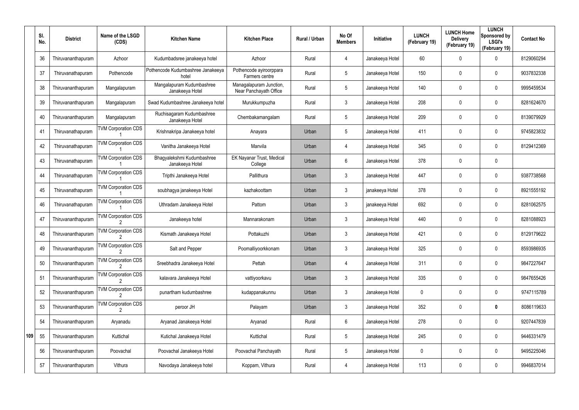|     | SI.<br>No. | <b>District</b>    | Name of the LSGD<br>(CDS)  | <b>Kitchen Name</b>                           | <b>Kitchen Place</b>                              | <b>Rural / Urban</b> | No Of<br><b>Members</b> | Initiative      | <b>LUNCH</b><br>(February 19) | <b>LUNCH Home</b><br><b>Delivery</b><br>(February 19) | <b>LUNCH</b><br>Sponsored by<br><b>LSGI's</b><br>(February 19) | <b>Contact No</b> |
|-----|------------|--------------------|----------------------------|-----------------------------------------------|---------------------------------------------------|----------------------|-------------------------|-----------------|-------------------------------|-------------------------------------------------------|----------------------------------------------------------------|-------------------|
|     | 36         | Thiruvananthapuram | Azhoor                     | Kudumbadsree janakeeya hotel                  | Azhoor                                            | Rural                | $\overline{4}$          | Janakeeya Hotel | 60                            | 0                                                     | 0                                                              | 8129060294        |
|     | 37         | Thiruvanathapuram  | Pothencode                 | Pothencode Kudumbashree Janakeeya<br>hotel    | Pothencode ayiroorppara<br>Farmers centre         | Rural                | $5\phantom{.0}$         | Janakeeya Hotel | 150                           | 0                                                     | $\mathbf 0$                                                    | 9037832338        |
|     | 38         | Thiruvananthapuram | Mangalapuram               | Mangalapuram Kudumbashree<br>Janakeeya Hotel  | Managalapuram Junction,<br>Near Panchayath Office | Rural                | $5\overline{)}$         | Janakeeya Hotel | 140                           | $\mathbf 0$                                           | 0                                                              | 9995459534        |
|     | 39         | Thiruvananthapuram | Mangalapuram               | Swad Kudumbashree Janakeeya hotel             | Murukkumpuzha                                     | Rural                | 3                       | Janakeeya Hotel | 208                           | 0                                                     | $\mathbf 0$                                                    | 8281624670        |
|     | 40         | Thiruvananthapuram | Mangalapuram               | Ruchisagaram Kudumbashree<br>Janakeeya Hotel  | Chembakamangalam                                  | Rural                | $5\phantom{.0}$         | Janakeeya Hotel | 209                           | $\mathbf 0$                                           | 0                                                              | 8139079929        |
|     | 41         | Thiruvanathapuram  | <b>TVM Corporation CDS</b> | Krishnakripa Janakeeya hotel                  | Anayara                                           | Urban                | $5\phantom{.0}$         | Janakeeya Hotel | 411                           | 0                                                     | $\mathbf 0$                                                    | 9745823832        |
|     | 42         | Thiruvanathapuram  | <b>TVM Corporation CDS</b> | Vanitha Janakeeya Hotel                       | Manvila                                           | Urban                | $\overline{4}$          | Janakeeya Hotel | 345                           | 0                                                     | $\mathbf 0$                                                    | 8129412369        |
|     | 43         | Thiruvanathapuram  | <b>TVM Corporation CDS</b> | Bhagyalekshmi Kudumbashree<br>Janakeeya Hotel | EK Nayanar Trust, Medical<br>College              | Urban                | 6                       | Janakeeya Hotel | 378                           | 0                                                     | $\mathbf 0$                                                    |                   |
|     | 44         | Thiruvanathapuram  | <b>TVM Corporation CDS</b> | Tripthi Janakeeya Hotel                       | Pallithura                                        | Urban                | 3                       | Janakeeya Hotel | 447                           | 0                                                     | $\mathbf 0$                                                    | 9387738568        |
|     | 45         | Thiruvanathapuram  | <b>TVM Corporation CDS</b> | soubhagya janakeeya Hotel                     | kazhakoottam                                      | Urban                | 3                       | janakeeya Hotel | 378                           | 0                                                     | $\mathbf 0$                                                    | 8921555192        |
|     | 46         | Thiruvanathapuram  | <b>TVM Corporation CDS</b> | Uthradam Janakeeya Hotel                      | Pattom                                            | Urban                | $\mathbf{3}$            | janakeeya Hotel | 692                           | 0                                                     | $\mathbf 0$                                                    | 8281062575        |
|     | 47         | Thiruvananthapuram | <b>TVM Corporation CDS</b> | Janakeeya hotel                               | Mannarakonam                                      | Urban                | 3                       | Janakeeya Hotel | 440                           | 0                                                     | $\mathbf 0$                                                    | 8281088923        |
|     | 48         | Thiruvananthapuram | <b>TVM Corporation CDS</b> | Kismath Janakeeya Hotel                       | Pottakuzhi                                        | Urban                | $\mathbf{3}$            | Janakeeya Hotel | 421                           | 0                                                     | $\mathbf 0$                                                    | 8129179622        |
|     | 49         | Thiruvananthapuram | <b>TVM Corporation CDS</b> | Salt and Pepper                               | Poomalliyoorkkonam                                | Urban                | $\mathbf{3}$            | Janakeeya Hotel | 325                           | 0                                                     | $\boldsymbol{0}$                                               | 8593986935        |
|     | 50         | Thiruvananthapuram | <b>TVM Corporation CDS</b> | Sreebhadra Janakeeya Hotel                    | Pettah                                            | Urban                | 4                       | Janakeeya Hotel | 311                           | 0                                                     | $\pmb{0}$                                                      | 9847227647        |
|     | 51         | Thiruvananthapuram | <b>TVM Corporation CDS</b> | kalavara Janakeeya Hotel                      | vattiyoorkavu                                     | Urban                | $\mathbf{3}$            | Janakeeya Hotel | 335                           | 0                                                     | $\pmb{0}$                                                      | 9847655426        |
|     | 52         | Thiruvananthapuram | <b>TVM Corporation CDS</b> | punartham kudumbashree                        | kudappanakunnu                                    | Urban                | $\mathfrak{Z}$          | Janakeeya Hotel | 0                             | 0                                                     | $\pmb{0}$                                                      | 9747115789        |
|     | 53         | Thiruvananthapuram | <b>TVM Corporation CDS</b> | peroor JH                                     | Palayam                                           | Urban                | $\mathbf{3}$            | Janakeeya Hotel | 352                           | 0                                                     | $\bm{0}$                                                       | 8086119633        |
|     | 54         | Thiruvananthapuram | Aryanadu                   | Aryanad Janakeeya Hotel                       | Aryanad                                           | Rural                | 6                       | Janakeeya Hotel | 278                           | 0                                                     | $\boldsymbol{0}$                                               | 9207447839        |
| 109 | 55         | Thiruvananthapuram | Kuttichal                  | Kutichal Janakeeya Hotel                      | Kuttichal                                         | Rural                | $5\phantom{.0}$         | Janakeeya Hotel | 245                           | 0                                                     | $\pmb{0}$                                                      | 9446331479        |
|     | 56         | Thiruvananthapuram | Poovachal                  | Poovachal Janakeeya Hotel                     | Poovachal Panchayath                              | Rural                | $5\phantom{.0}$         | Janakeeya Hotel | 0                             | 0                                                     | $\pmb{0}$                                                      | 9495225046        |
|     | 57         | Thiruvananthapuram | Vithura                    | Navodaya Janakeeya hotel                      | Koppam, Vithura                                   | Rural                | 4                       | Janakeeya Hotel | 113                           | 0                                                     | $\pmb{0}$                                                      | 9946837014        |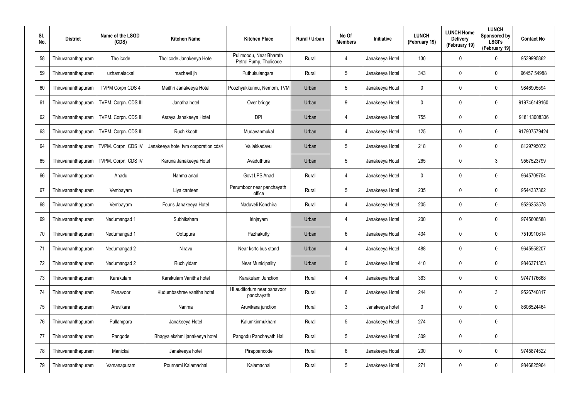| SI.<br>No. | <b>District</b>    | Name of the LSGD<br>(CDS) | <b>Kitchen Name</b>                  | <b>Kitchen Place</b>                              | Rural / Urban | No Of<br><b>Members</b> | <b>Initiative</b> | <b>LUNCH</b><br>(February 19) | <b>LUNCH Home</b><br><b>Delivery</b><br>(February 19) | <b>LUNCH</b><br>Sponsored by<br><b>LSGI's</b><br>(February 19) | <b>Contact No</b> |
|------------|--------------------|---------------------------|--------------------------------------|---------------------------------------------------|---------------|-------------------------|-------------------|-------------------------------|-------------------------------------------------------|----------------------------------------------------------------|-------------------|
| 58         | Thiruvananthapuram | Tholicode                 | Tholicode Janakeeya Hotel            | Pulimoodu, Near Bharath<br>Petrol Pump, Tholicode | Rural         | 4                       | Janakeeya Hotel   | 130                           | 0                                                     | 0                                                              | 9539995862        |
| 59         | Thiruvananthapuram | uzhamalackal              | mazhavil jh                          | Puthukulangara                                    | Rural         | 5                       | Janakeeya Hotel   | 343                           | 0                                                     | $\mathbf 0$                                                    | 96457 54988       |
| 60         | Thiruvananthapuram | <b>TVPM Corpn CDS 4</b>   | Maithri Janakeeya Hotel              | Poozhyakkunnu, Nemom, TVM                         | Urban         | $5\phantom{.0}$         | Janakeeya Hotel   | 0                             | 0                                                     | $\mathbf 0$                                                    | 9846905594        |
| 61         | Thiruvananthapuram | TVPM. Corpn. CDS III      | Janatha hotel                        | Over bridge                                       | Urban         | 9                       | Janakeeya Hotel   | 0                             | 0                                                     | $\mathbf 0$                                                    | 919746149160      |
| 62         | Thiruvananthapuram | TVPM. Corpn. CDS III      | Asraya Janakeeya Hotel               | <b>DPI</b>                                        | Urban         | 4                       | Janakeeya Hotel   | 755                           | 0                                                     | $\mathbf 0$                                                    | 918113008306      |
| 63         | Thiruvananthapuram | TVPM. Corpn. CDS III      | Ruchikkoott                          | Mudavanmukal                                      | Urban         | 4                       | Janakeeya Hotel   | 125                           | 0                                                     | $\mathbf 0$                                                    | 917907579424      |
| 64         | Thiruvananthapuram | TVPM. Corpn. CDS IV       | Janakeeya hotel tvm corporation cds4 | Vallakkadavu                                      | Urban         | $5\phantom{.0}$         | Janakeeya Hotel   | 218                           | 0                                                     | $\mathbf 0$                                                    | 8129795072        |
| 65         | Thiruvananthapuram | TVPM. Corpn. CDS IV       | Karuna Janakeeya Hotel               | Avaduthura                                        | Urban         | $5\overline{)}$         | Janakeeya Hotel   | 265                           | 0                                                     | $\mathbf{3}$                                                   | 9567523799        |
| 66         | Thiruvananthapuram | Anadu                     | Nanma anad                           | Govt LPS Anad                                     | Rural         | 4                       | Janakeeya Hotel   | 0                             | 0                                                     | $\boldsymbol{0}$                                               | 9645709754        |
| 67         | Thiruvananthapuram | Vembayam                  | Liya canteen                         | Perumboor near panchayath<br>office               | Rural         | $5\phantom{.0}$         | Janakeeya Hotel   | 235                           | 0                                                     | $\mathbf 0$                                                    | 9544337362        |
| 68         | Thiruvananthapuram | Vembayam                  | Four's Janakeeya Hotel               | Naduveli Konchira                                 | Rural         | 4                       | Janakeeya Hotel   | 205                           | 0                                                     | $\boldsymbol{0}$                                               | 9526253578        |
| 69         | Thiruvananthapuram | Nedumangad 1              | Subhiksham                           | Irinjayam                                         | Urban         | 4                       | Janakeeya Hotel   | 200                           | 0                                                     | $\mathbf 0$                                                    | 9745606588        |
| 70         | Thiruvananthapuram | Nedumangad 1              | Ootupura                             | Pazhakutty                                        | Urban         | 6                       | Janakeeya Hotel   | 434                           | 0                                                     | $\boldsymbol{0}$                                               | 7510910614        |
| 71         | Thiruvananthapuram | Nedumangad 2              | Niravu                               | Near ksrtc bus stand                              | Urban         | 4                       | Janakeeya Hotel   | 488                           | 0                                                     | $\pmb{0}$                                                      | 9645958207        |
| 72         | Thiruvananthapuram | Nedumangad 2              | Ruchiyidam                           | <b>Near Municipality</b>                          | Urban         | $\mathbf 0$             | Janakeeya Hotel   | 410                           | 0                                                     | $\pmb{0}$                                                      | 9846371353        |
| 73         | Thiruvananthapuram | Karakulam                 | Karakulam Vanitha hotel              | Karakulam Junction                                | Rural         | 4                       | Janakeeya Hotel   | 363                           | 0                                                     | $\pmb{0}$                                                      | 9747176668        |
| 74         | Thiruvananthapuram | Panavoor                  | Kudumbashree vanitha hotel           | HI auditorium near panavoor<br>panchayath         | Rural         | 6                       | Janakeeya Hotel   | 244                           | 0                                                     | $3\phantom{.0}$                                                | 9526740817        |
| 75         | Thiruvananthapuram | Aruvikara                 | Nanma                                | Aruvikara junction                                | Rural         | $\mathbf{3}$            | Janakeeya hotel   | 0                             | 0                                                     | $\pmb{0}$                                                      | 8606524464        |
| 76         | Thiruvananthapuram | Pullampara                | Janakeeya Hotel                      | Kalumkinmukham                                    | Rural         | $5\phantom{.0}$         | Janakeeya Hotel   | 274                           | 0                                                     | $\pmb{0}$                                                      |                   |
| 77         | Thiruvananthapuram | Pangode                   | Bhagyalekshmi janakeeya hotel        | Pangodu Panchayath Hall                           | Rural         | $5\phantom{.0}$         | Janakeeya Hotel   | 309                           | 0                                                     | $\pmb{0}$                                                      |                   |
| 78         | Thiruvananthapuram | Manickal                  | Janakeeya hotel                      | Pirappancode                                      | Rural         | 6                       | Janakeeya Hotel   | 200                           | 0                                                     | $\pmb{0}$                                                      | 9745874522        |
| 79         | Thiruvananthapuram | Vamanapuram               | Pournami Kalamachal                  | Kalamachal                                        | Rural         | $5\phantom{.0}$         | Janakeeya Hotel   | 271                           | 0                                                     | $\pmb{0}$                                                      | 9846825964        |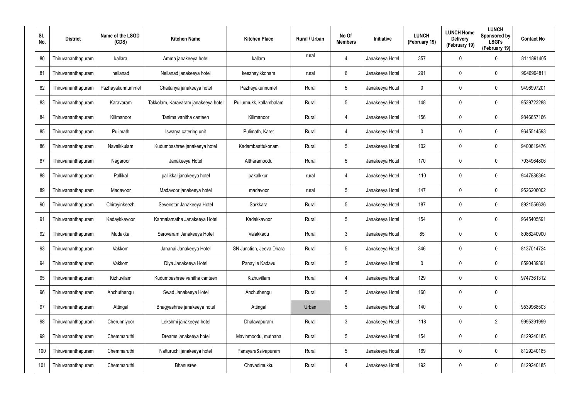| SI.<br>No. | <b>District</b>    | Name of the LSGD<br>(CDS) | <b>Kitchen Name</b>                 | <b>Kitchen Place</b>     | <b>Rural / Urban</b> | No Of<br><b>Members</b> | Initiative      | <b>LUNCH</b><br>(February 19) | <b>LUNCH Home</b><br><b>Delivery</b><br>(February 19) | <b>LUNCH</b><br>Sponsored by<br><b>LSGI's</b><br>(February 19) | <b>Contact No</b> |
|------------|--------------------|---------------------------|-------------------------------------|--------------------------|----------------------|-------------------------|-----------------|-------------------------------|-------------------------------------------------------|----------------------------------------------------------------|-------------------|
| 80         | Thiruvananthapuram | kallara                   | Amma janakeeya hotel                | kallara                  | rural                | 4                       | Janakeeya Hotel | 357                           | $\mathbf 0$                                           | 0                                                              | 8111891405        |
| 81         | Thiruvananthapuram | nellanad                  | Nellanad janakeeya hotel            | keezhayikkonam           | rural                | $6\phantom{.}$          | Janakeeya Hotel | 291                           | $\mathbf 0$                                           | $\mathbf 0$                                                    | 9946994811        |
| 82         | Thiruvananthapuram | Pazhayakunnummel          | Chaitanya janakeeya hotel           | Pazhayakunnumel          | Rural                | $5\overline{)}$         | Janakeeya Hotel | 0                             | $\mathbf 0$                                           | $\mathbf 0$                                                    | 9496997201        |
| 83         | Thiruvananthapuram | Karavaram                 | Takkolam, Karavaram janakeeya hotel | Pullurmukk, kallambalam  | Rural                | $5\overline{)}$         | Janakeeya Hotel | 148                           | 0                                                     | $\mathbf 0$                                                    | 9539723288        |
| 84         | Thiruvananthapuram | Kilimanoor                | Tanima vanitha canteen              | Kilimanoor               | Rural                | $\overline{4}$          | Janakeeya Hotel | 156                           | $\mathbf 0$                                           | $\mathbf 0$                                                    | 9846657166        |
| 85         | Thiruvananthapuram | Pulimath                  | Iswarya catering unit               | Pulimath, Karet          | Rural                | $\overline{4}$          | Janakeeya Hotel | 0                             | 0                                                     | $\mathbf 0$                                                    | 9645514593        |
| 86         | Thiruvananthapuram | Navaikkulam               | Kudumbashree janakeeya hotel        | Kadambaattukonam         | Rural                | $5\phantom{.0}$         | Janakeeya Hotel | 102                           | $\mathbf 0$                                           | $\mathbf 0$                                                    | 9400619476        |
| 87         | Thiruvananthapuram | Nagaroor                  | Janakeeya Hotel                     | Altharamoodu             | Rural                | $5\overline{)}$         | Janakeeya Hotel | 170                           | 0                                                     | $\mathbf 0$                                                    | 7034964806        |
| 88         | Thiruvananthapuram | Pallikal                  | pallikkal janakeeya hotel           | pakalkkuri               | rural                | 4                       | Janakeeya Hotel | 110                           | $\pmb{0}$                                             | $\mathbf 0$                                                    | 9447886364        |
| 89         | Thiruvananthapuram | Madavoor                  | Madavoor janakeeya hotel            | madavoor                 | rural                | $5\overline{)}$         | Janakeeya Hotel | 147                           | $\mathbf 0$                                           | $\mathbf 0$                                                    | 9526206002        |
| 90         | Thiruvananthapuram | Chirayinkeezh             | Sevenstar Janakeeya Hotel           | Sarkkara                 | Rural                | $5\phantom{.0}$         | Janakeeya Hotel | 187                           | $\pmb{0}$                                             | $\mathbf 0$                                                    | 8921556636        |
| 91         | Thiruvananthapuram | Kadaykkavoor              | Karmalamatha Janakeeya Hotel        | Kadakkavoor              | Rural                | $5\overline{)}$         | Janakeeya Hotel | 154                           | $\mathbf 0$                                           | $\mathbf 0$                                                    | 9645405591        |
| 92         | Thiruvananthapuram | Mudakkal                  | Sarovaram Janakeeya Hotel           | Valakkadu                | Rural                | $\mathbf{3}$            | Janakeeya Hotel | 85                            | $\mathbf 0$                                           | $\mathbf 0$                                                    | 8086240900        |
| 93         | Thiruvananthapuram | Vakkom                    | Jananai Janakeeya Hotel             | SN Junction, Jeeva Dhara | Rural                | $5\phantom{.0}$         | Janakeeya Hotel | 346                           | $\mathbf 0$                                           | $\mathbf 0$                                                    | 8137014724        |
| 94         | Thiruvananthapuram | Vakkom                    | Diya Janakeeya Hotel                | Panayile Kadavu          | Rural                | $5\overline{)}$         | Janakeeya Hotel | 0                             | $\mathbf 0$                                           | $\mathbf 0$                                                    | 8590439391        |
| 95         | Thiruvananthapuram | Kizhuvilam                | Kudumbashree vanitha canteen        | Kizhuvillam              | Rural                | $\overline{4}$          | Janakeeya Hotel | 129                           | $\mathbf 0$                                           | $\mathbf 0$                                                    | 9747361312        |
| 96         | Thiruvananthapuram | Anchuthengu               | Swad Janakeeya Hotel                | Anchuthengu              | Rural                | $5\overline{)}$         | Janakeeya Hotel | 160                           | $\mathbf 0$                                           | $\mathbf 0$                                                    |                   |
| 97         | Thiruvananthapuram | Attingal                  | Bhagyashree janakeeya hotel         | Attingal                 | Urban                | $5\phantom{.0}$         | Janakeeya Hotel | 140                           | $\mathbf 0$                                           | $\pmb{0}$                                                      | 9539968503        |
| 98         | Thiruvananthapuram | Cherunniyoor              | Lekshmi janakeeya hotel             | Dhalavapuram             | Rural                | $\mathbf{3}$            | Janakeeya Hotel | 118                           | $\mathbf 0$                                           | $\overline{2}$                                                 | 9995391999        |
| 99         | Thiruvananthapuram | Chemmaruthi               | Dreams janakeeya hotel              | Mavinmoodu, muthana      | Rural                | $5\phantom{.0}$         | Janakeeya Hotel | 154                           | $\mathbf 0$                                           | $\pmb{0}$                                                      | 8129240185        |
| 100        | Thiruvananthapuram | Chemmaruthi               | Natturuchi janakeeya hotel          | Panayara&sivapuram       | Rural                | $5\overline{)}$         | Janakeeya Hotel | 169                           | $\mathbf 0$                                           | $\mathbf 0$                                                    | 8129240185        |
| 101        | Thiruvananthapuram | Chemmaruthi               | Bhanusree                           | Chavadimukku             | Rural                | 4                       | Janakeeya Hotel | 192                           | $\mathbf 0$                                           | $\pmb{0}$                                                      | 8129240185        |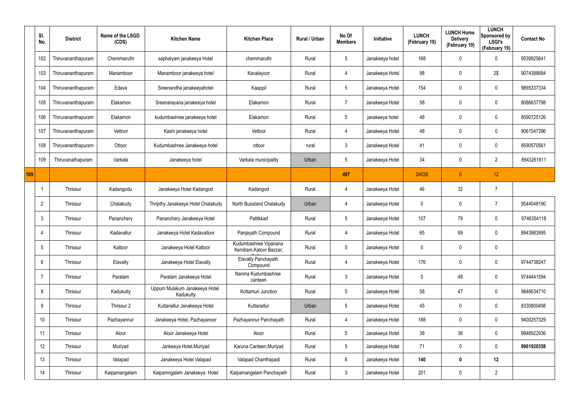|     | SI.<br>No.      | <b>District</b>    | Name of the LSGD<br>(CDS) | <b>Kitchen Name</b>                        | <b>Kitchen Place</b>                             | Rural / Urban | No Of<br><b>Members</b> | Initiative      | <b>LUNCH</b><br>(February 19) | <b>LUNCH Home</b><br><b>Delivery</b><br>(February 19) | <b>LUNCH</b><br>Sponsored by<br><b>LSGI's</b><br>(February 19) | <b>Contact No</b> |
|-----|-----------------|--------------------|---------------------------|--------------------------------------------|--------------------------------------------------|---------------|-------------------------|-----------------|-------------------------------|-------------------------------------------------------|----------------------------------------------------------------|-------------------|
|     | 102             | Thiruvananthapuram | Chemmaruthi               | saphalyam janakeeya Hotel                  | chemmaruthi                                      | Rural         | $5\phantom{.0}$         | Janakeeya hotel | 168                           | 0                                                     | $\mathbf 0$                                                    | 9539925641        |
|     | 103             | Thiruvananthapuram | Manamboor                 | Manamboor janakeeya hotel                  | Kavalayoor                                       | Rural         | $\overline{4}$          | Janakeeya Hotel | 98                            | 0                                                     | 2\$                                                            | 9074388684        |
|     | 104             | Thiruvananthapuram | Edava                     | Sreenandha janakeeyahotel                  | Kaappil                                          | Rural         | $5\overline{)}$         | Janakeeya Hotel | 154                           | 0                                                     | $\pmb{0}$                                                      | 9895337334        |
|     | 105             | Thiruvananthapuram | Elakamon                  | Sreenarayana janakeeya hotel               | Elakamon                                         | Rural         | $\overline{7}$          | Janakeeya Hotel | 58                            | 0                                                     | $\mathbf 0$                                                    | 8086637798        |
|     | 106             | Thiruvananthapuram | Elakamon                  | kudumbashree janakeeya hotel               | Elakamon                                         | Rural         | $5\overline{)}$         | janakeeya hotel | 48                            | 0                                                     | $\pmb{0}$                                                      | 8590725126        |
|     | 107             | Thiruvananthapuram | Vettoor                   | Kashi janakeeya hotel                      | Vettoor                                          | Rural         | 4                       | Janakeeya Hotel | 48                            | 0                                                     | $\mathbf 0$                                                    | 9061547396        |
|     | 108             | Thiruvananthapuram | Ottoor                    | Kudumbashree Janakeeya hotel               | ottoor                                           | rural         | $\mathbf{3}$            | Janakeeya Hotel | 41                            | 0                                                     | $\mathbf 0$                                                    | 8590570561        |
|     | 109             | Thiruvanathapuram  | Varkala                   | Janakeeya hotel                            | Varkala municipality                             | Urban         | $5\phantom{.0}$         | Janakeeya Hotel | 34                            | 0                                                     | $\overline{2}$                                                 | 8943261611        |
| 109 |                 |                    |                           |                                            |                                                  |               | 497                     |                 | 24038                         | $\overline{0}$                                        | 12                                                             |                   |
|     |                 | Thrissur           | Kadangodu                 | Janakeeya Hotel Kadangod                   | Kadangod                                         | Rural         | 4                       | Janakeeya Hotel | 46                            | 32                                                    | $\overline{7}$                                                 |                   |
|     | $\overline{2}$  | Thrissur           | Chalakudy                 | Thripthy Janakeeya Hotel Chalakudy         | North Busstand Chalakudy                         | Urban         | 4                       | Janakeeya Hotel | 0                             | 0                                                     | $\overline{7}$                                                 | 9544048190        |
|     | $\mathbf{3}$    | Thrissur           | Pananchery                | Pananchery Janakeeya Hotel                 | Pattikkad                                        | Rural         | $5\phantom{.0}$         | Janakeeya Hotel | 107                           | 79                                                    | $\mathbf 0$                                                    | 9746354118        |
|     | $\overline{4}$  | Thrissur           | Kadavallur                | Janakeeya Hotel Kadavalloor                | Panjayath Compound                               | Rural         | 4                       | Janakeeya Hotel | 65                            | 69                                                    | 0                                                              | 8943983995        |
|     | $5\overline{)}$ | Thrissur           | Kattoor                   | Janakeeya Hotel Kattoor                    | Kudumbashree Vipanana<br>Kendram, Katoor Bazzar, | Rural         | $5\phantom{.0}$         | Janakeeya Hotel | 0                             | 0                                                     | $\mathbf 0$                                                    |                   |
|     | $6\overline{6}$ | Thrissur           | Elavally                  | Janakeeya Hotel Elavally                   | Elavally Panchayath<br>Compound                  | Rural         | $\overline{4}$          | Janakeeya Hotel | 176                           | 0                                                     | $\pmb{0}$                                                      | 9744738247        |
|     | $\overline{7}$  | Thrissur           | Paralam                   | Paralam Janakeeya Hotel                    | Nanma Kudumbashree<br>canteen                    | Rural         | $\mathbf{3}$            | Janakeeya Hotel | 0                             | 48                                                    | $\mathbf 0$                                                    | 9744441594        |
|     | 8               | Thrissur           | Kadukutty                 | Uppum Mulakum Janakeeya Hotel<br>Kadukutty | Kottamuri Junction                               | Rural         | $5\,$                   | Janakeeya Hotel | 58                            | 47                                                    | $\mathbf 0$                                                    | 9846634710        |
|     | 9               | Thrissur           | Thrissur 2                | Kuttanellur Janakeeya Hotel                | Kuttanellur                                      | Urban         | $5\,$                   | Janakeeya Hotel | 45                            | 0                                                     | $\pmb{0}$                                                      | 8330800498        |
|     | 10 <sup>°</sup> | Thrissur           | Pazhayannur               | Janakeeya Hotel, Pazhayanoor               | Pazhayannur Panchayath                           | Rural         | 4                       | Janakeeya Hotel | 188                           | 0                                                     | $\pmb{0}$                                                      | 9400257329        |
|     | 11              | Thrissur           | Aloor                     | Aloor Janakeeya Hotel                      | Aloor                                            | Rural         | $5\overline{)}$         | Janakeeya Hotel | 38                            | 36                                                    | $\mathsf{0}$                                                   | 9946922936        |
|     | 12              | Thrissur           | Muriyad                   | Jankeeya Hotel, Muriyad                    | Karuna Canteen, Muriyad                          | Rural         | $5\phantom{.0}$         | Janakeeya Hotel | 71                            | 0                                                     | $\mathbf 0$                                                    | 9961920358        |
|     | 13              | Thrissur           | Valapad                   | Janakeeya Hotel Valapad                    | Valapad Chanthapadi                              | Rural         | $6\overline{6}$         | Janakeeya Hotel | 140                           | 0                                                     | 12                                                             |                   |
|     | 14              | Thrissur           | Kaipamangalam             | Kaipamngalam Janakeeya Hotel               | Kaipamangalam Panchayath                         | Rural         | $\mathfrak{Z}$          | Janakeeya Hotel | 201                           | 0                                                     | $\overline{2}$                                                 |                   |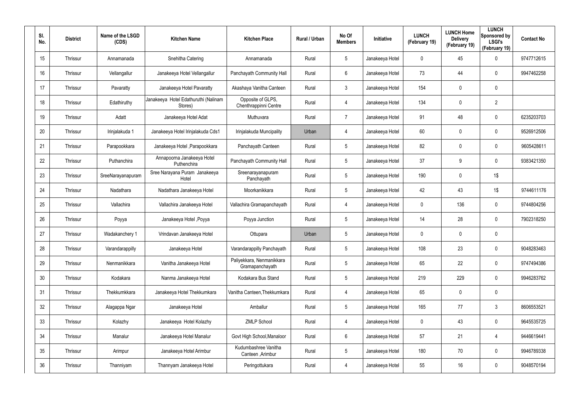| SI.<br>No.      | <b>District</b> | Name of the LSGD<br>(CDS) | <b>Kitchen Name</b>                             | <b>Kitchen Place</b>                         | <b>Rural / Urban</b> | No Of<br><b>Members</b> | <b>Initiative</b> | <b>LUNCH</b><br>(February 19) | <b>LUNCH Home</b><br><b>Delivery</b><br>(February 19) | <b>LUNCH</b><br>Sponsored by<br><b>LSGI's</b><br>(February 19) | <b>Contact No</b> |
|-----------------|-----------------|---------------------------|-------------------------------------------------|----------------------------------------------|----------------------|-------------------------|-------------------|-------------------------------|-------------------------------------------------------|----------------------------------------------------------------|-------------------|
| 15 <sub>2</sub> | Thrissur        | Annamanada                | Snehitha Catering                               | Annamanada                                   | Rural                | 5                       | Janakeeya Hotel   | 0                             | 45                                                    | $\mathbf 0$                                                    | 9747712615        |
| 16              | Thrissur        | Vellangallur              | Janakeeya Hotel Vellangallur                    | Panchayath Community Hall                    | Rural                | 6                       | Janakeeya Hotel   | 73                            | 44                                                    | $\mathbf 0$                                                    | 9947462258        |
| 17              | Thrissur        | Pavaratty                 | Janakeeya Hotel Pavaratty                       | Akashaya Vanitha Canteen                     | Rural                | 3                       | Janakeeya Hotel   | 154                           | 0                                                     | $\mathbf 0$                                                    |                   |
| 18              | Thrissur        | Edathiruthy               | Janakeeya Hotel Edathuruthi (Nalinam<br>Stores) | Opposite of GLPS,<br>Chenthrappinni Centre   | Rural                | 4                       | Janakeeya Hotel   | 134                           | 0                                                     | $\overline{2}$                                                 |                   |
| 19              | Thrissur        | Adatt                     | Janakeeya Hotel Adat                            | Muthuvara                                    | Rural                | $\overline{7}$          | Janakeeya Hotel   | 91                            | 48                                                    | $\mathbf 0$                                                    | 6235203703        |
| 20              | Thrissur        | Irinjalakuda 1            | Janakeeya Hotel Irinjalakuda Cds1               | Irinjalakuda Muncipality                     | Urban                | 4                       | Janakeeya Hotel   | 60                            | 0                                                     | $\mathbf 0$                                                    | 9526912506        |
| 21              | Thrissur        | Parapookkara              | Janakeeya Hotel , Parapookkara                  | Panchayath Canteen                           | Rural                | $5\phantom{.0}$         | Janakeeya Hotel   | 82                            | 0                                                     | $\mathbf 0$                                                    | 9605428611        |
| 22              | Thrissur        | Puthanchira               | Annapoorna Janakeeya Hotel<br>Puthenchira       | Panchayath Community Hall                    | Rural                | $5\overline{)}$         | Janakeeya Hotel   | 37                            | 9                                                     | $\mathbf 0$                                                    | 9383421350        |
| 23              | Thrissur        | SreeNarayanapuram         | Sree Narayana Puram Janakeeya<br>Hotel          | Sreenarayanapuram<br>Panchayath              | Rural                | $5\phantom{.0}$         | Janakeeya Hotel   | 190                           | 0                                                     | $1\$                                                           |                   |
| 24              | Thrissur        | Nadathara                 | Nadathara Janakeeya Hotel                       | Moorkanikkara                                | Rural                | $5\overline{)}$         | Janakeeya Hotel   | 42                            | 43                                                    | $1\$                                                           | 9744611176        |
| 25              | Thrissur        | Vallachira                | Vallachira Janakeeya Hotel                      | Vallachira Gramapanchayath                   | Rural                | 4                       | Janakeeya Hotel   | 0                             | 136                                                   | $\mathbf 0$                                                    | 9744804256        |
| 26              | Thrissur        | Poyya                     | Janakeeya Hotel , Poyya                         | Poyya Junction                               | Rural                | $5\overline{)}$         | Janakeeya Hotel   | 14                            | 28                                                    | $\mathbf 0$                                                    | 7902318250        |
| 27              | Thrissur        | Wadakanchery 1            | Vrindavan Janakeeya Hotel                       | Ottupara                                     | Urban                | $5\phantom{.0}$         | Janakeeya Hotel   | 0                             | 0                                                     | $\mathbf 0$                                                    |                   |
| 28              | Thrissur        | Varandarappilly           | Janakeeya Hotel                                 | Varandarappilly Panchayath                   | Rural                | 5                       | Janakeeya Hotel   | 108                           | 23                                                    | $\pmb{0}$                                                      | 9048283463        |
| 29              | Thrissur        | Nenmanikkara              | Vanitha Janakeeya Hotel                         | Paliyekkara, Nenmanikkara<br>Gramapanchayath | Rural                | $5\phantom{.0}$         | Janakeeya Hotel   | 65                            | 22                                                    | $\mathbf 0$                                                    | 9747494386        |
| 30              | Thrissur        | Kodakara                  | Nanma Janakeeya Hotel                           | Kodakara Bus Stand                           | Rural                | $5\phantom{.0}$         | Janakeeya Hotel   | 219                           | 229                                                   | $\mathbf 0$                                                    | 9946283762        |
| 31              | Thrissur        | Thekkumkkara              | Janakeeya Hotel Thekkumkara                     | Vanitha Canteen, Thekkumkara                 | Rural                | 4                       | Janakeeya Hotel   | 65                            | 0                                                     | $\pmb{0}$                                                      |                   |
| 32              | Thrissur        | Alagappa Ngar             | Janakeeya Hotel                                 | Amballur                                     | Rural                | $5\phantom{.0}$         | Janakeeya Hotel   | 165                           | 77                                                    | $\mathfrak{Z}$                                                 | 8606553521        |
| 33              | Thrissur        | Kolazhy                   | Janakeeya Hotel Kolazhy                         | <b>ZMLP School</b>                           | Rural                | 4                       | Janakeeya Hotel   | 0                             | 43                                                    | $\pmb{0}$                                                      | 9645535725        |
| 34              | Thrissur        | Manalur                   | Janakeeya Hotel Manalur                         | Govt High School, Manaloor                   | Rural                | $6\phantom{.}6$         | Janakeeya Hotel   | 57                            | 21                                                    | $\overline{4}$                                                 | 9446619441        |
| 35              | Thrissur        | Arimpur                   | Janakeeya Hotel Arimbur                         | Kudumbashree Vanitha<br>Canteen, Arimbur     | Rural                | $5\phantom{.0}$         | Janakeeya Hotel   | 180                           | 70                                                    | $\pmb{0}$                                                      | 9946789338        |
| 36              | Thrissur        | Thanniyam                 | Thannyam Janakeeya Hotel                        | Peringottukara                               | Rural                | 4                       | Janakeeya Hotel   | 55                            | 16                                                    | $\pmb{0}$                                                      | 9048570194        |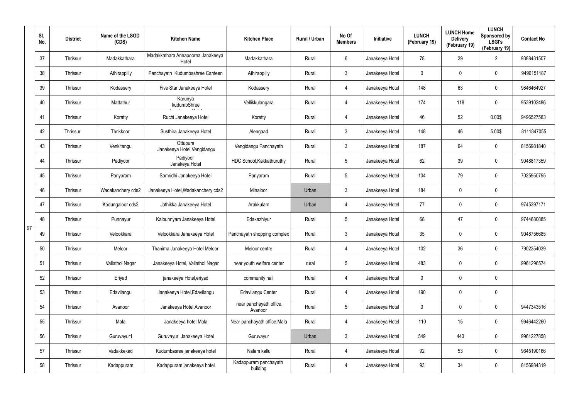|    | SI.<br>No. | <b>District</b> | Name of the LSGD<br>(CDS) | <b>Kitchen Name</b>                        | <b>Kitchen Place</b>               | Rural / Urban | No Of<br><b>Members</b> | Initiative      | <b>LUNCH</b><br>(February 19) | <b>LUNCH Home</b><br><b>Delivery</b><br>(February 19) | <b>LUNCH</b><br>Sponsored by<br><b>LSGI's</b><br>(February 19) | <b>Contact No</b> |
|----|------------|-----------------|---------------------------|--------------------------------------------|------------------------------------|---------------|-------------------------|-----------------|-------------------------------|-------------------------------------------------------|----------------------------------------------------------------|-------------------|
|    | 37         | Thrissur        | Madakkathara              | Madakkathara Annapoorna Janakeeya<br>Hotel | Madakkathara                       | Rural         | 6                       | Janakeeya Hotel | 78                            | 29                                                    | $\overline{2}$                                                 | 9388431507        |
|    | 38         | Thrissur        | Athirappilly              | Panchayath Kudumbashree Canteen            | Athirappilly                       | Rural         | 3                       | Janakeeya Hotel | 0                             | 0                                                     | $\mathbf 0$                                                    | 9496151187        |
|    | 39         | Thrissur        | Kodassery                 | Five Star Janakeeya Hotel                  | Kodassery                          | Rural         | 4                       | Janakeeya Hotel | 148                           | 63                                                    | $\mathbf 0$                                                    | 9846464927        |
|    | 40         | Thrissur        | Mattathur                 | Karunya<br>kudumbShree                     | Vellikkulangara                    | Rural         | 4                       | Janakeeya Hotel | 174                           | 118                                                   | $\mathbf 0$                                                    | 9539102486        |
|    | 41         | Thrissur        | Koratty                   | Ruchi Janakeeya Hotel                      | Koratty                            | Rural         | 4                       | Janakeeya Hotel | 46                            | 52                                                    | 0.00\$                                                         | 9496527583        |
|    | 42         | Thrissur        | Thrikkoor                 | Susthira Janakeeya Hotel                   | Alengaad                           | Rural         | 3                       | Janakeeya Hotel | 148                           | 46                                                    | 5.00\$                                                         | 8111847055        |
|    | 43         | Thrissur        | Venkitangu                | Ottupura<br>Janakeeya Hotel Vengidangu     | Vengidangu Panchayath              | Rural         | 3                       | Janakeeya Hotel | 187                           | 64                                                    | $\mathbf 0$                                                    | 8156981840        |
|    | 44         | Thrissur        | Padiyoor                  | Padiyoor<br>Janakeya Hotel                 | HDC School, Kakkathuruthy          | Rural         | 5                       | Janakeeya Hotel | 62                            | 39                                                    | $\mathbf 0$                                                    | 9048817359        |
|    | 45         | Thrissur        | Pariyaram                 | Samridhi Janakeeya Hotel                   | Pariyaram                          | Rural         | $5\overline{)}$         | Janakeeya Hotel | 104                           | 79                                                    | $\mathbf 0$                                                    | 7025950795        |
|    | 46         | Thrissur        | Wadakanchery cds2         | Janakeeya Hotel, Wadakanchery cds2         | Minaloor                           | Urban         | 3                       | Janakeeya Hotel | 184                           | 0                                                     | $\mathbf 0$                                                    |                   |
|    | 47         | Thrissur        | Kodungaloor cds2          | Jathikka Janakeeya Hotel                   | Arakkulam                          | Urban         | 4                       | Janakeeya Hotel | 77                            | 0                                                     | $\mathbf 0$                                                    | 9745397171        |
|    | 48         | Thrissur        | Punnayur                  | Kaipunnyam Janakeeya Hotel                 | Edakazhiyur                        | Rural         | $5\overline{)}$         | Janakeeya Hotel | 68                            | 47                                                    | $\mathbf 0$                                                    | 9744680885        |
| 97 | 49         | Thrissur        | Velookkara                | Velookkara Janakeeya Hotel                 | Panchayath shopping complex        | Rural         | 3                       | Janakeeya Hotel | 35                            | 0                                                     | $\mathbf 0$                                                    | 9048756685        |
|    | 50         | Thrissur        | Meloor                    | Thanima Janakeeya Hotel Meloor             | Meloor centre                      | Rural         | 4                       | Janakeeya Hotel | 102                           | 36                                                    | $\pmb{0}$                                                      | 7902354039        |
|    | 51         | Thrissur        | Vallathol Nagar           | Janakeeya Hotel, Vallathol Nagar           | near youth welfare center          | rural         | $5\overline{)}$         | Janakeeya Hotel | 483                           | $\mathbf 0$                                           | $\mathbf 0$                                                    | 9961296574        |
|    | 52         | Thrissur        | Eriyad                    | janakeeya Hotel, eriyad                    | community hall                     | Rural         | 4                       | Janakeeya Hotel | 0                             | $\mathbf 0$                                           | $\pmb{0}$                                                      |                   |
|    | 53         | Thrissur        | Edavilangu                | Janakeeya Hotel, Edavilangu                | <b>Edavilangu Center</b>           | Rural         | $\overline{4}$          | Janakeeya Hotel | 190                           | $\mathbf 0$                                           | $\pmb{0}$                                                      |                   |
|    | 54         | Thrissur        | Avanoor                   | Janakeeya Hotel, Avanoor                   | near panchayath office,<br>Avanoor | Rural         | $5\phantom{.0}$         | Janakeeya Hotel | 0                             | 0                                                     | $\mathsf{0}$                                                   | 9447343516        |
|    | 55         | Thrissur        | Mala                      | Janakeeya hotel Mala                       | Near panchayath office, Mala       | Rural         | 4                       | Janakeeya Hotel | 110                           | 15                                                    | $\mathbf 0$                                                    | 9946442260        |
|    | 56         | Thrissur        | Guruvayur1                | Guruvayur Janakeeya Hotel                  | Guruvayur                          | Urban         | $\mathbf{3}$            | Janakeeya Hotel | 549                           | 443                                                   | $\mathsf{0}$                                                   | 9961227858        |
|    | 57         | Thrissur        | Vadakkekad                | Kudumbasree janakeeya hotel                | Nalam kallu                        | Rural         | 4                       | Janakeeya Hotel | 92                            | 53                                                    | $\mathbf 0$                                                    | 9645190166        |
|    | 58         | Thrissur        | Kadappuram                | Kadappuram janakeeya hotel                 | Kadappuram panchayath<br>building  | Rural         | 4                       | Janakeeya Hotel | 93                            | 34                                                    | $\pmb{0}$                                                      | 8156984319        |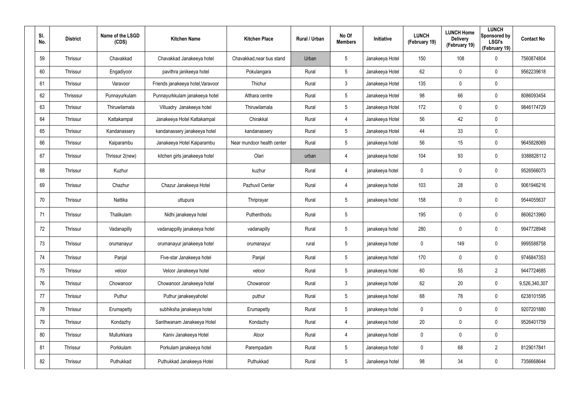| SI.<br>No. | <b>District</b> | Name of the LSGD<br>(CDS) | <b>Kitchen Name</b>               | <b>Kitchen Place</b>       | Rural / Urban | No Of<br><b>Members</b> | Initiative      | <b>LUNCH</b><br>(February 19) | <b>LUNCH Home</b><br><b>Delivery</b><br>(February 19) | <b>LUNCH</b><br>Sponsored by<br><b>LSGI's</b><br>(February 19) | <b>Contact No</b> |
|------------|-----------------|---------------------------|-----------------------------------|----------------------------|---------------|-------------------------|-----------------|-------------------------------|-------------------------------------------------------|----------------------------------------------------------------|-------------------|
| 59         | Thrissur        | Chavakkad                 | Chavakkad Janakeeya hotel         | Chavakkad, near bus stand  | Urban         | $5\overline{)}$         | Janakeeya Hotel | 150                           | 108                                                   | 0                                                              | 7560874804        |
| 60         | Thrissur        | Engadiyoor                | pavithra janikeeya hotel          | Pokulangara                | Rural         | $5\phantom{.0}$         | Janakeeya Hotel | 62                            | 0                                                     | $\mathbf 0$                                                    | 9562239618        |
| 61         | Thrissur        | Varavoor                  | Friends janakeeya hotel, Varavoor | Thichur                    | Rural         | $\mathbf{3}$            | Janakeeya Hotel | 135                           | 0                                                     | $\pmb{0}$                                                      |                   |
| 62         | Thrisssur       | Punnayurkulam             | Punnayurkkulam janakeeya hotel    | Althara centre             | Rural         | $\sqrt{5}$              | Janakeeya Hotel | 98                            | 66                                                    | $\pmb{0}$                                                      | 8086093454        |
| 63         | Thrissur        | Thiruwilamala             | Villuadry Janakeeya hotel         | Thiruwilamala              | Rural         | $5\overline{)}$         | Janakeeya Hotel | 172                           | 0                                                     | $\mathbf 0$                                                    | 9846174729        |
| 64         | Thrissur        | Kattakampal               | Janakeeya Hotel Kattakampal       | Chirakkal                  | Rural         | 4                       | Janakeeya Hotel | 56                            | 42                                                    | $\boldsymbol{0}$                                               |                   |
| 65         | Thrissur        | Kandanassery              | kandanassery janakeeya hotel      | kandanassery               | Rural         | $5\overline{)}$         | Janakeeya Hotel | 44                            | 33                                                    | $\pmb{0}$                                                      |                   |
| 66         | Thrissur        | Kaiparambu                | Janakeeya Hotel Kaiparambu        | Near mundoor health center | Rural         | $5\phantom{.0}$         | janakeeya hotel | 56                            | 15                                                    | $\mathbf 0$                                                    | 9645828069        |
| 67         | Thrissur        | Thrissur 2(new)           | kitchen girls janakeeya hotel     | Olari                      | urban         | $\overline{4}$          | janakeeya hotel | 104                           | 93                                                    | $\mathbf 0$                                                    | 9388828112        |
| 68         | Thrissur        | Kuzhur                    |                                   | kuzhur                     | Rural         | 4                       | janakeeya hotel | 0                             | 0                                                     | $\pmb{0}$                                                      | 9526566073        |
| 69         | Thrissur        | Chazhur                   | Chazur Janakeeya Hotel            | Pazhuvil Center            | Rural         | $\overline{4}$          | janakeeya hotel | 103                           | 28                                                    | $\mathbf 0$                                                    | 9061946216        |
| 70         | Thrissur        | Nattika                   | uttupura                          | Thriprayar                 | Rural         | $\sqrt{5}$              | janakeeya hotel | 158                           | 0                                                     | $\pmb{0}$                                                      | 9544055637        |
| 71         | Thrissur        | Thalikulam                | Nidhi janakeeya hotel             | Puthenthodu                | Rural         | $\sqrt{5}$              |                 | 195                           | 0                                                     | $\mathbf 0$                                                    | 8606213960        |
| 72         | Thrissur        | Vadanapilly               | vadanappilly janakeeya hotel      | vadanapilly                | Rural         | $\sqrt{5}$              | janakeeya hotel | 280                           | 0                                                     | $\pmb{0}$                                                      | 9947728948        |
| 73         | Thrissur        | orumanayur                | orumanayur janakeeya hotel        | orumanayur                 | rural         | $5\phantom{.0}$         | janakeeya hotel | $\mathbf 0$                   | 149                                                   | $\pmb{0}$                                                      | 9995588758        |
| 74         | Thrissur        | Panjal                    | Five-star Janakeeya hotel         | Panjal                     | Rural         | $5\phantom{.0}$         | janakeeya hotel | 170                           | 0                                                     | $\mathbf 0$                                                    | 9746847353        |
| 75         | Thrissur        | veloor                    | Veloor Janakeeya hotel            | veloor                     | Rural         | 5 <sub>5</sub>          | janakeeya hotel | 60                            | 55                                                    | $\overline{2}$                                                 | 9447724685        |
| 76         | Thrissur        | Chowanoor                 | Chowanoor Janakeeya hotel         | Chowanoor                  | Rural         | 3 <sup>1</sup>          | janakeeya hotel | 62                            | 20                                                    | $\mathbf 0$                                                    | 9,526,340,307     |
| 77         | Thrissur        | Puthur                    | Puthur janakeeyahotel             | puthur                     | Rural         | $5\phantom{.0}$         | janakeeya hotel | 68                            | 78                                                    | $\mathbf 0$                                                    | 6238101595        |
| 78         | Thrissur        | Erumapetty                | subhiksha janakeeya hotel         | Erumapetty                 | Rural         | $5\phantom{.0}$         | janakeeya hotel | 0                             | 0                                                     | $\mathbf 0$                                                    | 9207201880        |
| 79         | Thrissur        | Kondazhy                  | Santhwanam Janakeeya Hotel        | Kondazhy                   | Rural         | 4                       | janakeeya hotel | 20                            | 0                                                     | $\mathbf 0$                                                    | 9526401759        |
| 80         | Thrissur        | Mullurkkara               | Kaniv Janakeeya Hotel             | Atoor                      | Rural         | 4                       | janakeeya hotel | 0                             | 0                                                     | $\pmb{0}$                                                      |                   |
| 81         | Thrissur        | Porkkulam                 | Porkulam janakeeya hotel          | Parempadam                 | Rural         | 5 <sub>5</sub>          | Janakeeya hotel | 0                             | 68                                                    | $\overline{2}$                                                 | 8129017841        |
| 82         | Thrissur        | Puthukkad                 | Puthukkad Janakeeya Hotel         | Puthukkad                  | Rural         | $5\,$                   | Janakeeya hotel | 98                            | 34                                                    | $\pmb{0}$                                                      | 7356668644        |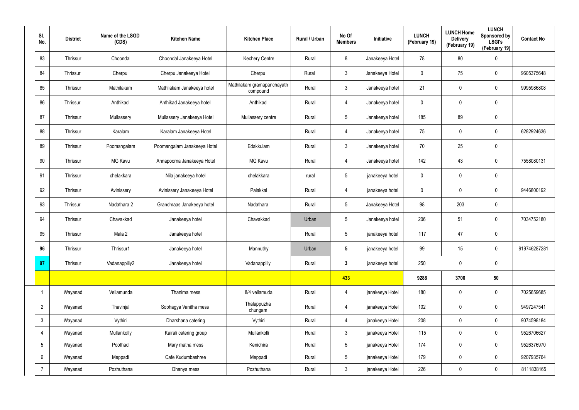| SI.<br>No.               | <b>District</b> | Name of the LSGD<br>(CDS) | <b>Kitchen Name</b>         | <b>Kitchen Place</b>                   | Rural / Urban | No Of<br><b>Members</b> | Initiative      | <b>LUNCH</b><br>(February 19) | <b>LUNCH Home</b><br><b>Delivery</b><br>(February 19) | <b>LUNCH</b><br>Sponsored by<br><b>LSGI's</b><br>(February 19) | <b>Contact No</b> |
|--------------------------|-----------------|---------------------------|-----------------------------|----------------------------------------|---------------|-------------------------|-----------------|-------------------------------|-------------------------------------------------------|----------------------------------------------------------------|-------------------|
| 83                       | Thrissur        | Choondal                  | Choondal Janakeeya Hotel    | <b>Kechery Centre</b>                  | Rural         | 8                       | Janakeeya Hotel | 78                            | 80                                                    | $\mathbf 0$                                                    |                   |
| 84                       | Thrissur        | Cherpu                    | Cherpu Janakeeya Hotel      | Cherpu                                 | Rural         | $\mathbf{3}$            | Janakeeya Hotel | $\mathbf 0$                   | 75                                                    | $\mathbf 0$                                                    | 9605375648        |
| 85                       | Thrissur        | Mathilakam                | Mathilakam Janakeeya hotel  | Mathilakam gramapanchayath<br>compound | Rural         | 3 <sup>1</sup>          | Janakeeya hotel | 21                            | 0                                                     | $\mathbf 0$                                                    | 9995986808        |
| 86                       | Thrissur        | Anthikad                  | Anthikad Janakeeya hotel    | Anthikad                               | Rural         | $\overline{4}$          | Janakeeya hotel | 0                             | 0                                                     | $\mathbf 0$                                                    |                   |
| 87                       | Thrissur        | Mullassery                | Mullassery Janakeeya Hotel  | Mullassery centre                      | Rural         | $5\phantom{.0}$         | Janakeeya hotel | 185                           | 89                                                    | $\mathbf 0$                                                    |                   |
| 88                       | Thrissur        | Karalam                   | Karalam Janakeeya Hotel     |                                        | Rural         | $\overline{4}$          | Janakeeya hotel | 75                            | 0                                                     | $\boldsymbol{0}$                                               | 6282924636        |
| 89                       | Thrissur        | Poomangalam               | Poomangalam Janakeeya Hotel | Edakkulam                              | Rural         | 3 <sup>1</sup>          | Janakeeya hotel | 70                            | 25                                                    | $\boldsymbol{0}$                                               |                   |
| 90                       | Thrissur        | MG Kavu                   | Annapoorna Janakeeya Hotel  | <b>MG Kavu</b>                         | Rural         | 4                       | Janakeeya hotel | 142                           | 43                                                    | $\mathbf 0$                                                    | 7558080131        |
| 91                       | Thrissur        | chelakkara                | Nila janakeeya hotel        | chelakkara                             | rural         | $5\phantom{.0}$         | janakeeya hotel | $\mathbf 0$                   | 0                                                     | $\boldsymbol{0}$                                               |                   |
| 92                       | Thrissur        | Avinissery                | Avinissery Janakeeya Hotel  | Palakkal                               | Rural         | 4                       | janakeeya hotel | $\mathbf 0$                   | 0                                                     | $\mathbf 0$                                                    | 9446800192        |
| 93                       | Thrissur        | Nadathara 2               | Grandmaas Janakeeya hotel   | Nadathara                              | Rural         | $5\overline{)}$         | Janakeeya Hotel | 98                            | 203                                                   | $\boldsymbol{0}$                                               |                   |
| 94                       | Thrissur        | Chavakkad                 | Janakeeya hotel             | Chavakkad                              | Urban         | $5\phantom{.0}$         | Janakeeya hotel | 206                           | 51                                                    | $\mathbf 0$                                                    | 7034752180        |
| 95                       | Thrissur        | Mala 2                    | Janakeeya hotel             |                                        | Rural         | $5\phantom{.0}$         | janakeeya hotel | 117                           | 47                                                    | $\boldsymbol{0}$                                               |                   |
| 96                       | Thrissur        | Thrissur1                 | Janakeeya hotel             | Mannuthy                               | Urban         | $5\phantom{.0}$         | janakeeya hotel | 99                            | 15                                                    | $\pmb{0}$                                                      | 919746287281      |
| 97                       | Thrissur        | Vadanappilly2             | Janakeeya hotel             | Vadanappilly                           | Rural         | $\mathbf{3}$            | janakeeya hotel | 250                           | 0                                                     | $\mathbf 0$                                                    |                   |
|                          |                 |                           |                             |                                        |               | 433                     |                 | 9288                          | 3700                                                  | 50                                                             |                   |
| $\overline{\phantom{a}}$ | Wayanad         | Vellamunda                | Thanima mess                | 8/4 vellamuda                          | Rural         | 4                       | janakeeya Hotel | 180                           | $\boldsymbol{0}$                                      | $\mathbf 0$                                                    | 7025659685        |
| $\overline{2}$           | Wayanad         | Thavinjal                 | Sobhagya Vanitha mess       | Thalappuzha<br>chungam                 | Rural         | 4                       | janakeeya Hotel | 102                           | 0                                                     | $\mathbf 0$                                                    | 9497247541        |
| $\mathbf{3}$             | Wayanad         | Vythiri                   | Dharshana catering          | Vythiri                                | Rural         | $\overline{4}$          | janakeeya Hotel | 208                           | $\mathsf{0}$                                          | $\mathbf 0$                                                    | 9074598184        |
| $\overline{4}$           | Wayanad         | Mullankolly               | Kairali catering group      | Mullankolli                            | Rural         | $\mathbf{3}$            | janakeeya Hotel | 115                           | 0                                                     | $\mathbf 0$                                                    | 9526706627        |
| $5\phantom{.0}$          | Wayanad         | Poothadi                  | Mary matha mess             | Kenichira                              | Rural         | $5\phantom{.0}$         | janakeeya Hotel | 174                           | $\mathbf 0$                                           | $\mathbf 0$                                                    | 9526376970        |
| $6\phantom{.}6$          | Wayanad         | Meppadi                   | Cafe Kudumbashree           | Meppadi                                | Rural         | $5\phantom{.0}$         | janakeeya Hotel | 179                           | 0                                                     | $\mathbf 0$                                                    | 9207935764        |
| $\overline{7}$           | Wayanad         | Pozhuthana                | Dhanya mess                 | Pozhuthana                             | Rural         | 3 <sup>1</sup>          | janakeeya Hotel | 226                           | $\pmb{0}$                                             | $\pmb{0}$                                                      | 8111838165        |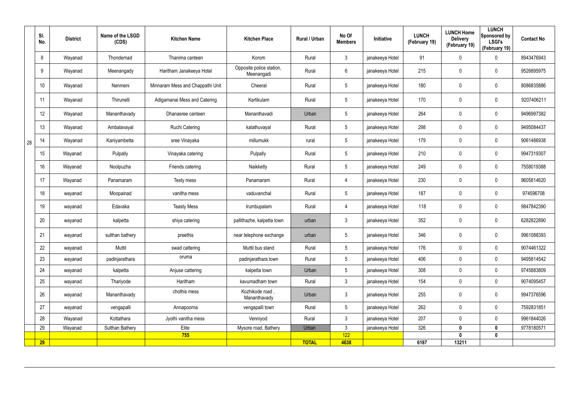|    | SI.<br>No. | <b>District</b> | Name of the LSGD<br>(CDS) | <b>Kitchen Name</b>              | <b>Kitchen Place</b>                   | Rural / Urban | No Of<br><b>Members</b> | Initiative      | <b>LUNCH</b><br>(February 19) | <b>LUNCH Home</b><br><b>Delivery</b><br>(February 19) | <b>LUNCH</b><br>Sponsored by<br><b>LSGI's</b><br>(February 19) | <b>Contact No</b> |
|----|------------|-----------------|---------------------------|----------------------------------|----------------------------------------|---------------|-------------------------|-----------------|-------------------------------|-------------------------------------------------------|----------------------------------------------------------------|-------------------|
|    | 8          | Wayanad         | Thondernad                | Thanima canteen                  | Korom                                  | Rural         | $\mathbf{3}$            | janakeeya Hotel | 91                            | 0                                                     | 0                                                              | 8943476943        |
|    | 9          | Wayanad         | Meenangady                | Haritham Janakeeya Hotel         | Opposite police station,<br>Meenangadi | Rural         | $6\overline{6}$         | janakeeya Hotel | 215                           | 0                                                     | $\boldsymbol{0}$                                               | 9526895975        |
|    | 10         | Wayanad         | Nenmeni                   | Minnaram Mess and Chappathi Unit | Cheeral                                | Rural         | $5\phantom{.0}$         | janakeeya Hotel | 180                           | 0                                                     | $\mathbf 0$                                                    | 8086835886        |
|    | 11         | Wayanad         | Thirunelli                | Adigamanai Mess and Catering     | Kartikulam                             | Rural         | $5\phantom{.0}$         | janakeeya Hotel | 170                           | 0                                                     | $\pmb{0}$                                                      | 9207406211        |
|    | 12         | Wayanad         | Mananthavady              | Dhanasree canteen                | Mananthavadi                           | Urban         | $5\phantom{.0}$         | janakeeya Hotel | 264                           | 0                                                     | $\mathbf 0$                                                    | 9496997382        |
|    | 13         | Wayanad         | Ambalavayal               | <b>Ruchi Catering</b>            | kalathuvayal                           | Rural         | $5\phantom{.0}$         | janakeeya Hotel | 298                           | 0                                                     | $\mathbf 0$                                                    | 9495084437        |
| 28 | 14         | Wayanad         | Kaniyambetta              | sree Vinayaka                    | millumukk                              | rural         | $5\phantom{.0}$         | janakeeya Hotel | 179                           | $\mathbf 0$                                           | $\mathbf 0$                                                    | 9061486938        |
|    | 15         | Wayanad         | Pulpally                  | Vinayaka catering                | Pulpally                               | Rural         | $5\phantom{.0}$         | janakeeya Hotel | 210                           | 0                                                     | $\pmb{0}$                                                      | 9947319307        |
|    | 16         | Wayanad         | Noolpuzha                 | Friends catering                 | Naikketty                              | Rural         | $5\overline{)}$         | janakeeya Hotel | 249                           | 0                                                     | $\mathbf 0$                                                    | 7558019388        |
|    | 17         | Wayanad         | Panamaram                 | Testy mess                       | Panamaram                              | Rural         | $\overline{4}$          | janakeeya Hotel | 230                           | 0                                                     | $\mathbf 0$                                                    | 9605814620        |
|    | 18         | wayanad         | Moopainad                 | vanitha mess                     | vaduvanchal                            | Rural         | $5\phantom{.0}$         | janakeeya Hotel | 187                           | 0                                                     | $\mathbf 0$                                                    | 974596708         |
|    | 19         | wayanad         | Edavaka                   | <b>Teasty Mess</b>               | Irumbupalam                            | Rural         | 4                       | janakeeya Hotel | 118                           | 0                                                     | $\boldsymbol{0}$                                               | 9847842390        |
|    | 20         | wayanad         | kalpetta                  | shiya catering                   | pallithazhe, kalpetta town             | urban         | $\mathbf{3}$            | janakeeya Hotel | 352                           | 0                                                     | $\mathbf 0$                                                    | 6282822890        |
|    | 21         | wayanad         | sulthan bathery           | preethis                         | near telephone exchange                | urban         | $5\phantom{.0}$         | janakeeya Hotel | 346                           | 0                                                     | $\mathbf 0$                                                    | 9961088393        |
|    | 22         | wayanad         | Muttil                    | swad cattering                   | Muttil bus stand                       | Rural         | $5\overline{)}$         | janakeeya Hotel | 176                           | 0                                                     | $\mathbf 0$                                                    | 9074461322        |
|    | 23         | wayanad         | padinjarathara            | oruma                            | padinjarathara town                    | Rural         | 5 <sub>5</sub>          | janakeeya Hotel | 406                           | 0                                                     | $\mathbf 0$                                                    | 9495814542        |
|    | 24         | wayanad         | kalpetta                  | Anjuse cattering                 | kalpetta town                          | Urban         | $5\overline{)}$         | janakeeya Hotel | 308                           | 0                                                     | $\mathbf 0$                                                    | 9745883809        |
|    | 25         | wayanad         | Thariyode                 | Haritham                         | kavumadham town                        | Rural         | $\mathbf{3}$            | janakeeya Hotel | 154                           | 0                                                     | $\pmb{0}$                                                      | 9074095457        |
|    | 26         | wayanad         | Mananthavady              | chothis mess                     | Kozhikode road,<br>Mananthavady        | Urban         | $\mathbf{3}$            | janakeeya Hotel | 255                           | 0                                                     | $\pmb{0}$                                                      | 9947376596        |
|    | 27         | wayanad         | vengapalli                | Annapoorna                       | vengapalli town                        | Rural         | $5\overline{)}$         | janakeeya Hotel | 262                           | 0                                                     | $\mathbf 0$                                                    | 7592831851        |
|    | 28         | Wayanad         | Kottathara                | Jyothi vanitha mess              | Venniyod                               | Rural         | $\mathbf{3}$            | janakeeya Hotel | 207                           | 0                                                     | $\mathbf 0$                                                    | 9961844026        |
|    | 29         | Wayanad         | <b>Sulthan Bathery</b>    | Elite                            | Mysore road, Bathery                   | Urban         | $\mathbf{3}$            | janakeeya Hotel | 326                           | $\mathbf{0}$                                          | $\pmb{0}$                                                      | 9778180571        |
|    | 29         |                 |                           | 755                              |                                        | <b>TOTAL</b>  | 122<br>4638             |                 | 6187                          | 0<br>13211                                            | $\mathbf 0$                                                    |                   |
|    |            |                 |                           |                                  |                                        |               |                         |                 |                               |                                                       |                                                                |                   |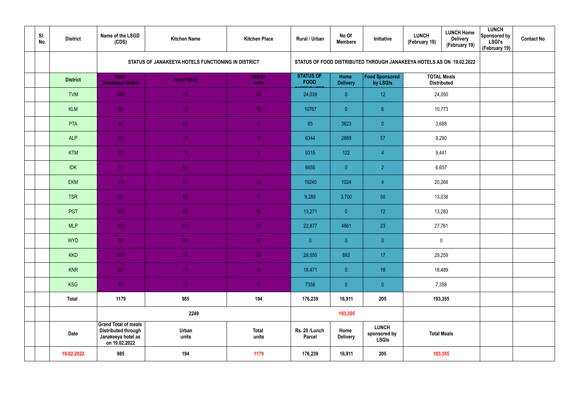| SI.<br>No. | <b>District</b> | Name of the LSGD<br>(CDS)                                                                        | <b>Kitchen Name</b>                                | <b>Kitchen Place</b>  | Rural / Urban                   | No Of<br><b>Members</b> | Initiative                                                           | <b>LUNCH</b><br>(February 19) | <b>LUNCH Home</b><br><b>Delivery</b><br>(February 19) | <b>LUNCH</b><br>Sponsored by<br><b>LSGI's</b><br>(February 19) | <b>Contact No</b> |
|------------|-----------------|--------------------------------------------------------------------------------------------------|----------------------------------------------------|-----------------------|---------------------------------|-------------------------|----------------------------------------------------------------------|-------------------------------|-------------------------------------------------------|----------------------------------------------------------------|-------------------|
|            |                 |                                                                                                  | STATUS OF JANAKEEYA HOTELS FUNCTIONING IN DISTRICT |                       |                                 |                         | STATUS OF FOOD DISTRIBUTED THROUGH JANAKEEYA HOTELS AS ON 19.02.2022 |                               |                                                       |                                                                |                   |
|            | <b>District</b> | <b>Total</b><br>Janakeeya Hotels                                                                 | <b>Rural Units</b>                                 | Urban<br>units        | <b>STATUS OF</b><br><b>FOOD</b> | Home<br><b>Delivery</b> | Food Sponsored<br>by LSGIs                                           |                               | <b>TOTAL Meals</b><br><b>Distributed</b>              |                                                                |                   |
|            | <b>TVM</b>      | 109                                                                                              | 79                                                 | 30                    | 24,038                          | $\overline{0}$          | 12                                                                   |                               | 24,050                                                |                                                                |                   |
|            | <b>KLM</b>      | 82                                                                                               | 72                                                 | 10 <sup>°</sup>       | 10767                           | $\overline{0}$          | $6 \overline{6}$                                                     |                               | 10,773                                                |                                                                |                   |
|            | PTA             | 59                                                                                               | 54                                                 | 5 <sub>1</sub>        | 65                              | 3623                    | $\overline{0}$                                                       | 3,688                         |                                                       |                                                                |                   |
|            | <b>ALP</b>      | 89                                                                                               | 79                                                 | 10 <sup>°</sup>       | 6344                            | 2889                    | 57                                                                   | 9,290                         |                                                       |                                                                |                   |
|            | <b>KTM</b>      | 82                                                                                               | 74                                                 | 8 <sup>°</sup>        | 9315                            | 122                     | $\overline{4}$                                                       | 9,441                         |                                                       |                                                                |                   |
|            | <b>IDK</b>      | 51                                                                                               | 50                                                 |                       | 6655                            | $\overline{0}$          | $\overline{2}$                                                       | 6,657                         |                                                       |                                                                |                   |
|            | EKM             | 114                                                                                              | 81                                                 | 33                    | 19240                           | 1024                    | $\overline{4}$                                                       |                               | 20,268                                                |                                                                |                   |
|            | <b>TSR</b>      | 97                                                                                               | 86                                                 | 11                    | 9,288                           | 3,700                   | 50                                                                   |                               | 13,038                                                |                                                                |                   |
|            | PGT             | 102                                                                                              | 92 <sub>1</sub>                                    | 10 <sup>°</sup>       | 13,271                          | $\overline{0}$          | 12                                                                   |                               | 13,283                                                |                                                                |                   |
|            | <b>MLP</b>      | 128                                                                                              | 107                                                | 21                    | 22,877                          | 4861                    | 23                                                                   | 27,761                        |                                                       |                                                                |                   |
|            | <b>WYD</b>      | 29                                                                                               | 24                                                 | 5 <sub>1</sub>        | $\pmb{0}$                       | $\overline{0}$          | $\overline{0}$                                                       |                               | $\mathbf 0$                                           |                                                                |                   |
|            | <b>KKD</b>      | 105                                                                                              | 75                                                 | 30                    | 28,550                          | 692                     | 17                                                                   |                               | 29,259                                                |                                                                |                   |
|            | <b>KNR</b>      | 89                                                                                               | 75                                                 | 14 <sup>°</sup>       | 18,471                          | $\overline{0}$          | 18                                                                   |                               | 18,489                                                |                                                                |                   |
|            | <b>KSG</b>      | 43                                                                                               | 37                                                 | 6 <sup>1</sup>        | 7358                            | $\overline{0}$          | $\pmb{0}$                                                            | 7,358                         |                                                       |                                                                |                   |
|            | <b>Total</b>    | 1179                                                                                             | 985                                                | 194                   | 176,239                         | 16,911                  | 205                                                                  |                               | 193,355                                               |                                                                |                   |
|            |                 |                                                                                                  | 2249                                               |                       |                                 | 193,355                 |                                                                      |                               |                                                       |                                                                |                   |
|            | <b>Date</b>     | <b>Grand Total of meals</b><br><b>Distributed through</b><br>Janakeeya hotel as<br>on 19.02.2022 | Urban<br>units                                     | <b>Total</b><br>units | Rs. 20 /Lunch<br>Parcel         | Home<br><b>Delivery</b> | <b>LUNCH</b><br>sponsored by<br><b>LSGIs</b>                         | <b>Total Meals</b>            |                                                       |                                                                |                   |
|            | 19.02.2022      | 985                                                                                              | 194                                                | 1179                  | 176,239                         | 16,911                  | 205                                                                  |                               | 193,355                                               |                                                                |                   |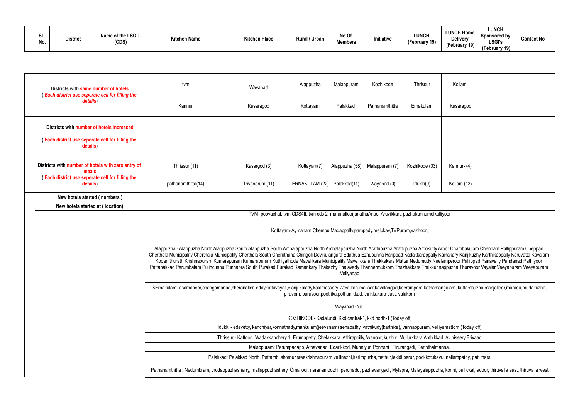| Districts with same number of hotels<br>(Each district use seperate cell for filling the | tvm                                                                                                                                                                                                                                                                                                                                                                                                                                                                                                                                                                                                                                                                                                                                                            | Wayanad                                                                                                                                                                                             | Alappuzha                     | Malappuram     | Kozhikode      | Thrissur       | Kollam      |  |  |  |  |  |  |
|------------------------------------------------------------------------------------------|----------------------------------------------------------------------------------------------------------------------------------------------------------------------------------------------------------------------------------------------------------------------------------------------------------------------------------------------------------------------------------------------------------------------------------------------------------------------------------------------------------------------------------------------------------------------------------------------------------------------------------------------------------------------------------------------------------------------------------------------------------------|-----------------------------------------------------------------------------------------------------------------------------------------------------------------------------------------------------|-------------------------------|----------------|----------------|----------------|-------------|--|--|--|--|--|--|
| details)                                                                                 | Kannur                                                                                                                                                                                                                                                                                                                                                                                                                                                                                                                                                                                                                                                                                                                                                         | Kasaragod                                                                                                                                                                                           | Kottayam                      | Palakkad       | Pathanamthitta | Ernakulam      | Kasaragod   |  |  |  |  |  |  |
| Districts with number of hotels increased                                                |                                                                                                                                                                                                                                                                                                                                                                                                                                                                                                                                                                                                                                                                                                                                                                |                                                                                                                                                                                                     |                               |                |                |                |             |  |  |  |  |  |  |
| (Each district use seperate cell for filling the<br>details)                             |                                                                                                                                                                                                                                                                                                                                                                                                                                                                                                                                                                                                                                                                                                                                                                |                                                                                                                                                                                                     |                               |                |                |                |             |  |  |  |  |  |  |
| Districts with number of hotels with zero entry of<br>meals                              | Thrissur (11)                                                                                                                                                                                                                                                                                                                                                                                                                                                                                                                                                                                                                                                                                                                                                  | Kasargod (3)                                                                                                                                                                                        | Kottayam(7)                   | Alappuzha (58) | Malappuram (7) | Kozhikode (03) | Kannur- (4) |  |  |  |  |  |  |
| (Each district use seperate cell for filling the<br>details)                             | pathanamthitta(14)                                                                                                                                                                                                                                                                                                                                                                                                                                                                                                                                                                                                                                                                                                                                             | Trivandrum (11)                                                                                                                                                                                     | ERNAKULAM (22)   Palakkad(11) |                | Wayanad (0)    | Idukki(9)      | Kollam (13) |  |  |  |  |  |  |
| New hotels started (numbers)                                                             |                                                                                                                                                                                                                                                                                                                                                                                                                                                                                                                                                                                                                                                                                                                                                                |                                                                                                                                                                                                     |                               |                |                |                |             |  |  |  |  |  |  |
| New hotels started at (location)                                                         |                                                                                                                                                                                                                                                                                                                                                                                                                                                                                                                                                                                                                                                                                                                                                                |                                                                                                                                                                                                     |                               |                |                |                |             |  |  |  |  |  |  |
|                                                                                          |                                                                                                                                                                                                                                                                                                                                                                                                                                                                                                                                                                                                                                                                                                                                                                | TVM- poovachal, tvm CDS4II, tvm cds 2, maranalloorjanathaAnad, Aruvikkara pazhakunnumelkalliyoor                                                                                                    |                               |                |                |                |             |  |  |  |  |  |  |
|                                                                                          | Kottayam-Aymanam, Chembu, Madappally, pampady, melukav, TVPuram, vazhoor,                                                                                                                                                                                                                                                                                                                                                                                                                                                                                                                                                                                                                                                                                      |                                                                                                                                                                                                     |                               |                |                |                |             |  |  |  |  |  |  |
|                                                                                          | Alappuzha - Alappuzha North Alappuzha South Alappuzha South Ambalappuzha North Ambalappuzha North Arattupuzha Arattupuzha Arookutty Aroor Chambakulam Chennam Pallippuram Cheppad<br>Cherthala Municipality Cherthala Municipality Cherthala South Cheruthana Chingoli Devikulangara Edathua Ezhupunna Harippad Kadakkarappally Kainakary Kanjikuzhy Karthikappally Karuvatta Kavalam<br>Kodamthurath Krishnapuram Kumarapuram Kumarapuram Kuthiyathode Mavelikara Municipality Mavelikkara Thekkekara Muttar Nedumudy Neelamperoor Pallippad Panavally Pandanad Pathiyoor<br>Pattanakkad Perumbalam Pulincunnu Punnapra South Purakad Purakad Ramankary Thakazhy Thalavady Thannermukkom Thazhakkara Thrikkunnappuzha Thuravoor Vayalar Veeyapuram Veeyapuram |                                                                                                                                                                                                     |                               | Veliyanad      |                |                |             |  |  |  |  |  |  |
|                                                                                          | \$Ernakulam-asamanoor,chengamanad,cheranallor, edaykattuvayall,elanji,kalady,kalamassery West,karumalloor,kavalangad,keerampara,kothamangalam, kuttambuzha,manjalloor,maradu,mudakuzha,<br>piravom, paravoor, pootrika, pothanikkad, thrikkakara east, valakom                                                                                                                                                                                                                                                                                                                                                                                                                                                                                                 |                                                                                                                                                                                                     |                               |                |                |                |             |  |  |  |  |  |  |
|                                                                                          | Wayanad -Nill                                                                                                                                                                                                                                                                                                                                                                                                                                                                                                                                                                                                                                                                                                                                                  |                                                                                                                                                                                                     |                               |                |                |                |             |  |  |  |  |  |  |
|                                                                                          | KOZHIKODE- Kadalundi, Kkd central-1, kkd north-1 (Today off)                                                                                                                                                                                                                                                                                                                                                                                                                                                                                                                                                                                                                                                                                                   |                                                                                                                                                                                                     |                               |                |                |                |             |  |  |  |  |  |  |
|                                                                                          | Idukki - edavetty, kanchiyar, konnathady, mankulam (jeevanam) senapathy, vathikudy (karthika), vannappuram, velliyamattom (Today off)                                                                                                                                                                                                                                                                                                                                                                                                                                                                                                                                                                                                                          |                                                                                                                                                                                                     |                               |                |                |                |             |  |  |  |  |  |  |
|                                                                                          | Thrissur - Kattoor, Wadakkanchery 1, Erumapetty, Chelakkara, Athirappilly,Avanoor, kuzhur, Mullurkkara,Anthikkad, Avinissery,Eriyaad<br>Malappuram: Perumpadapp, Athavanad, Edarikkod, Munniyur, Ponnani, Tirurangadi, Perinthalmanna.                                                                                                                                                                                                                                                                                                                                                                                                                                                                                                                         |                                                                                                                                                                                                     |                               |                |                |                |             |  |  |  |  |  |  |
|                                                                                          |                                                                                                                                                                                                                                                                                                                                                                                                                                                                                                                                                                                                                                                                                                                                                                |                                                                                                                                                                                                     |                               |                |                |                |             |  |  |  |  |  |  |
|                                                                                          | Palakkad: Palakkad North, Pattambi, shornur, sreekrishnapuram, vellinezhi, karimpuzha, mathur, lekidi perur, pookkotukavu, neliampathy, pattithara                                                                                                                                                                                                                                                                                                                                                                                                                                                                                                                                                                                                             |                                                                                                                                                                                                     |                               |                |                |                |             |  |  |  |  |  |  |
|                                                                                          |                                                                                                                                                                                                                                                                                                                                                                                                                                                                                                                                                                                                                                                                                                                                                                | Pathanamthitta: Nedumbram, thottappuzhasherry, mallappuzhashery, Omalloor, naranamoozhi, perunadu, pazhavangadi, Mylapra, Malayalappuzha, konni, pallickal, adoor, thiruvalla east, thiruvalla west |                               |                |                |                |             |  |  |  |  |  |  |
|                                                                                          |                                                                                                                                                                                                                                                                                                                                                                                                                                                                                                                                                                                                                                                                                                                                                                |                                                                                                                                                                                                     |                               |                |                |                |             |  |  |  |  |  |  |

| Kollam                                                                                                                                                                                                           |  |  |  |  |  |  |  |  |  |  |
|------------------------------------------------------------------------------------------------------------------------------------------------------------------------------------------------------------------|--|--|--|--|--|--|--|--|--|--|
| Kasaragod                                                                                                                                                                                                        |  |  |  |  |  |  |  |  |  |  |
|                                                                                                                                                                                                                  |  |  |  |  |  |  |  |  |  |  |
|                                                                                                                                                                                                                  |  |  |  |  |  |  |  |  |  |  |
| Kannur-(4)                                                                                                                                                                                                       |  |  |  |  |  |  |  |  |  |  |
| Kollam (13)                                                                                                                                                                                                      |  |  |  |  |  |  |  |  |  |  |
|                                                                                                                                                                                                                  |  |  |  |  |  |  |  |  |  |  |
|                                                                                                                                                                                                                  |  |  |  |  |  |  |  |  |  |  |
| alliyoor                                                                                                                                                                                                         |  |  |  |  |  |  |  |  |  |  |
|                                                                                                                                                                                                                  |  |  |  |  |  |  |  |  |  |  |
| Aroor Chambakulam Chennam Pallippuram Cheppad<br>Kainakary Kanjikuzhy Karthikappally Karuvatta Kavalam<br>elamperoor Pallippad Panavally Pandanad Pathiyoor<br>Inappuzha Thuravoor Vayalar Veeyapuram Veeyapuram |  |  |  |  |  |  |  |  |  |  |
| angalam, kuttambuzha,manjalloor,maradu,mudakuzha,                                                                                                                                                                |  |  |  |  |  |  |  |  |  |  |
|                                                                                                                                                                                                                  |  |  |  |  |  |  |  |  |  |  |
|                                                                                                                                                                                                                  |  |  |  |  |  |  |  |  |  |  |
| liyamattom (Today off)                                                                                                                                                                                           |  |  |  |  |  |  |  |  |  |  |
| ad, Avinissery,Eriyaad                                                                                                                                                                                           |  |  |  |  |  |  |  |  |  |  |
| ıanna.                                                                                                                                                                                                           |  |  |  |  |  |  |  |  |  |  |
| ivu, neliampathy, pattithara                                                                                                                                                                                     |  |  |  |  |  |  |  |  |  |  |
| ha, konni, pallickal, adoor, thiruvalla east, thiruvalla west                                                                                                                                                    |  |  |  |  |  |  |  |  |  |  |